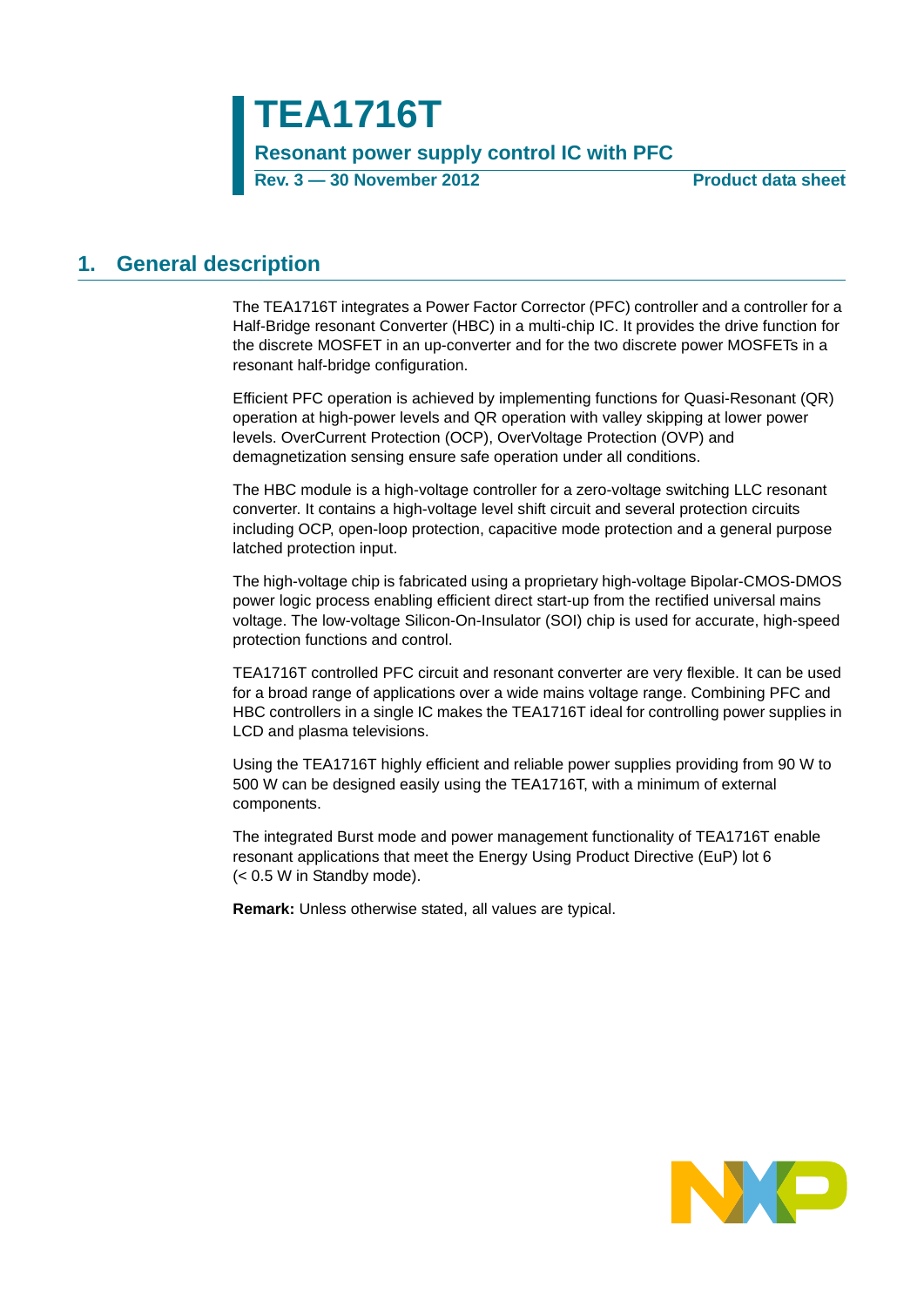**TEA1716T Resonant power supply control IC with PFC Rev. 3 — 30 November 2012 Product data sheet**

### <span id="page-0-0"></span>**1. General description**

The TEA1716T integrates a Power Factor Corrector (PFC) controller and a controller for a Half-Bridge resonant Converter (HBC) in a multi-chip IC. It provides the drive function for the discrete MOSFET in an up-converter and for the two discrete power MOSFETs in a resonant half-bridge configuration.

Efficient PFC operation is achieved by implementing functions for Quasi-Resonant (QR) operation at high-power levels and QR operation with valley skipping at lower power levels. OverCurrent Protection (OCP), OverVoltage Protection (OVP) and demagnetization sensing ensure safe operation under all conditions.

The HBC module is a high-voltage controller for a zero-voltage switching LLC resonant converter. It contains a high-voltage level shift circuit and several protection circuits including OCP, open-loop protection, capacitive mode protection and a general purpose latched protection input.

The high-voltage chip is fabricated using a proprietary high-voltage Bipolar-CMOS-DMOS power logic process enabling efficient direct start-up from the rectified universal mains voltage. The low-voltage Silicon-On-Insulator (SOI) chip is used for accurate, high-speed protection functions and control.

TEA1716T controlled PFC circuit and resonant converter are very flexible. It can be used for a broad range of applications over a wide mains voltage range. Combining PFC and HBC controllers in a single IC makes the TEA1716T ideal for controlling power supplies in LCD and plasma televisions.

Using the TEA1716T highly efficient and reliable power supplies providing from 90 W to 500 W can be designed easily using the TEA1716T, with a minimum of external components.

The integrated Burst mode and power management functionality of TEA1716T enable resonant applications that meet the Energy Using Product Directive (EuP) lot 6 (< 0.5 W in Standby mode).

**Remark:** Unless otherwise stated, all values are typical.

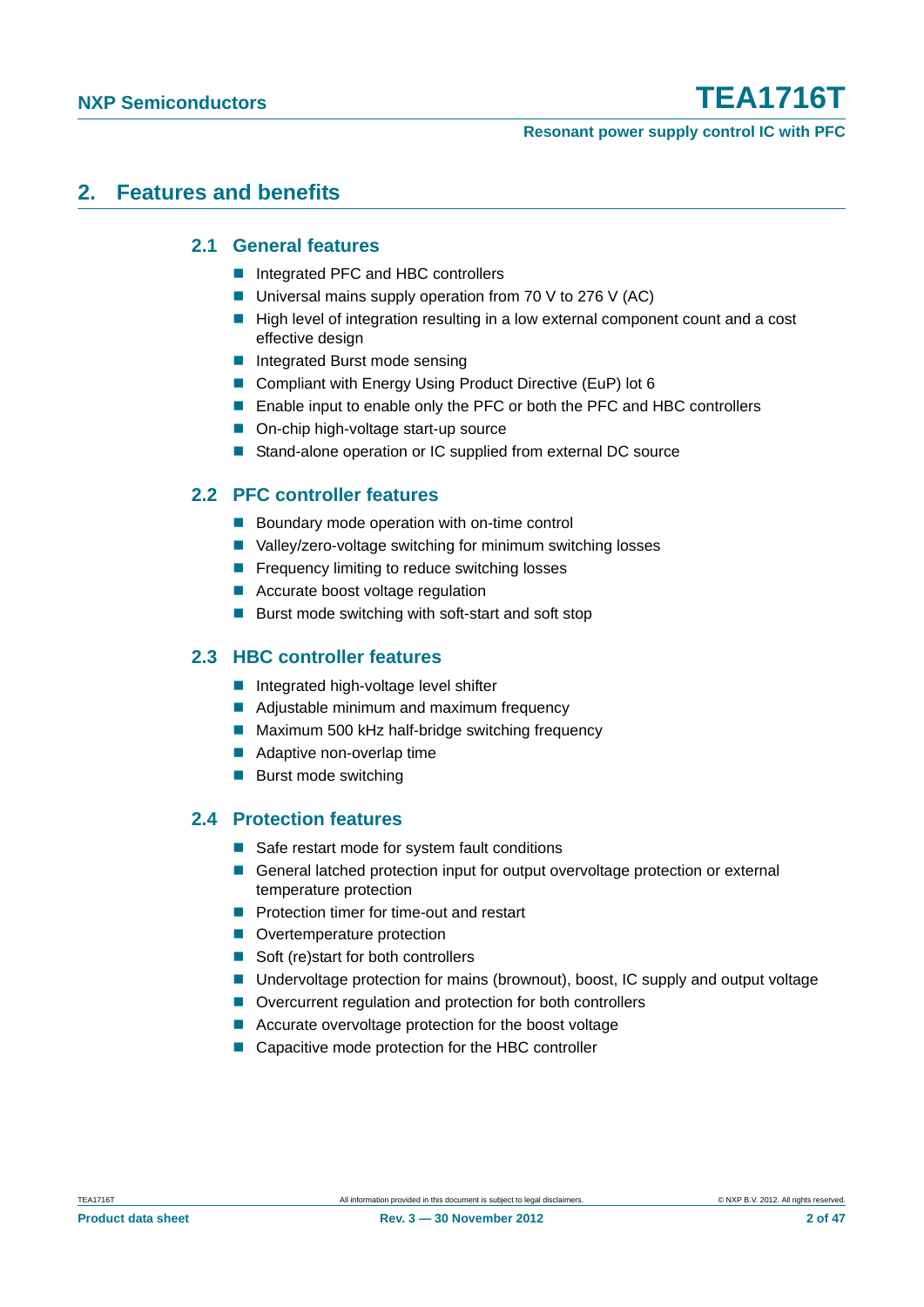#### **Resonant power supply control IC with PFC**

### <span id="page-1-1"></span><span id="page-1-0"></span>**2. Features and benefits**

#### **2.1 General features**

- Integrated PFC and HBC controllers
- Universal mains supply operation from 70 V to 276 V (AC)
- High level of integration resulting in a low external component count and a cost effective design
- Integrated Burst mode sensing
- Compliant with Energy Using Product Directive (EuP) lot 6
- Enable input to enable only the PFC or both the PFC and HBC controllers
- On-chip high-voltage start-up source
- Stand-alone operation or IC supplied from external DC source

### <span id="page-1-2"></span>**2.2 PFC controller features**

- Boundary mode operation with on-time control
- Valley/zero-voltage switching for minimum switching losses
- **Figure 1** Frequency limiting to reduce switching losses
- Accurate boost voltage regulation
- $\blacksquare$  Burst mode switching with soft-start and soft stop

#### <span id="page-1-3"></span>**2.3 HBC controller features**

- **Integrated high-voltage level shifter**
- Adjustable minimum and maximum frequency
- Maximum 500 kHz half-bridge switching frequency
- Adaptive non-overlap time
- **Burst mode switching**

#### <span id="page-1-4"></span>**2.4 Protection features**

- Safe restart mode for system fault conditions
- General latched protection input for output overvoltage protection or external temperature protection
- **Protection timer for time-out and restart**
- Overtemperature protection
- Soft (re)start for both controllers
- Undervoltage protection for mains (brownout), boost, IC supply and output voltage
- Overcurrent regulation and protection for both controllers
- Accurate overvoltage protection for the boost voltage
- Capacitive mode protection for the HBC controller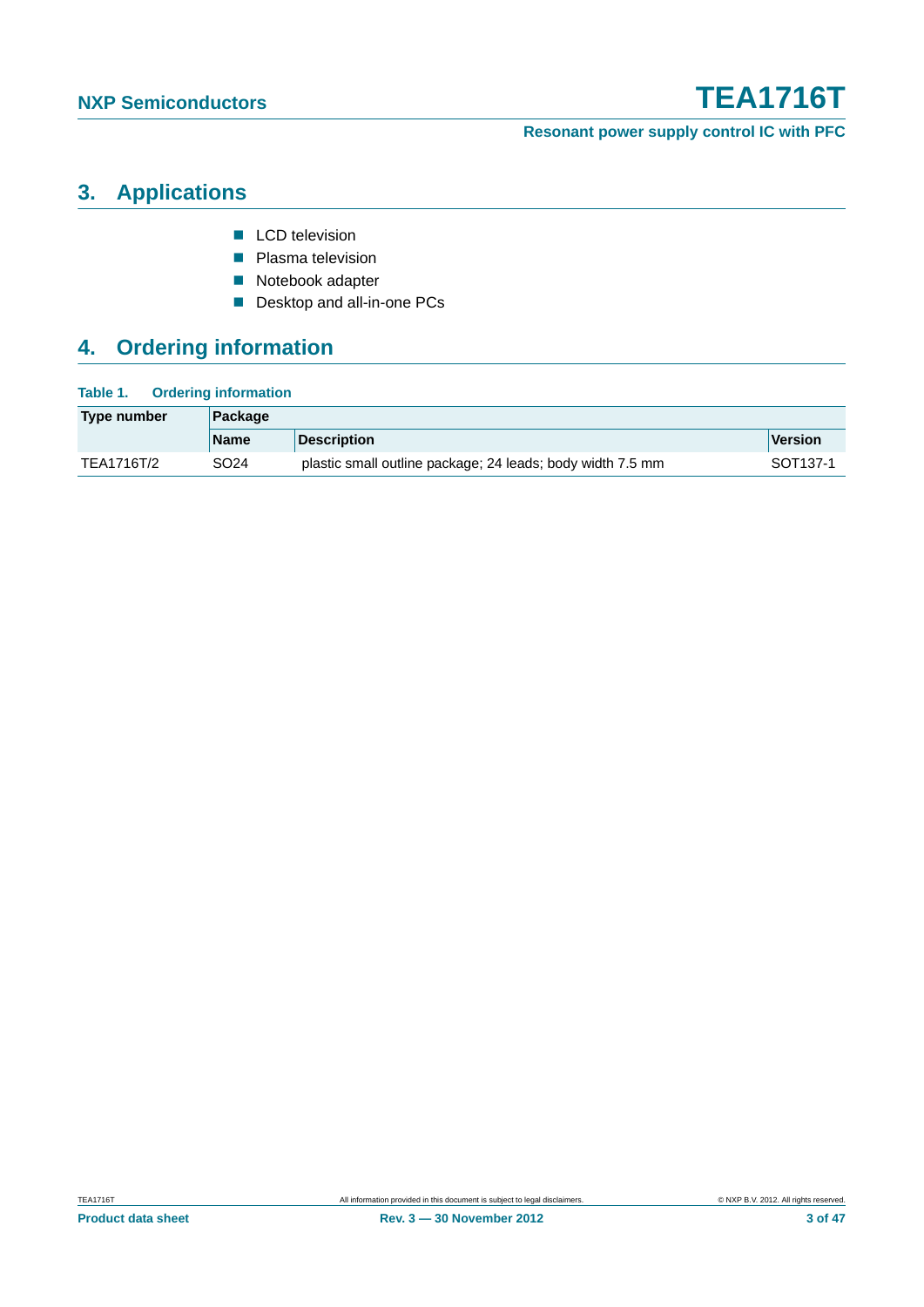**Resonant power supply control IC with PFC**

## <span id="page-2-0"></span>**3. Applications**

- **LCD** television
- **Plasma television**
- Notebook adapter
- Desktop and all-in-one PCs

## <span id="page-2-1"></span>**4. Ordering information**

| Type number | Package     |                                                            |                      |  |  |
|-------------|-------------|------------------------------------------------------------|----------------------|--|--|
|             | <b>Name</b> | <b>Description</b>                                         | Version              |  |  |
| TEA1716T/2  | SO24        | plastic small outline package; 24 leads; body width 7.5 mm | SOT <sub>137-1</sub> |  |  |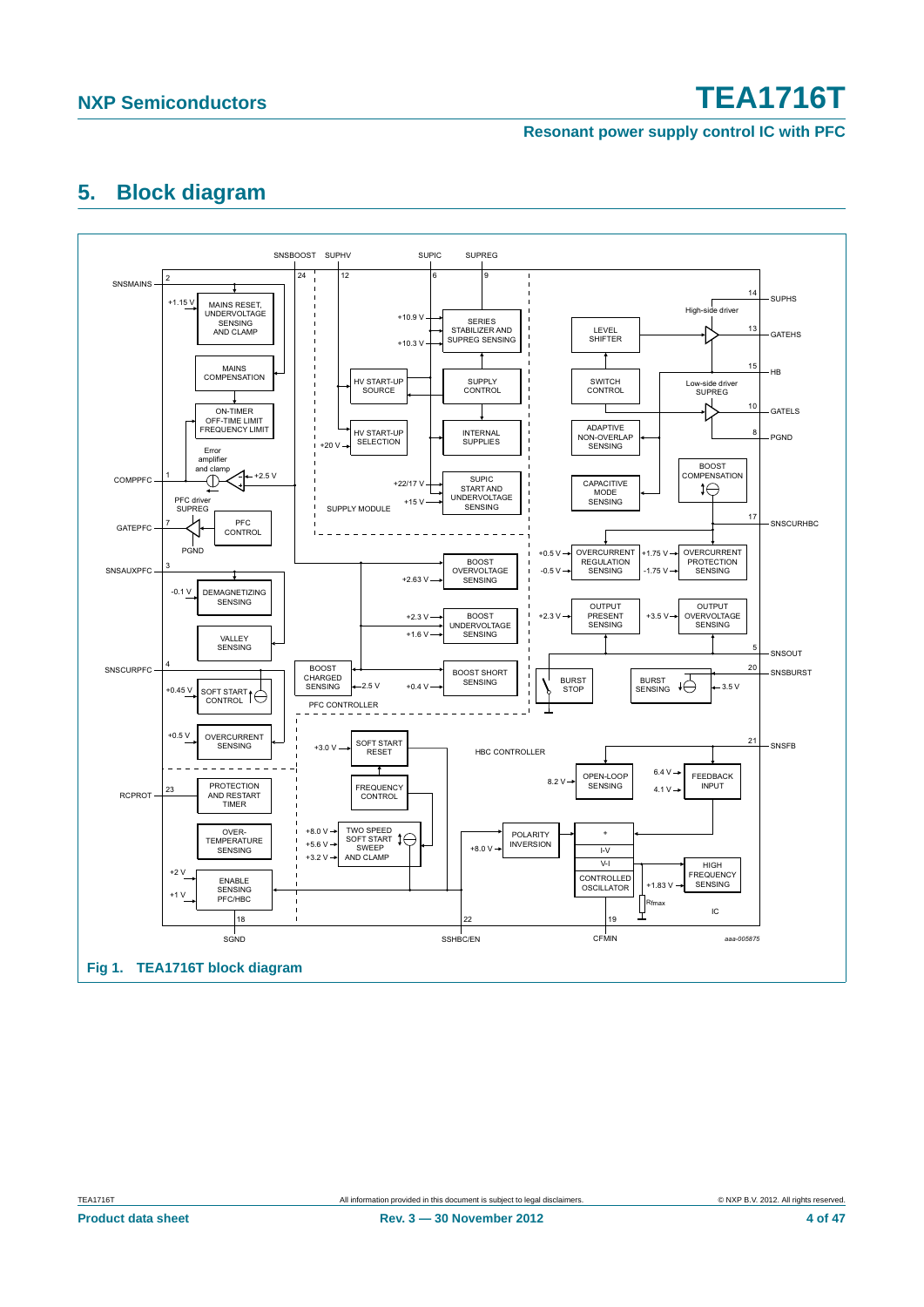#### **Resonant power supply control IC with PFC**

### <span id="page-3-1"></span>**5. Block diagram**

<span id="page-3-0"></span>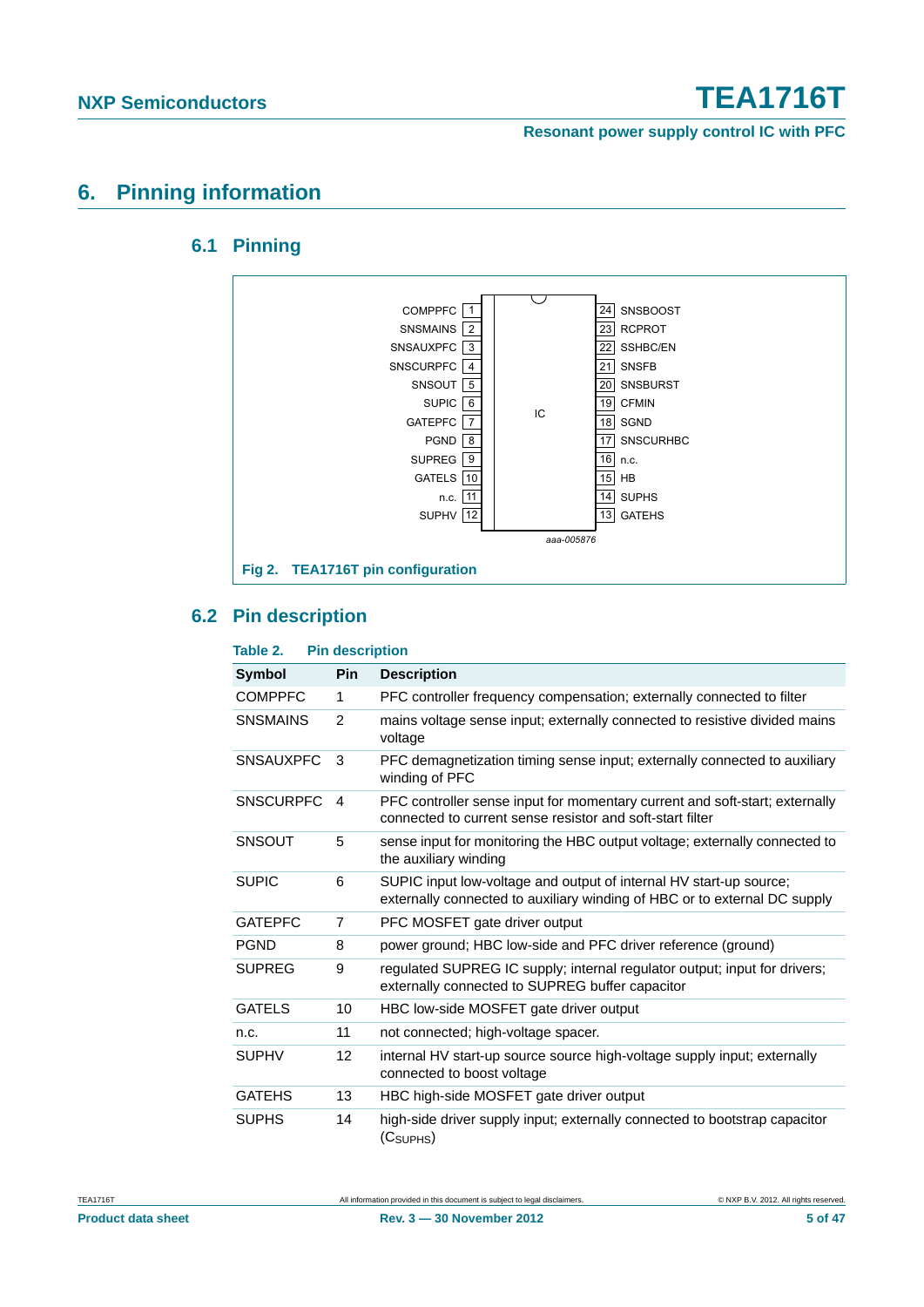**Resonant power supply control IC with PFC**

### <span id="page-4-1"></span><span id="page-4-0"></span>**6. Pinning information**

#### **6.1 Pinning**



#### <span id="page-4-2"></span>**6.2 Pin description**

#### **Table 2. Pin description Symbol Pin Description** COMPPFC 1 PFC controller frequency compensation; externally connected to filter SNSMAINS 2 mains voltage sense input; externally connected to resistive divided mains voltage SNSAUXPFC 3 PFC demagnetization timing sense input; externally connected to auxiliary winding of PFC SNSCURPFC 4 PFC controller sense input for momentary current and soft-start; externally connected to current sense resistor and soft-start filter SNSOUT 5 sense input for monitoring the HBC output voltage; externally connected to the auxiliary winding SUPIC 6 SUPIC input low-voltage and output of internal HV start-up source; externally connected to auxiliary winding of HBC or to external DC supply GATEPFC 7 PFC MOSFET gate driver output PGND 8 power ground; HBC low-side and PFC driver reference (ground) SUPREG 9 regulated SUPREG IC supply; internal regulator output; input for drivers; externally connected to SUPREG buffer capacitor GATELS 10 HBC low-side MOSFET gate driver output n.c. 11 not connected; high-voltage spacer. SUPHV 12 internal HV start-up source source high-voltage supply input; externally connected to boost voltage GATEHS 13 HBC high-side MOSFET gate driver output SUPHS 14 high-side driver supply input; externally connected to bootstrap capacitor  $(C<sub>SIIPHS</sub>)$

**Product data sheet** 5 of 47 **Rev. 3 — 30 November 2012** 5 **12 12 12 12 12 13 13 147**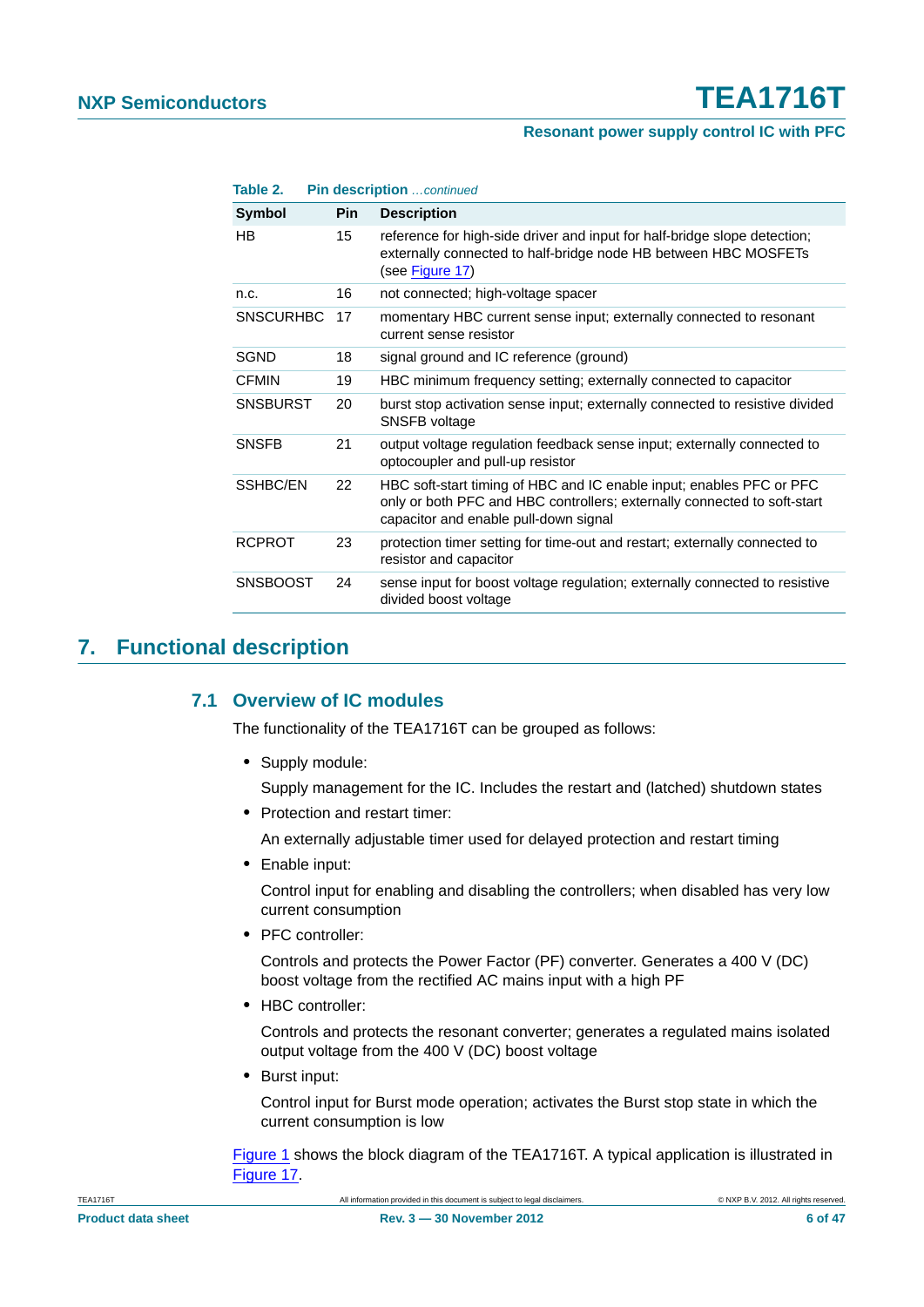#### **Resonant power supply control IC with PFC**

| Symbol           | <b>Pin</b> | <b>Description</b>                                                                                                                                                                        |
|------------------|------------|-------------------------------------------------------------------------------------------------------------------------------------------------------------------------------------------|
| HB.              | 15         | reference for high-side driver and input for half-bridge slope detection;<br>externally connected to half-bridge node HB between HBC MOSFETs<br>(see Figure 17)                           |
| n.c.             | 16         | not connected; high-voltage spacer                                                                                                                                                        |
| <b>SNSCURHBC</b> | 17         | momentary HBC current sense input; externally connected to resonant<br>current sense resistor                                                                                             |
| <b>SGND</b>      | 18         | signal ground and IC reference (ground)                                                                                                                                                   |
| <b>CFMIN</b>     | 19         | HBC minimum frequency setting; externally connected to capacitor                                                                                                                          |
| <b>SNSBURST</b>  | 20         | burst stop activation sense input; externally connected to resistive divided<br>SNSFB voltage                                                                                             |
| <b>SNSFB</b>     | 21         | output voltage regulation feedback sense input; externally connected to<br>optocoupler and pull-up resistor                                                                               |
| SSHBC/EN         | 22         | HBC soft-start timing of HBC and IC enable input; enables PFC or PFC<br>only or both PFC and HBC controllers; externally connected to soft-start<br>capacitor and enable pull-down signal |
| <b>RCPROT</b>    | 23         | protection timer setting for time-out and restart; externally connected to<br>resistor and capacitor                                                                                      |
| <b>SNSBOOST</b>  | 24         | sense input for boost voltage regulation; externally connected to resistive<br>divided boost voltage                                                                                      |

### <span id="page-5-1"></span><span id="page-5-0"></span>**7. Functional description**

### **7.1 Overview of IC modules**

The functionality of the TEA1716T can be grouped as follows:

**•** Supply module:

Supply management for the IC. Includes the restart and (latched) shutdown states

**•** Protection and restart timer:

An externally adjustable timer used for delayed protection and restart timing

**•** Enable input:

Control input for enabling and disabling the controllers; when disabled has very low current consumption

**•** PFC controller:

Controls and protects the Power Factor (PF) converter. Generates a 400 V (DC) boost voltage from the rectified AC mains input with a high PF

**•** HBC controller:

Controls and protects the resonant converter; generates a regulated mains isolated output voltage from the 400 V (DC) boost voltage

**•** Burst input:

Control input for Burst mode operation; activates the Burst stop state in which the current consumption is low

[Figure 1](#page-3-0) shows the block diagram of the TEA1716T. A typical application is illustrated in [Figure 17](#page-39-0).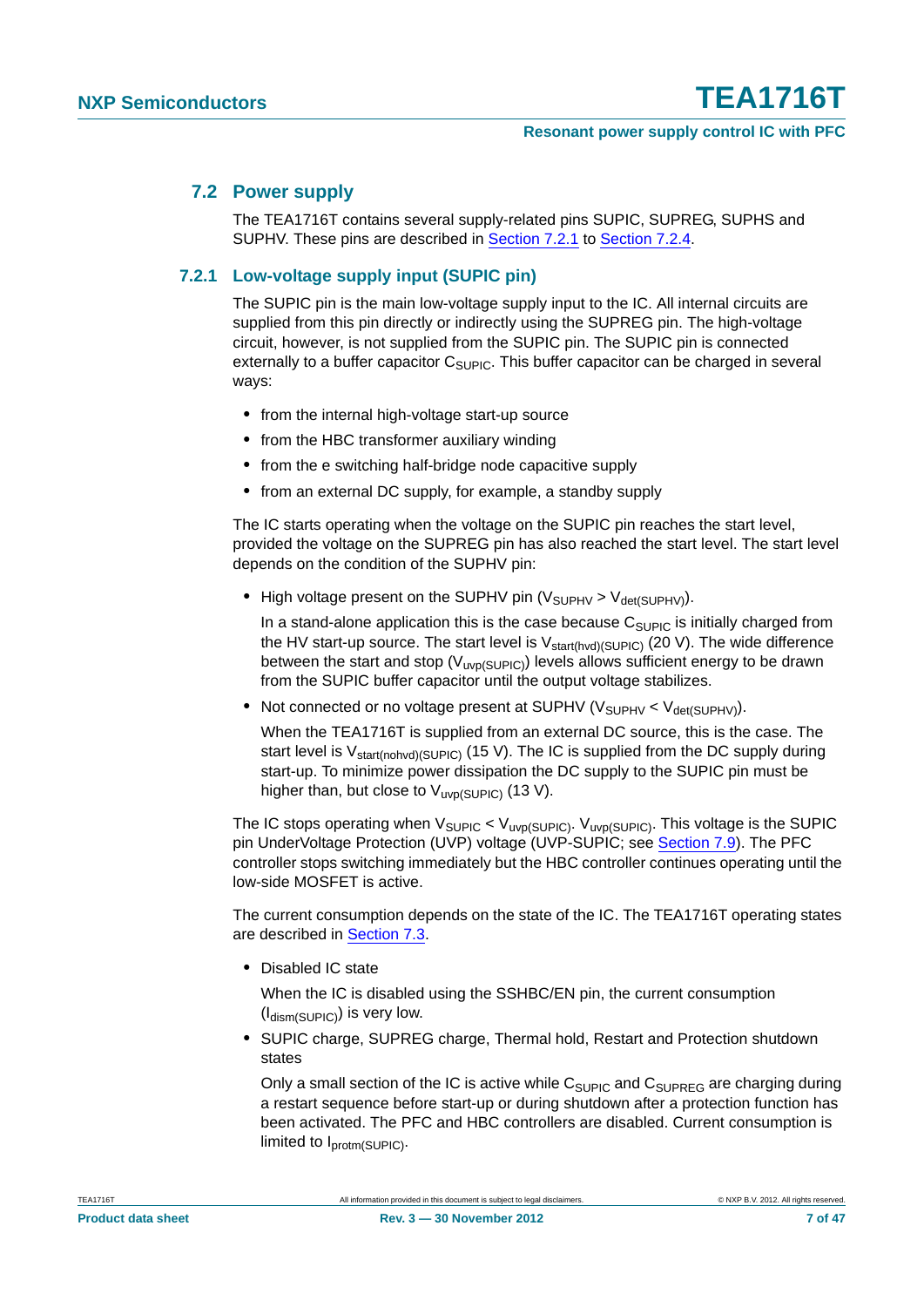#### <span id="page-6-1"></span>**7.2 Power supply**

The TEA1716T contains several supply-related pins SUPIC, SUPREG, SUPHS and SUPHV. These pins are described in [Section 7.2.1](#page-6-0) to [Section 7.2.4](#page-8-1).

#### <span id="page-6-0"></span>**7.2.1 Low-voltage supply input (SUPIC pin)**

The SUPIC pin is the main low-voltage supply input to the IC. All internal circuits are supplied from this pin directly or indirectly using the SUPREG pin. The high-voltage circuit, however, is not supplied from the SUPIC pin. The SUPIC pin is connected externally to a buffer capacitor  $C_{\text{SUPIC}}$ . This buffer capacitor can be charged in several ways:

- **•** from the internal high-voltage start-up source
- **•** from the HBC transformer auxiliary winding
- **•** from the e switching half-bridge node capacitive supply
- **•** from an external DC supply, for example, a standby supply

The IC starts operating when the voltage on the SUPIC pin reaches the start level, provided the voltage on the SUPREG pin has also reached the start level. The start level depends on the condition of the SUPHV pin:

• High voltage present on the SUPHV pin (V<sub>SUPHV</sub> > V<sub>det(SUPHV)</sub>).

In a stand-alone application this is the case because  $C_{\text{SUPIC}}$  is initially charged from the HV start-up source. The start level is  $V_{start(hvd)(SUPIC)}$  (20 V). The wide difference between the start and stop ( $V_{UVD}(SUPIC)$ ) levels allows sufficient energy to be drawn from the SUPIC buffer capacitor until the output voltage stabilizes.

• Not connected or no voltage present at SUPHV ( $V_{SIIPHV} < V_{det(SUPHV)}$ ).

When the TEA1716T is supplied from an external DC source, this is the case. The start level is  $V_{\text{start}(nohvd)(SUPIC)}$  (15 V). The IC is supplied from the DC supply during start-up. To minimize power dissipation the DC supply to the SUPIC pin must be higher than, but close to  $V_{\text{uvp(SUPIC)}}$  (13 V).

The IC stops operating when  $V_{\text{SUPIC}} < V_{\text{uvp(SUPIC)}}$ .  $V_{\text{uvp(SUPIC)}}$ . This voltage is the SUPIC pin UnderVoltage Protection (UVP) voltage (UVP-SUPIC; see [Section 7.9](#page-30-0)). The PFC controller stops switching immediately but the HBC controller continues operating until the low-side MOSFET is active.

The current consumption depends on the state of the IC. The TEA1716T operating states are described in [Section 7.3.](#page-8-0)

**•** Disabled IC state

When the IC is disabled using the SSHBC/EN pin, the current consumption  $(I_{\text{dism(SUPIC)}})$  is very low.

**•** SUPIC charge, SUPREG charge, Thermal hold, Restart and Protection shutdown states

Only a small section of the IC is active while  $C_{\text{SUPIC}}$  and  $C_{\text{SUPREG}}$  are charging during a restart sequence before start-up or during shutdown after a protection function has been activated. The PFC and HBC controllers are disabled. Current consumption is limited to Iprotm(SUPIC).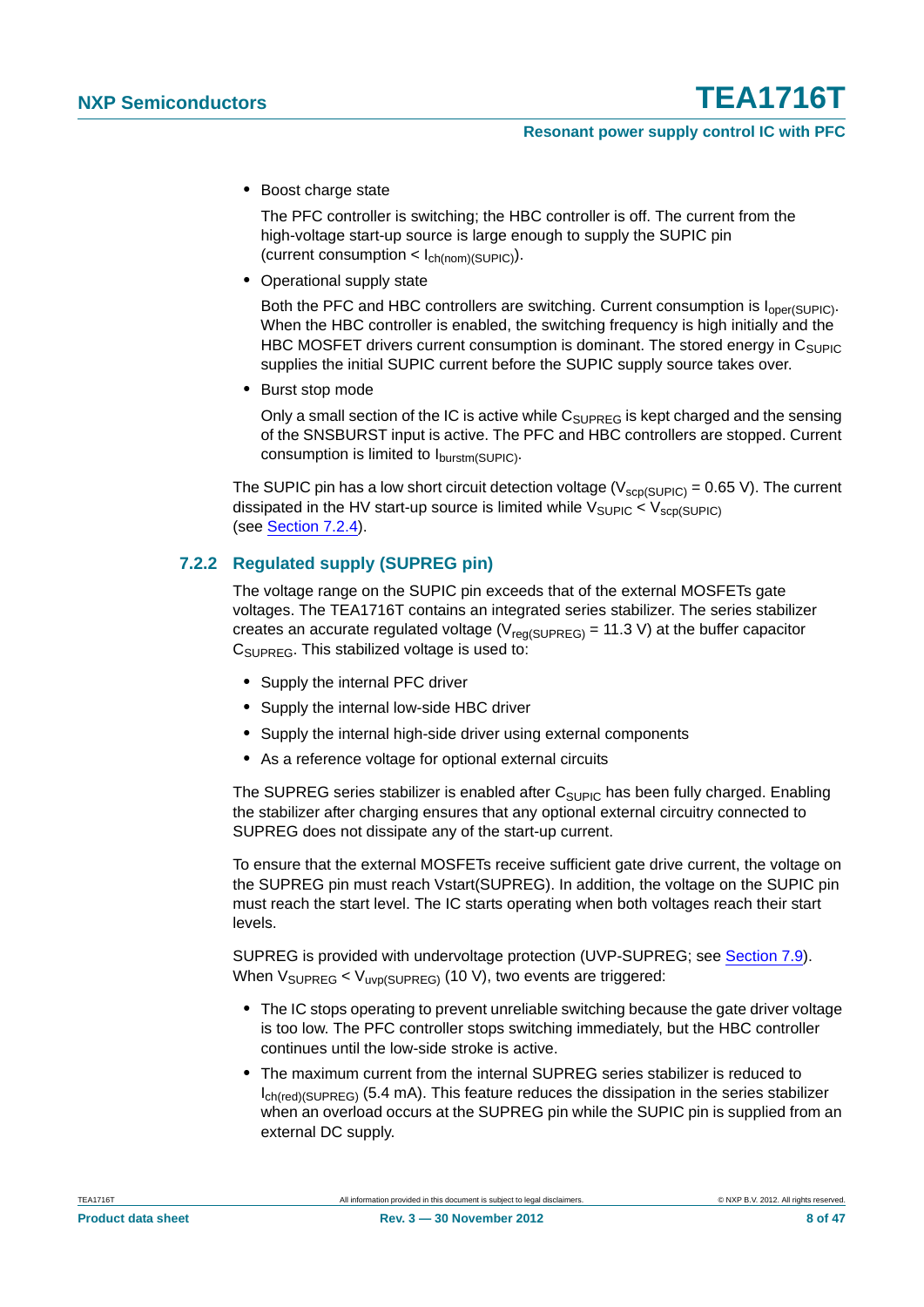**•** Boost charge state

The PFC controller is switching; the HBC controller is off. The current from the high-voltage start-up source is large enough to supply the SUPIC pin (current consumption  $\langle$  l<sub>ch(nom)</sub>(SUPIC)).

**•** Operational supply state

Both the PFC and HBC controllers are switching. Current consumption is  $I_{\text{oper(SUPIC)}}$ . When the HBC controller is enabled, the switching frequency is high initially and the HBC MOSFET drivers current consumption is dominant. The stored energy in  $C_{\text{SUPIC}}$ supplies the initial SUPIC current before the SUPIC supply source takes over.

**•** Burst stop mode

Only a small section of the IC is active while  $C_{\text{SUPREG}}$  is kept charged and the sensing of the SNSBURST input is active. The PFC and HBC controllers are stopped. Current consumption is limited to  $I_{\text{burstm(SUPIC)}}$ .

The SUPIC pin has a low short circuit detection voltage ( $V_{\text{scp(SUPIC)}}$  = 0.65 V). The current dissipated in the HV start-up source is limited while  $V_{\text{SUPIC}} < V_{\text{SCD(SUPIC)}}$ (see [Section 7.2.4\)](#page-8-1).

#### <span id="page-7-0"></span>**7.2.2 Regulated supply (SUPREG pin)**

The voltage range on the SUPIC pin exceeds that of the external MOSFETs gate voltages. The TEA1716T contains an integrated series stabilizer. The series stabilizer creates an accurate regulated voltage ( $V_{\text{real(SUPREG)}}$  = 11.3 V) at the buffer capacitor C<sub>SUPREG</sub>. This stabilized voltage is used to:

- **•** Supply the internal PFC driver
- **•** Supply the internal low-side HBC driver
- **•** Supply the internal high-side driver using external components
- **•** As a reference voltage for optional external circuits

The SUPREG series stabilizer is enabled after  $C_{SUPIC}$  has been fully charged. Enabling the stabilizer after charging ensures that any optional external circuitry connected to SUPREG does not dissipate any of the start-up current.

To ensure that the external MOSFETs receive sufficient gate drive current, the voltage on the SUPREG pin must reach Vstart(SUPREG). In addition, the voltage on the SUPIC pin must reach the start level. The IC starts operating when both voltages reach their start levels.

SUPREG is provided with undervoltage protection (UVP-SUPREG; see [Section 7.9\)](#page-30-0). When  $V_{\text{SUPREG}} < V_{\text{uvD(SUPREG)}}$  (10 V), two events are triggered:

- **•** The IC stops operating to prevent unreliable switching because the gate driver voltage is too low. The PFC controller stops switching immediately, but the HBC controller continues until the low-side stroke is active.
- **•** The maximum current from the internal SUPREG series stabilizer is reduced to Ich(red)(SUPREG) (5.4 mA). This feature reduces the dissipation in the series stabilizer when an overload occurs at the SUPREG pin while the SUPIC pin is supplied from an external DC supply.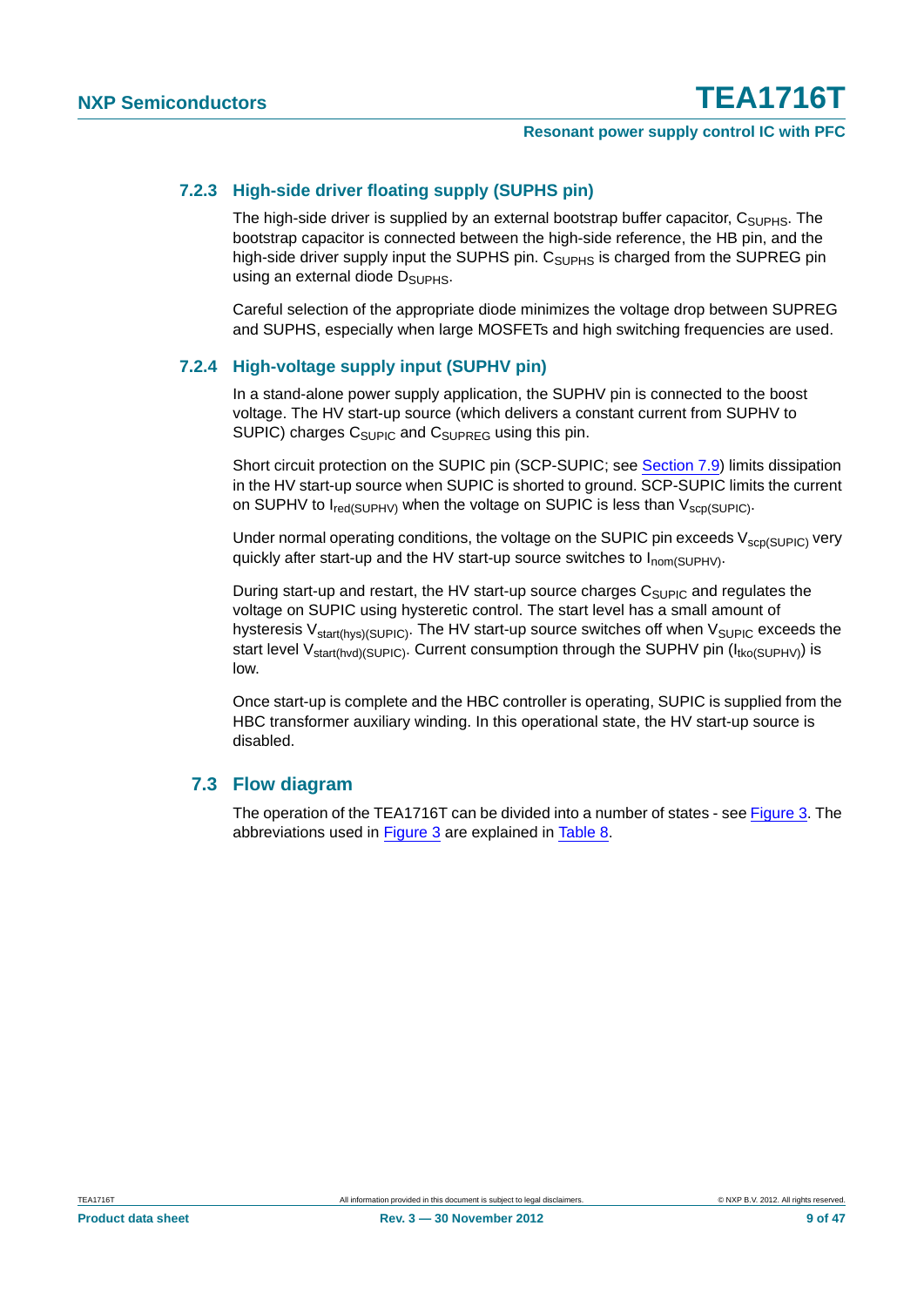#### <span id="page-8-2"></span>**7.2.3 High-side driver floating supply (SUPHS pin)**

The high-side driver is supplied by an external bootstrap buffer capacitor,  $C_{\text{SUPHS}}$ . The bootstrap capacitor is connected between the high-side reference, the HB pin, and the high-side driver supply input the SUPHS pin. C<sub>SUPHS</sub> is charged from the SUPREG pin using an external diode D<sub>SUPHS</sub>.

Careful selection of the appropriate diode minimizes the voltage drop between SUPREG and SUPHS, especially when large MOSFETs and high switching frequencies are used.

#### <span id="page-8-1"></span>**7.2.4 High-voltage supply input (SUPHV pin)**

In a stand-alone power supply application, the SUPHV pin is connected to the boost voltage. The HV start-up source (which delivers a constant current from SUPHV to SUPIC) charges  $C_{\text{SUPIC}}$  and  $C_{\text{SUPREG}}$  using this pin.

Short circuit protection on the SUPIC pin (SCP-SUPIC; see [Section 7.9\)](#page-30-0) limits dissipation in the HV start-up source when SUPIC is shorted to ground. SCP-SUPIC limits the current on SUPHV to  $I_{\text{red}(SUPHV)}$  when the voltage on SUPIC is less than  $V_{\text{scp}(SUPIC)}$ .

Under normal operating conditions, the voltage on the SUPIC pin exceeds  $V_{\rm scp(SUPIC)}$  very quickly after start-up and the HV start-up source switches to I<sub>nom(SUPHV)</sub>.

During start-up and restart, the HV start-up source charges  $C_{\text{SUPIC}}$  and regulates the voltage on SUPIC using hysteretic control. The start level has a small amount of hysteresis  $V_{\text{start(hvs)(SUPIC)}}$ . The HV start-up source switches off when  $V_{\text{SUPIC}}$  exceeds the start level V<sub>start(hvd)</sub>(SUPIC). Current consumption through the SUPHV pin (I<sub>tko</sub>(SUPHV)) is low.

Once start-up is complete and the HBC controller is operating, SUPIC is supplied from the HBC transformer auxiliary winding. In this operational state, the HV start-up source is disabled.

#### <span id="page-8-0"></span>**7.3 Flow diagram**

The operation of the TEA1716T can be divided into a number of states - see [Figure 3](#page-9-0). The abbreviations used in [Figure 3](#page-9-0) are explained in [Table 8](#page-41-0).

**Product data sheet** 9 of 47 **Rev. 3 — 30 November 2012** 9 **12 12 12 12 12 13 147**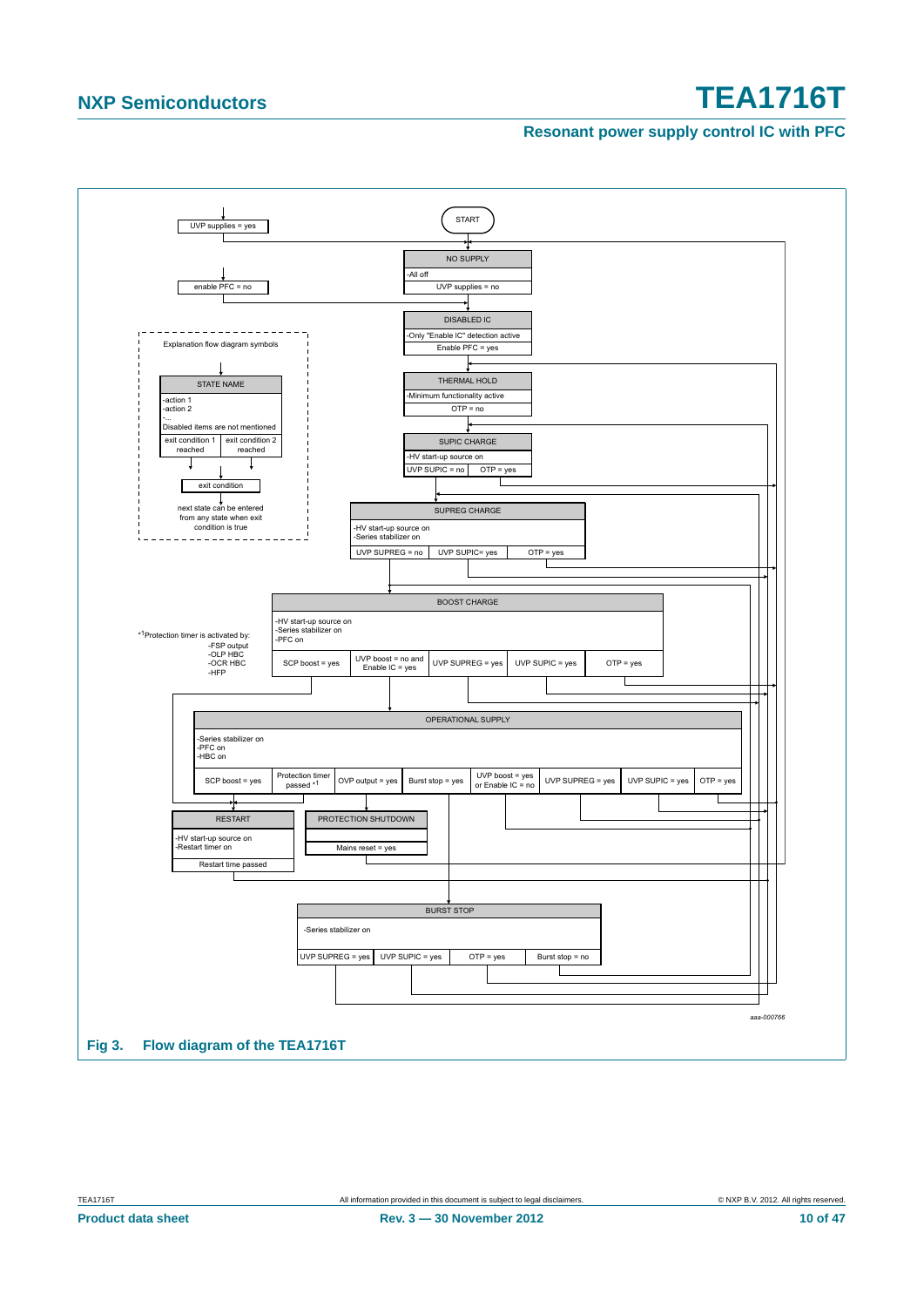#### **Resonant power supply control IC with PFC**



<span id="page-9-0"></span>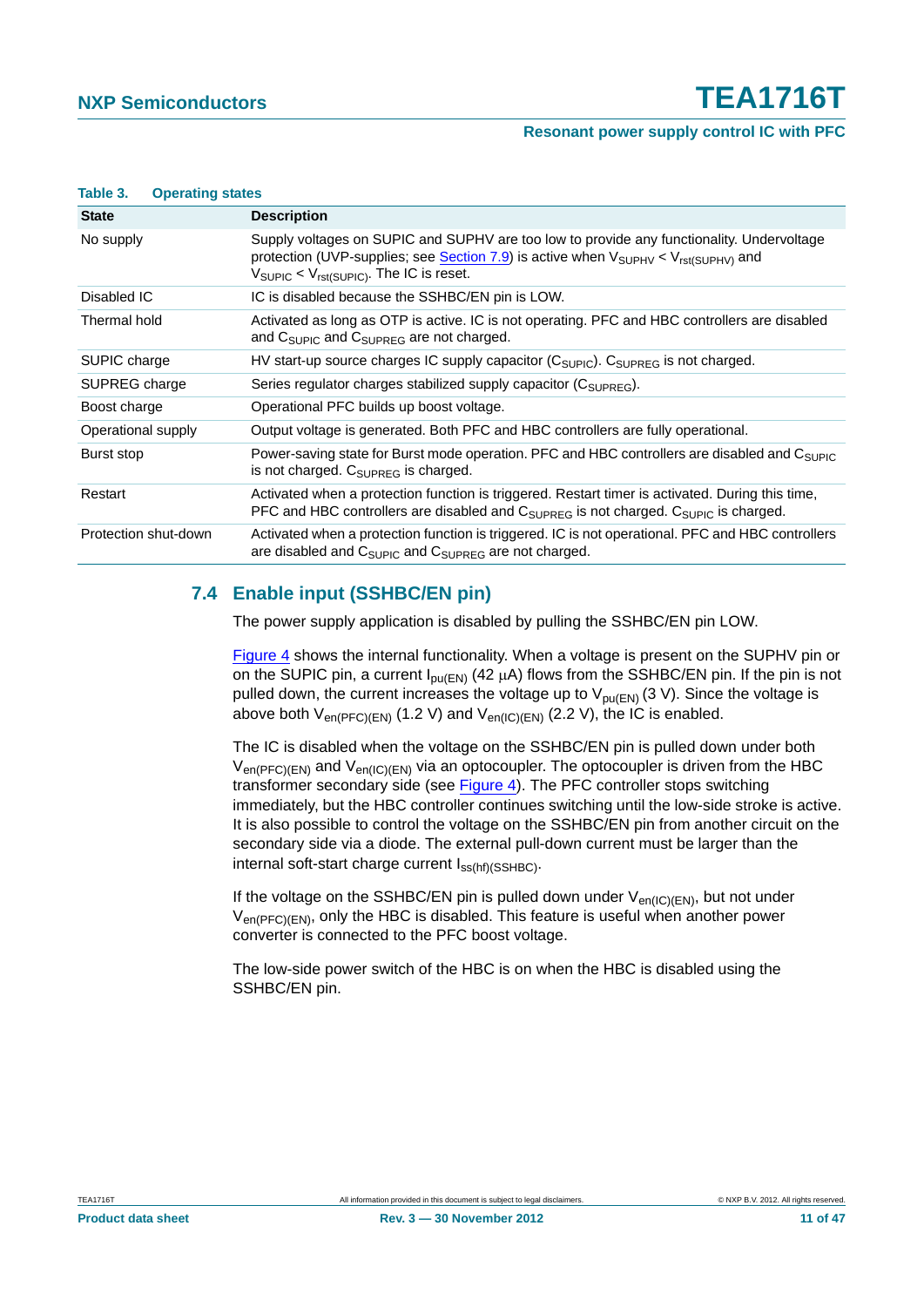#### **Resonant power supply control IC with PFC**

#### **Table 3. Operating states**

| <b>State</b>         | <b>Description</b>                                                                                                                                                                                                                                                     |
|----------------------|------------------------------------------------------------------------------------------------------------------------------------------------------------------------------------------------------------------------------------------------------------------------|
| No supply            | Supply voltages on SUPIC and SUPHV are too low to provide any functionality. Undervoltage<br>protection (UVP-supplies; see Section 7.9) is active when $V_{\text{SUPHV}} < V_{\text{rst(SUPHV)}}$ and<br>$V_{\text{SUPIC}} < V_{\text{rst(SUPIC)}}$ . The IC is reset. |
| Disabled IC          | IC is disabled because the SSHBC/EN pin is LOW.                                                                                                                                                                                                                        |
| Thermal hold         | Activated as long as OTP is active. IC is not operating. PFC and HBC controllers are disabled<br>and C <sub>SUPIC</sub> and C <sub>SUPREG</sub> are not charged.                                                                                                       |
| SUPIC charge         | HV start-up source charges IC supply capacitor $(C_{\text{SUPIC}})$ . $C_{\text{SUPREG}}$ is not charged.                                                                                                                                                              |
| SUPREG charge        | Series regulator charges stabilized supply capacitor $(C_{\text{SUPRFG}})$ .                                                                                                                                                                                           |
| Boost charge         | Operational PFC builds up boost voltage.                                                                                                                                                                                                                               |
| Operational supply   | Output voltage is generated. Both PFC and HBC controllers are fully operational.                                                                                                                                                                                       |
| Burst stop           | Power-saving state for Burst mode operation. PFC and HBC controllers are disabled and C <sub>SUPIC</sub><br>is not charged. $C_{\text{SUPREG}}$ is charged.                                                                                                            |
| Restart              | Activated when a protection function is triggered. Restart timer is activated. During this time,<br>PFC and HBC controllers are disabled and $C_{\text{SUPREG}}$ is not charged. $C_{\text{SUPIC}}$ is charged.                                                        |
| Protection shut-down | Activated when a protection function is triggered. IC is not operational. PFC and HBC controllers<br>are disabled and $C_{\text{SUPIC}}$ and $C_{\text{SUPREG}}$ are not charged.                                                                                      |

#### <span id="page-10-0"></span>**7.4 Enable input (SSHBC/EN pin)**

The power supply application is disabled by pulling the SSHBC/EN pin LOW.

[Figure 4](#page-11-0) shows the internal functionality. When a voltage is present on the SUPHV pin or on the SUPIC pin, a current  $I_{\text{DU(EN)}}$  (42  $\mu$ A) flows from the SSHBC/EN pin. If the pin is not pulled down, the current increases the voltage up to  $V_{\text{pu(EN)}}(3 \text{ V})$ . Since the voltage is above both  $V_{en(PFC)(EN)}$  (1.2 V) and  $V_{en(IC)(EN)}$  (2.2 V), the IC is enabled.

The IC is disabled when the voltage on the SSHBC/EN pin is pulled down under both  $V_{en(PFC)(EN)}$  and  $V_{en(IC)(EN)}$  via an optocoupler. The optocoupler is driven from the HBC transformer secondary side (see [Figure 4\)](#page-11-0). The PFC controller stops switching immediately, but the HBC controller continues switching until the low-side stroke is active. It is also possible to control the voltage on the SSHBC/EN pin from another circuit on the secondary side via a diode. The external pull-down current must be larger than the internal soft-start charge current  $I_{ss(hf)(SSHBC)}$ .

If the voltage on the SSHBC/EN pin is pulled down under  $V_{en(IC)(EN)}$ , but not under  $V_{en(PFC)(EN)}$ , only the HBC is disabled. This feature is useful when another power converter is connected to the PFC boost voltage.

The low-side power switch of the HBC is on when the HBC is disabled using the SSHBC/EN pin.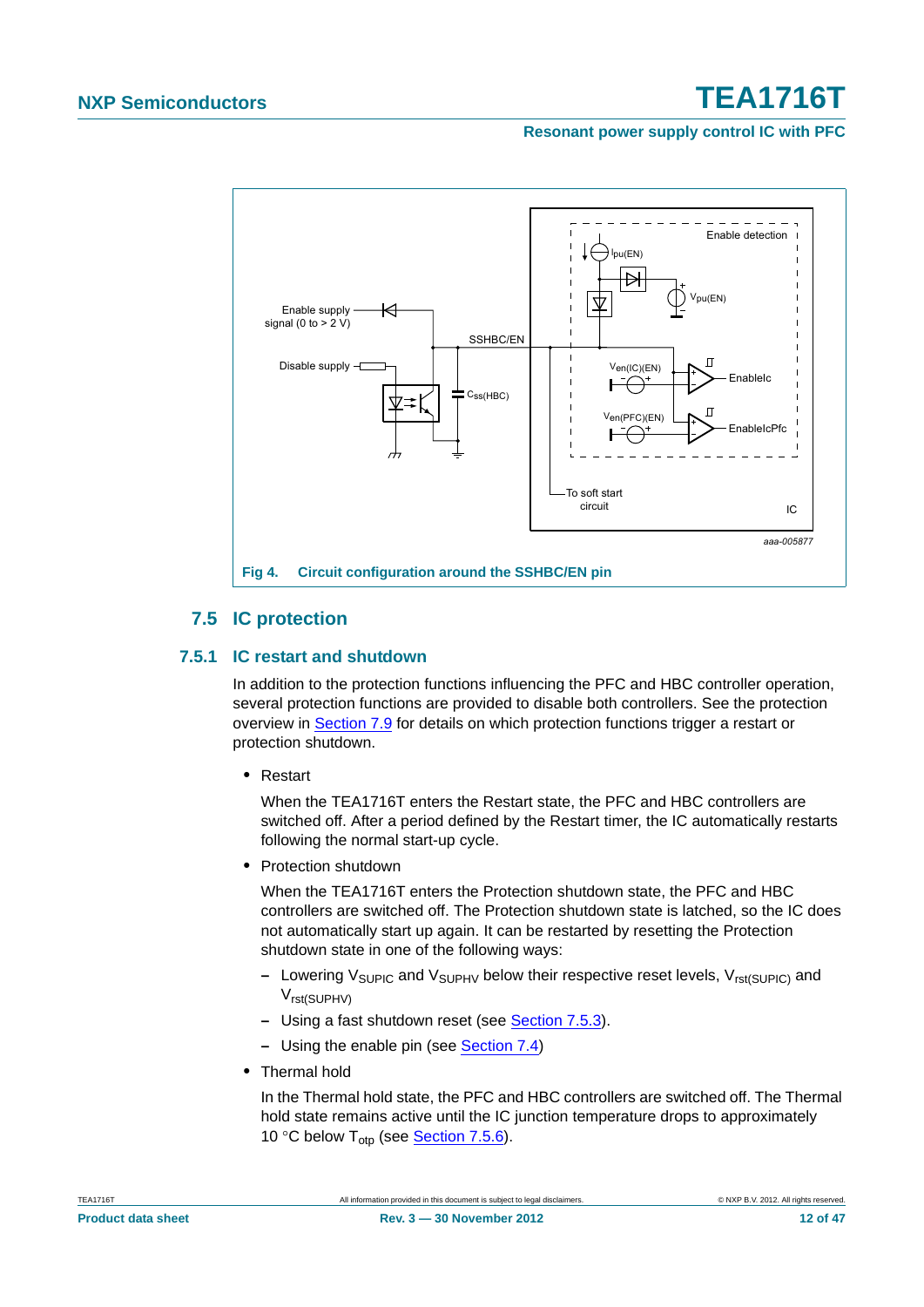**Resonant power supply control IC with PFC**



### <span id="page-11-0"></span>**7.5 IC protection**

#### <span id="page-11-2"></span><span id="page-11-1"></span>**7.5.1 IC restart and shutdown**

In addition to the protection functions influencing the PFC and HBC controller operation, several protection functions are provided to disable both controllers. See the protection overview in [Section 7.9](#page-30-0) for details on which protection functions trigger a restart or protection shutdown.

**•** Restart

When the TEA1716T enters the Restart state, the PFC and HBC controllers are switched off. After a period defined by the Restart timer, the IC automatically restarts following the normal start-up cycle.

**•** Protection shutdown

When the TEA1716T enters the Protection shutdown state, the PFC and HBC controllers are switched off. The Protection shutdown state is latched, so the IC does not automatically start up again. It can be restarted by resetting the Protection shutdown state in one of the following ways:

- **–** Lowering V<sub>SUPIC</sub> and V<sub>SUPHV</sub> below their respective reset levels, V<sub>rst(SUPIC)</sub> and Vrst(SUPHV)
- **–** Using a fast shutdown reset (see [Section 7.5.3\)](#page-13-0).
- **–** Using the enable pin (see [Section 7.4](#page-10-0))
- **•** Thermal hold

In the Thermal hold state, the PFC and HBC controllers are switched off. The Thermal hold state remains active until the IC junction temperature drops to approximately 10 °C below  $T_{\text{oto}}$  (see [Section 7.5.6\)](#page-14-0).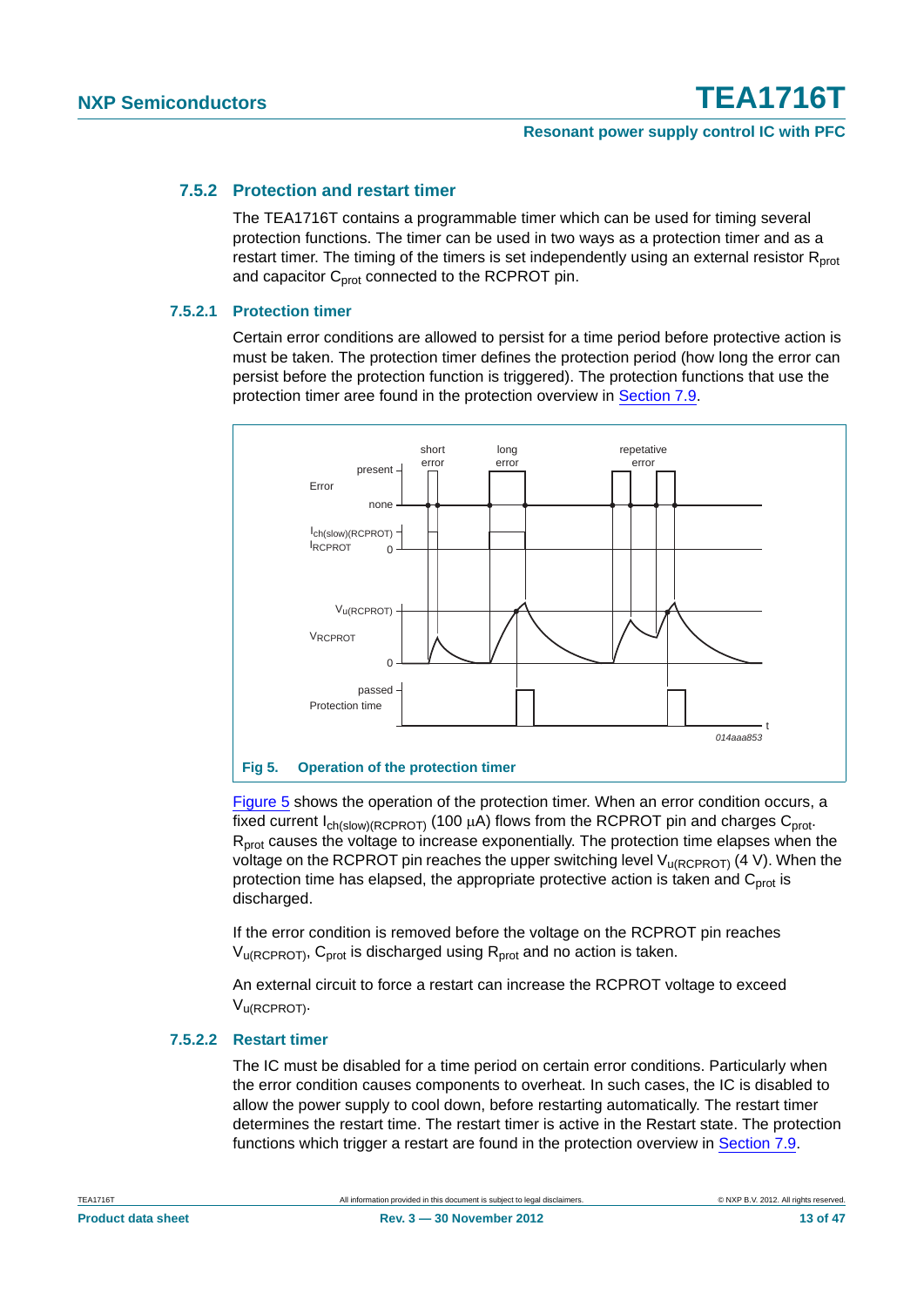#### <span id="page-12-1"></span>**7.5.2 Protection and restart timer**

The TEA1716T contains a programmable timer which can be used for timing several protection functions. The timer can be used in two ways as a protection timer and as a restart timer. The timing of the timers is set independently using an external resistor  $R<sub>prot</sub>$ and capacitor  $C<sub>prot</sub>$  connected to the RCPROT pin.

#### <span id="page-12-2"></span>**7.5.2.1 Protection timer**

Certain error conditions are allowed to persist for a time period before protective action is must be taken. The protection timer defines the protection period (how long the error can persist before the protection function is triggered). The protection functions that use the protection timer aree found in the protection overview in [Section 7.9.](#page-30-0)



<span id="page-12-0"></span>[Figure 5](#page-12-0) shows the operation of the protection timer. When an error condition occurs, a fixed current  $I_{ch(slow)(RCPROT)}$  (100  $\mu$ A) flows from the RCPROT pin and charges C<sub>prot</sub>. R<sub>prot</sub> causes the voltage to increase exponentially. The protection time elapses when the voltage on the RCPROT pin reaches the upper switching level  $V_{\text{U(RCPROT)}}$  (4 V). When the protection time has elapsed, the appropriate protective action is taken and  $C<sub>prot</sub>$  is discharged.

If the error condition is removed before the voltage on the RCPROT pin reaches  $V_{\text{u(RCPROT)}}$ ,  $C_{\text{prot}}$  is discharged using  $R_{\text{prot}}$  and no action is taken.

An external circuit to force a restart can increase the RCPROT voltage to exceed Vu(RCPROT).

#### <span id="page-12-3"></span>**7.5.2.2 Restart timer**

The IC must be disabled for a time period on certain error conditions. Particularly when the error condition causes components to overheat. In such cases, the IC is disabled to allow the power supply to cool down, before restarting automatically. The restart timer determines the restart time. The restart timer is active in the Restart state. The protection functions which trigger a restart are found in the protection overview in [Section 7.9](#page-30-0).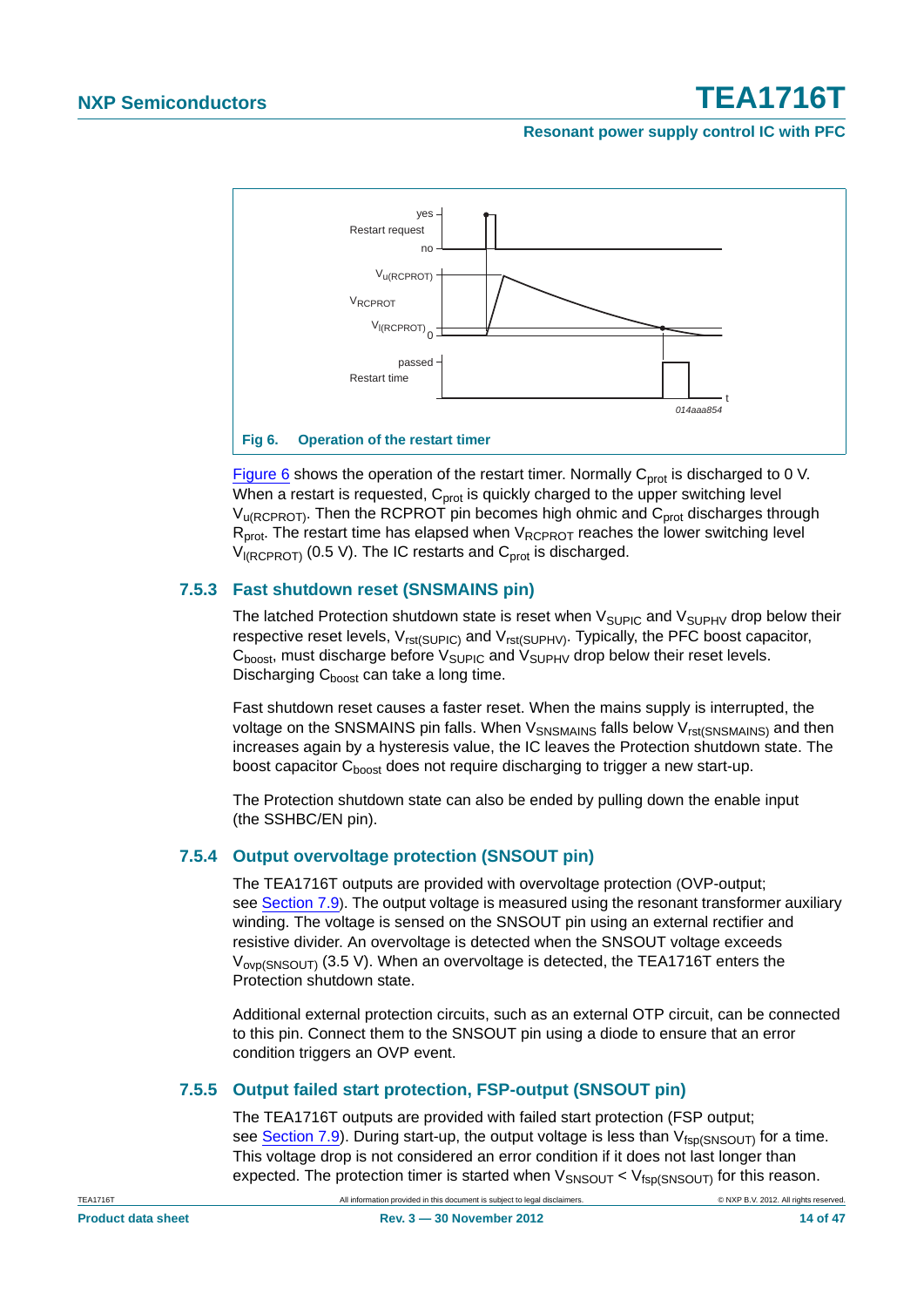#### **Resonant power supply control IC with PFC**



<span id="page-13-1"></span>[Figure 6](#page-13-1) shows the operation of the restart timer. Normally  $C_{prot}$  is discharged to 0 V. When a restart is requested,  $C<sub>prot</sub>$  is quickly charged to the upper switching level  $V<sub>u</sub>(RCPROT)$ . Then the RCPROT pin becomes high ohmic and  $C<sub>prot</sub>$  discharges through  $R_{prot}$ . The restart time has elapsed when  $V_{RCPROT}$  reaches the lower switching level  $V_{IRCPROT}$  (0.5 V). The IC restarts and C<sub>prot</sub> is discharged.

#### <span id="page-13-0"></span>**7.5.3 Fast shutdown reset (SNSMAINS pin)**

The latched Protection shutdown state is reset when  $V_{\text{SUPIC}}$  and  $V_{\text{SUPHV}}$  drop below their respective reset levels,  $V_{rst(SUPIC)}$  and  $V_{rst(SUPHV)}$ . Typically, the PFC boost capacitor,  $C_{boost}$ , must discharge before  $V_{SUPIC}$  and  $V_{SUPHV}$  drop below their reset levels. Discharging C<sub>hoost</sub> can take a long time.

Fast shutdown reset causes a faster reset. When the mains supply is interrupted, the voltage on the SNSMAINS pin falls. When V<sub>SNSMAINS</sub> falls below V<sub>rst(SNSMAINS)</sub> and then increases again by a hysteresis value, the IC leaves the Protection shutdown state. The boost capacitor C<sub>boost</sub> does not require discharging to trigger a new start-up.

The Protection shutdown state can also be ended by pulling down the enable input (the SSHBC/EN pin).

#### <span id="page-13-2"></span>**7.5.4 Output overvoltage protection (SNSOUT pin)**

The TEA1716T outputs are provided with overvoltage protection (OVP-output; see [Section 7.9\)](#page-30-0). The output voltage is measured using the resonant transformer auxiliary winding. The voltage is sensed on the SNSOUT pin using an external rectifier and resistive divider. An overvoltage is detected when the SNSOUT voltage exceeds  $V_{\text{ovp(SNSOUT)}}$  (3.5 V). When an overvoltage is detected, the TEA1716T enters the Protection shutdown state.

Additional external protection circuits, such as an external OTP circuit, can be connected to this pin. Connect them to the SNSOUT pin using a diode to ensure that an error condition triggers an OVP event.

#### <span id="page-13-3"></span>**7.5.5 Output failed start protection, FSP-output (SNSOUT pin)**

The TEA1716T outputs are provided with failed start protection (FSP output; see [Section 7.9](#page-30-0)). During start-up, the output voltage is less than  $V_{fsp(SNSOUT)}$  for a time. This voltage drop is not considered an error condition if it does not last longer than expected. The protection timer is started when  $V_{SNSOUT} < V_{fsp(SNSOUT)}$  for this reason.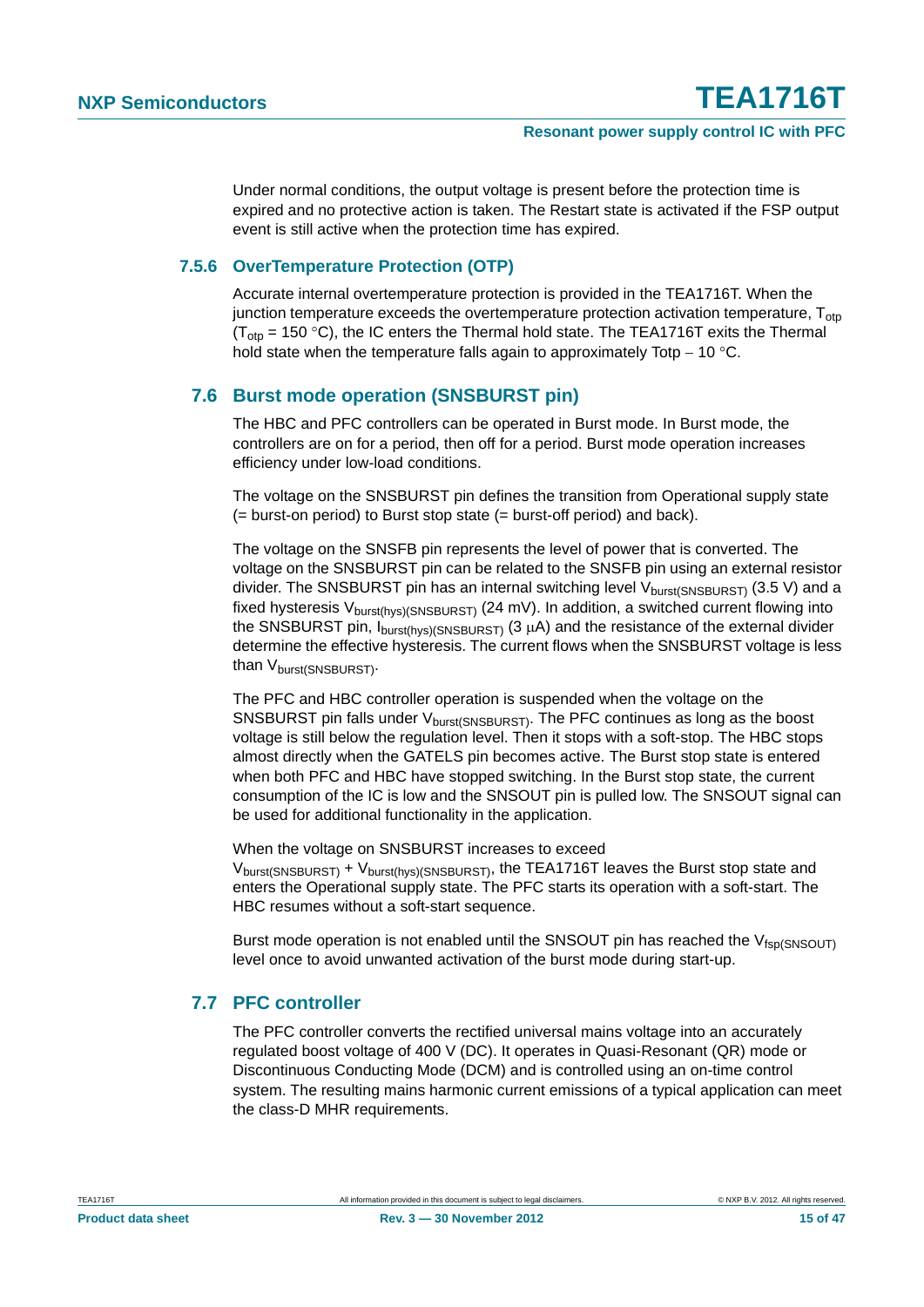Under normal conditions, the output voltage is present before the protection time is expired and no protective action is taken. The Restart state is activated if the FSP output event is still active when the protection time has expired.

#### <span id="page-14-0"></span>**7.5.6 OverTemperature Protection (OTP)**

Accurate internal overtemperature protection is provided in the TEA1716T. When the junction temperature exceeds the overtemperature protection activation temperature,  $T_{\text{otp}}$  $(T<sub>ofo</sub> = 150 °C)$ , the IC enters the Thermal hold state. The TEA1716T exits the Thermal hold state when the temperature falls again to approximately Totp  $-10$  °C.

#### <span id="page-14-1"></span>**7.6 Burst mode operation (SNSBURST pin)**

The HBC and PFC controllers can be operated in Burst mode. In Burst mode, the controllers are on for a period, then off for a period. Burst mode operation increases efficiency under low-load conditions.

The voltage on the SNSBURST pin defines the transition from Operational supply state (= burst-on period) to Burst stop state (= burst-off period) and back).

The voltage on the SNSFB pin represents the level of power that is converted. The voltage on the SNSBURST pin can be related to the SNSFB pin using an external resistor divider. The SNSBURST pin has an internal switching level  $V_{burst(SNSBURST)}$  (3.5 V) and a fixed hysteresis  $V_{burst(hvs)/SNSBURST}$  (24 mV). In addition, a switched current flowing into the SNSBURST pin,  $I_{burst(hvs)(SNSBURST)}$  (3  $\mu$ A) and the resistance of the external divider determine the effective hysteresis. The current flows when the SNSBURST voltage is less than V<sub>burst</sub>(SNSBURST).

The PFC and HBC controller operation is suspended when the voltage on the SNSBURST pin falls under  $V_{\text{burst}$ SNSBURST). The PFC continues as long as the boost voltage is still below the regulation level. Then it stops with a soft-stop. The HBC stops almost directly when the GATELS pin becomes active. The Burst stop state is entered when both PFC and HBC have stopped switching. In the Burst stop state, the current consumption of the IC is low and the SNSOUT pin is pulled low. The SNSOUT signal can be used for additional functionality in the application.

When the voltage on SNSBURST increases to exceed

Vburst(SNSBURST) + Vburst(hys)(SNSBURST), the TEA1716T leaves the Burst stop state and enters the Operational supply state. The PFC starts its operation with a soft-start. The HBC resumes without a soft-start sequence.

Burst mode operation is not enabled until the SNSOUT pin has reached the  $V_{fsp(SNSOUT)}$ level once to avoid unwanted activation of the burst mode during start-up.

### <span id="page-14-2"></span>**7.7 PFC controller**

The PFC controller converts the rectified universal mains voltage into an accurately regulated boost voltage of 400 V (DC). It operates in Quasi-Resonant (QR) mode or Discontinuous Conducting Mode (DCM) and is controlled using an on-time control system. The resulting mains harmonic current emissions of a typical application can meet the class-D MHR requirements.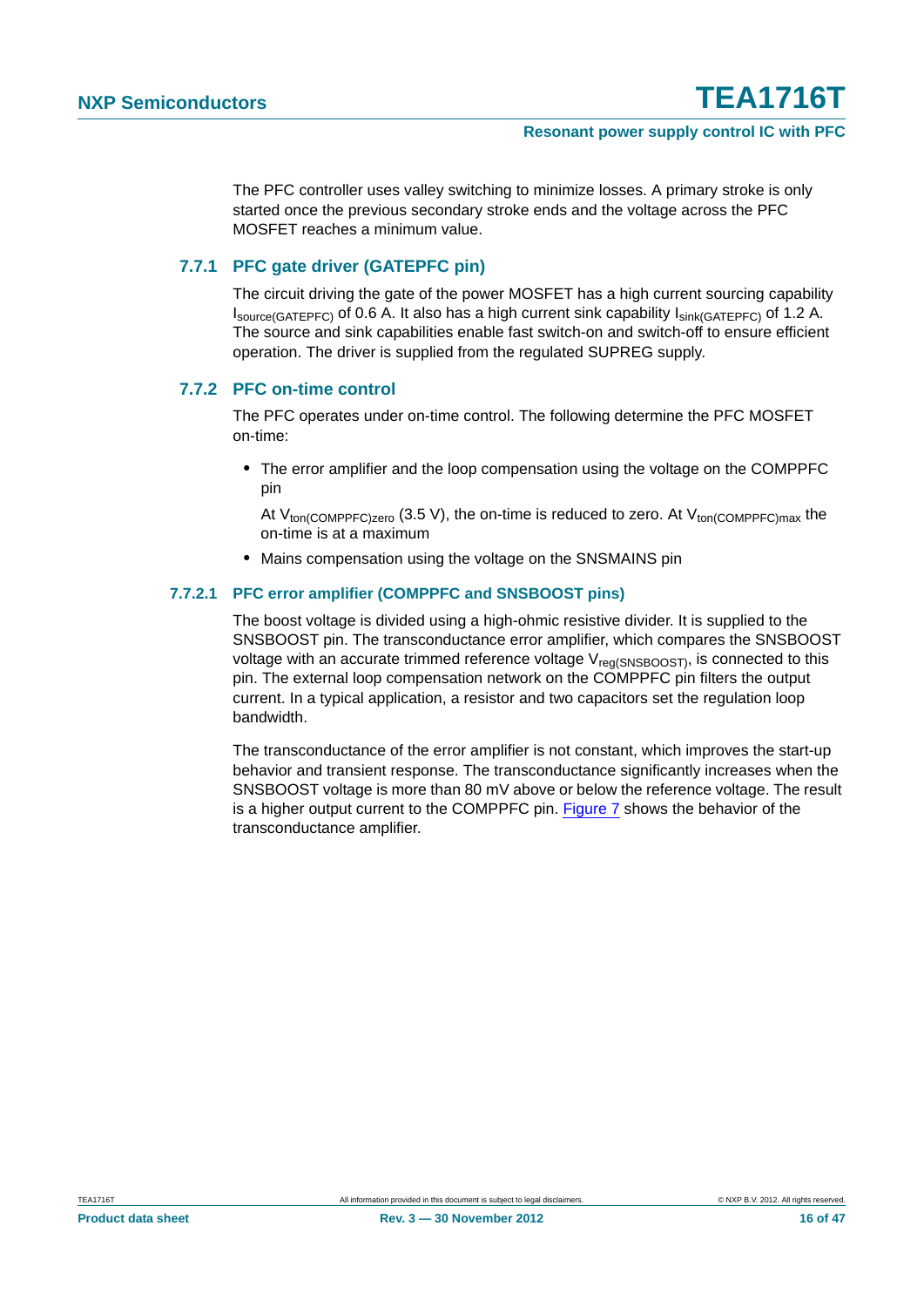The PFC controller uses valley switching to minimize losses. A primary stroke is only started once the previous secondary stroke ends and the voltage across the PFC MOSFET reaches a minimum value.

#### <span id="page-15-0"></span>**7.7.1 PFC gate driver (GATEPFC pin)**

The circuit driving the gate of the power MOSFET has a high current sourcing capability  $I_{\text{source(GATEPFC)}}$  of 0.6 A. It also has a high current sink capability  $I_{\text{sink(GATEPFC)}}$  of 1.2 A. The source and sink capabilities enable fast switch-on and switch-off to ensure efficient operation. The driver is supplied from the regulated SUPREG supply.

#### <span id="page-15-1"></span>**7.7.2 PFC on-time control**

The PFC operates under on-time control. The following determine the PFC MOSFET on-time:

**•** The error amplifier and the loop compensation using the voltage on the COMPPFC pin

At  $V_{\text{ton(COMPPEC)zero}}$  (3.5 V), the on-time is reduced to zero. At  $V_{\text{ton(COMPPEC)max}}$  the on-time is at a maximum

**•** Mains compensation using the voltage on the SNSMAINS pin

#### <span id="page-15-2"></span>**7.7.2.1 PFC error amplifier (COMPPFC and SNSBOOST pins)**

The boost voltage is divided using a high-ohmic resistive divider. It is supplied to the SNSBOOST pin. The transconductance error amplifier, which compares the SNSBOOST voltage with an accurate trimmed reference voltage  $V_{\text{real(SNSBOOST)} }$ , is connected to this pin. The external loop compensation network on the COMPPFC pin filters the output current. In a typical application, a resistor and two capacitors set the regulation loop bandwidth.

The transconductance of the error amplifier is not constant, which improves the start-up behavior and transient response. The transconductance significantly increases when the SNSBOOST voltage is more than 80 mV above or below the reference voltage. The result is a higher output current to the COMPPFC pin. [Figure 7](#page-16-0) shows the behavior of the transconductance amplifier.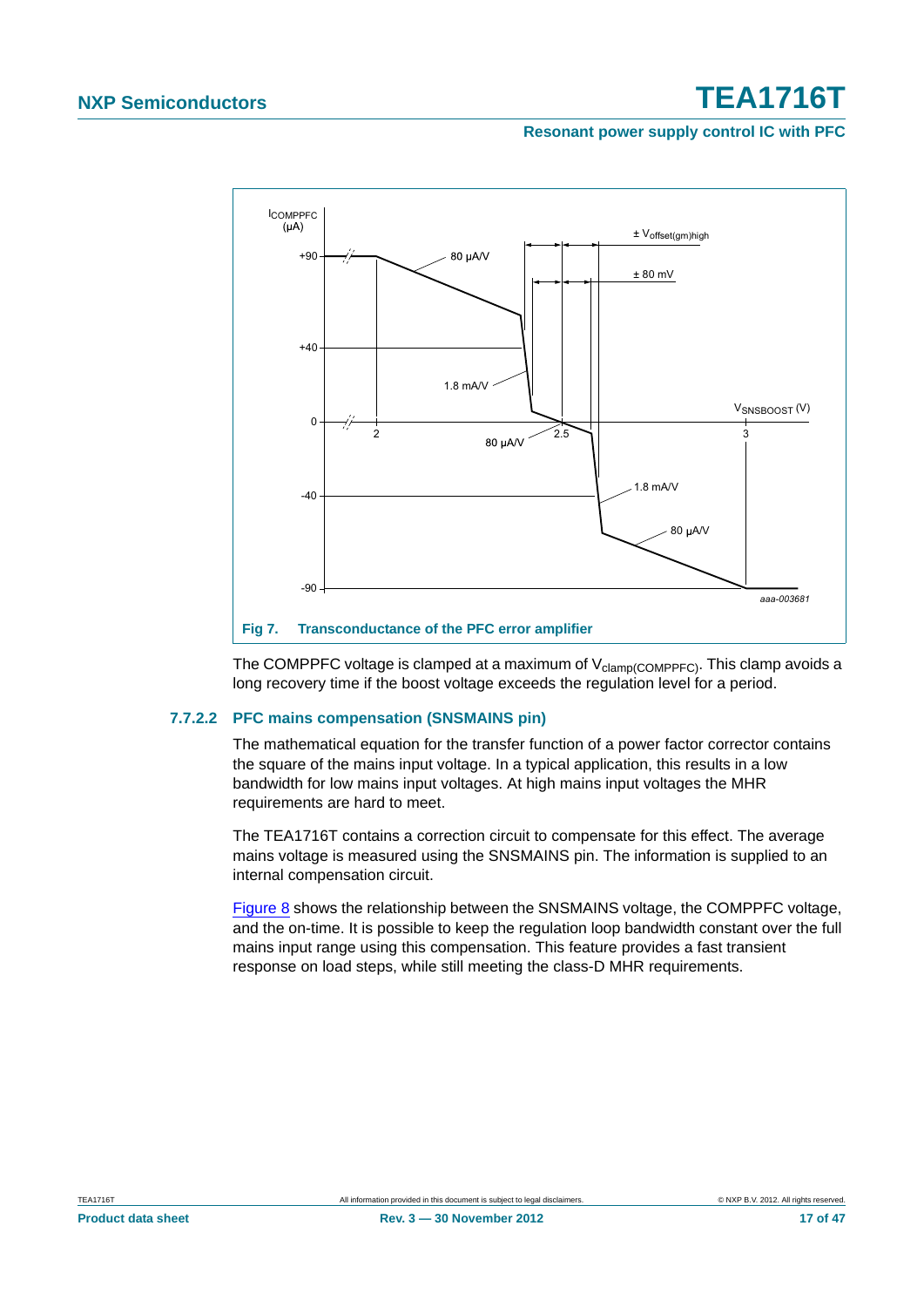#### **Resonant power supply control IC with PFC**



<span id="page-16-0"></span>The COMPPFC voltage is clamped at a maximum of  $V_{\text{clamp(COMPPFC)}}$ . This clamp avoids a long recovery time if the boost voltage exceeds the regulation level for a period.

#### <span id="page-16-1"></span>**7.7.2.2 PFC mains compensation (SNSMAINS pin)**

The mathematical equation for the transfer function of a power factor corrector contains the square of the mains input voltage. In a typical application, this results in a low bandwidth for low mains input voltages. At high mains input voltages the MHR requirements are hard to meet.

The TEA1716T contains a correction circuit to compensate for this effect. The average mains voltage is measured using the SNSMAINS pin. The information is supplied to an internal compensation circuit.

[Figure 8](#page-17-0) shows the relationship between the SNSMAINS voltage, the COMPPFC voltage, and the on-time. It is possible to keep the regulation loop bandwidth constant over the full mains input range using this compensation. This feature provides a fast transient response on load steps, while still meeting the class-D MHR requirements.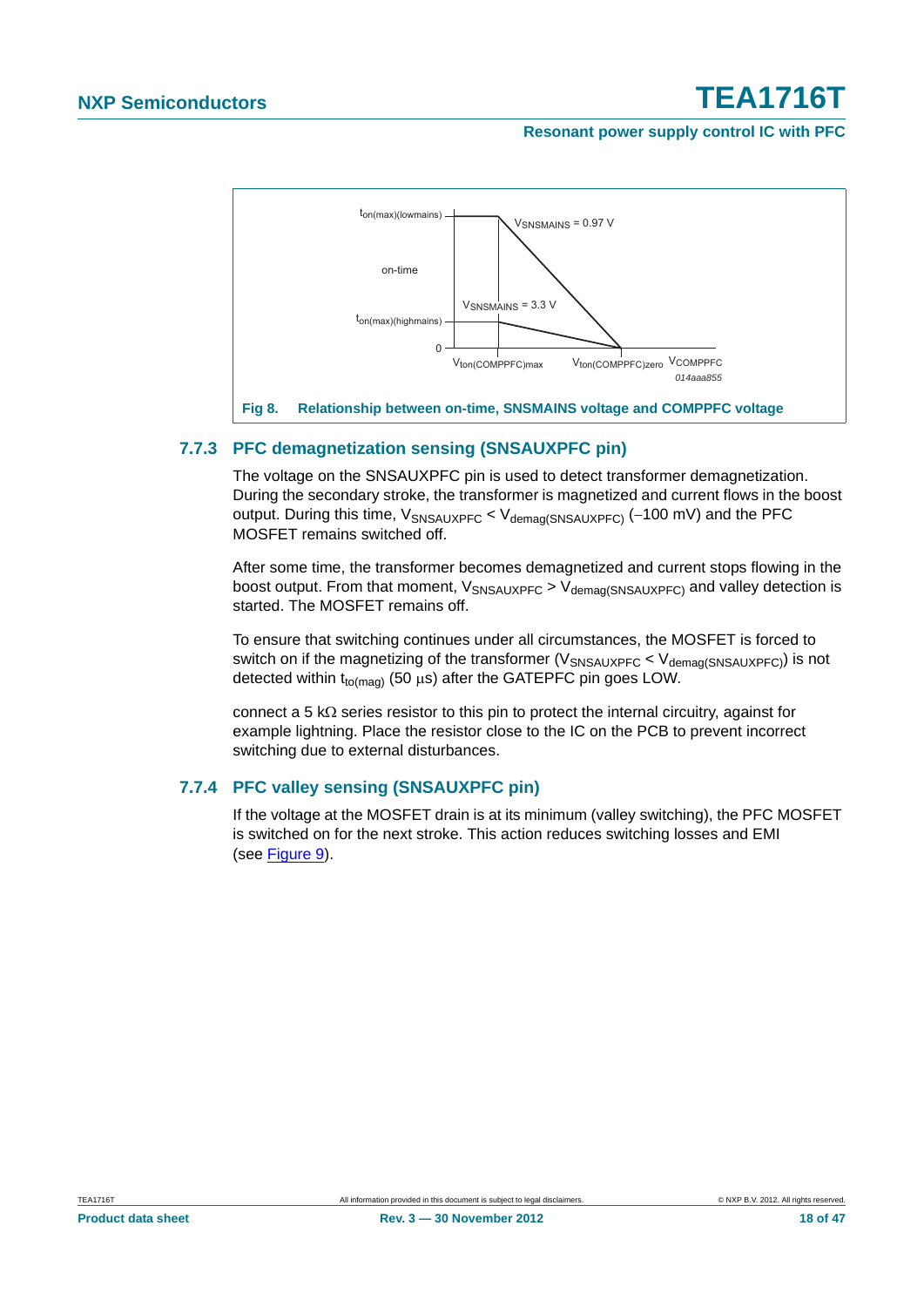#### **Resonant power supply control IC with PFC**



#### <span id="page-17-1"></span>**7.7.3 PFC demagnetization sensing (SNSAUXPFC pin)**

<span id="page-17-0"></span>The voltage on the SNSAUXPFC pin is used to detect transformer demagnetization. During the secondary stroke, the transformer is magnetized and current flows in the boost output. During this time,  $V_{SNSAUXPFC}$  <  $V_{demaa(SNSAUXPFC)}$  (-100 mV) and the PFC MOSFET remains switched off.

After some time, the transformer becomes demagnetized and current stops flowing in the boost output. From that moment,  $V_{SNSAUXPFC}$  >  $V_{demad(SNSAUXFFC)}$  and valley detection is started. The MOSFET remains off.

To ensure that switching continues under all circumstances, the MOSFET is forced to switch on if the magnetizing of the transformer ( $V_{\text{SNSALIXPEC}}$  <  $V_{\text{demad(SNSALIXPEC}}$ ) is not detected within  $t_{to(maa)}$  (50  $\mu$ s) after the GATEPFC pin goes LOW.

connect a 5 k $\Omega$  series resistor to this pin to protect the internal circuitry, against for example lightning. Place the resistor close to the IC on the PCB to prevent incorrect switching due to external disturbances.

#### <span id="page-17-2"></span>**7.7.4 PFC valley sensing (SNSAUXPFC pin)**

If the voltage at the MOSFET drain is at its minimum (valley switching), the PFC MOSFET is switched on for the next stroke. This action reduces switching losses and EMI (see [Figure 9\)](#page-18-0).

**Product data sheet Rev. 3 — 30 November 2012 Rev. 3 — 30 November 2012 18 of 47**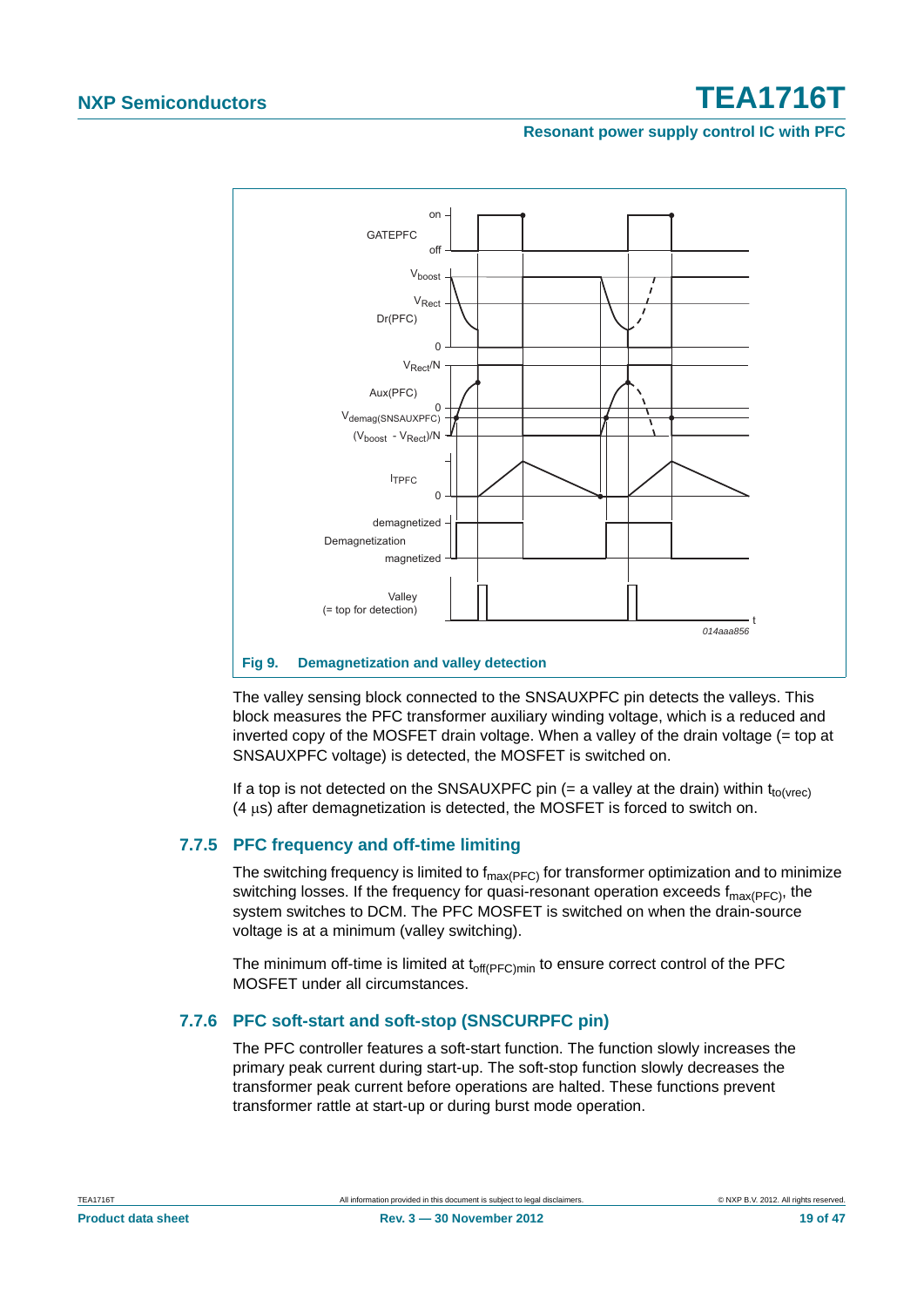#### **Resonant power supply control IC with PFC**



#### <span id="page-18-0"></span>**Fig 9. Demagnetization and valley detection**

The valley sensing block connected to the SNSAUXPFC pin detects the valleys. This block measures the PFC transformer auxiliary winding voltage, which is a reduced and inverted copy of the MOSFET drain voltage. When a valley of the drain voltage (= top at SNSAUXPFC voltage) is detected, the MOSFET is switched on.

If a top is not detected on the SNSAUXPFC pin (= a valley at the drain) within  $t_{to(Vrec)}$  $(4 \text{ µs})$  after demagnetization is detected, the MOSFET is forced to switch on.

#### <span id="page-18-1"></span>**7.7.5 PFC frequency and off-time limiting**

The switching frequency is limited to  $f_{max(PFC)}$  for transformer optimization and to minimize switching losses. If the frequency for quasi-resonant operation exceeds  $f_{\text{max(PFC)}}$ , the system switches to DCM. The PFC MOSFET is switched on when the drain-source voltage is at a minimum (valley switching).

The minimum off-time is limited at  $t_{off(PFC)min}$  to ensure correct control of the PFC MOSFET under all circumstances.

#### <span id="page-18-2"></span>**7.7.6 PFC soft-start and soft-stop (SNSCURPFC pin)**

The PFC controller features a soft-start function. The function slowly increases the primary peak current during start-up. The soft-stop function slowly decreases the transformer peak current before operations are halted. These functions prevent transformer rattle at start-up or during burst mode operation.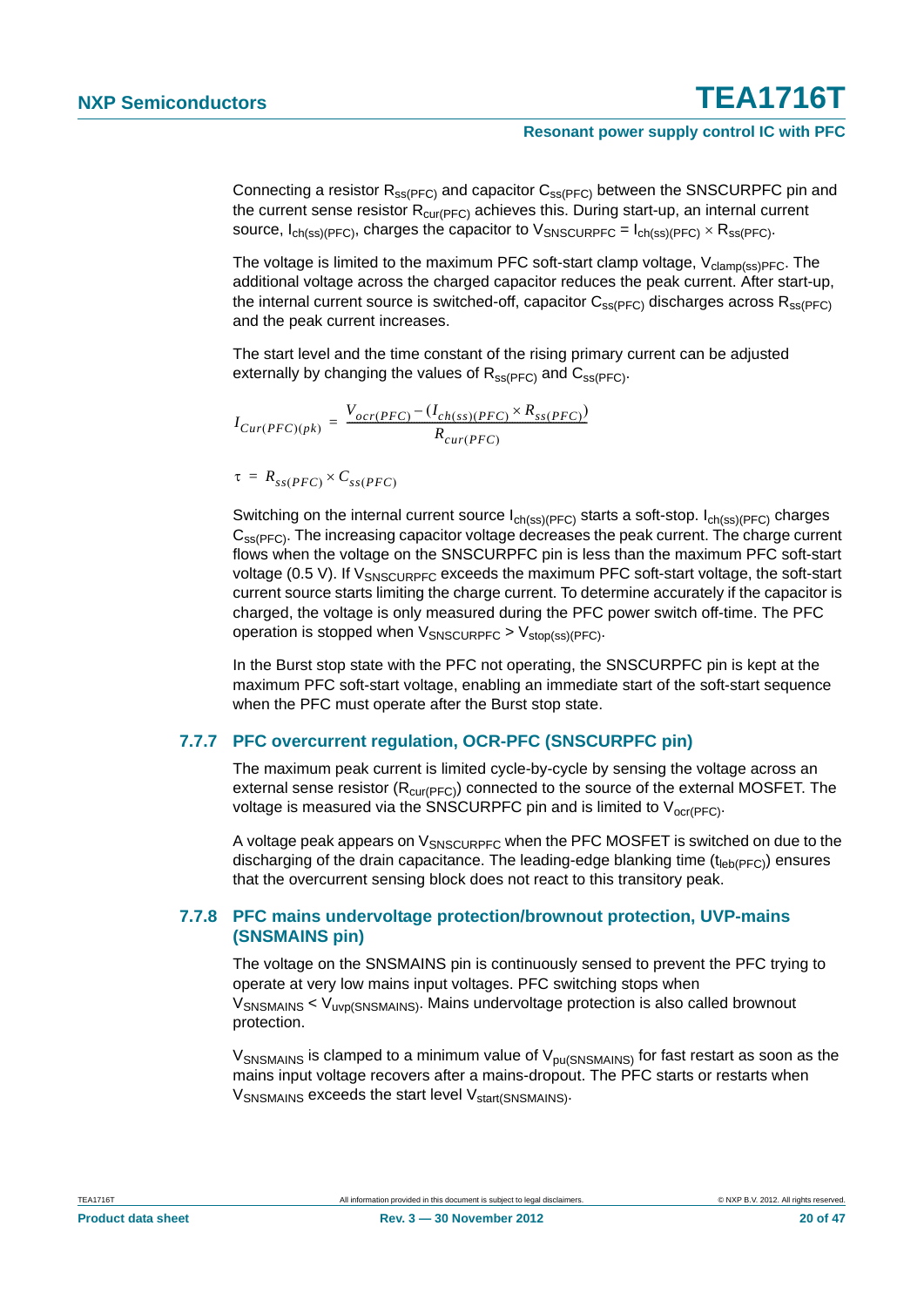Connecting a resistor  $R_{ss(PFC)}$  and capacitor  $C_{ss(PFC)}$  between the SNSCURPFC pin and the current sense resistor  $R_{\text{cur(PFC)}}$  achieves this. During start-up, an internal current source,  $I_{ch(ss)/PFC}$ , charges the capacitor to  $V_{SNSCURPEC} = I_{ch(ss)/PFC} \times R_{ss(PFC)}$ .

The voltage is limited to the maximum PFC soft-start clamp voltage,  $V_{\text{clamp}(ss)PFC}$ . The additional voltage across the charged capacitor reduces the peak current. After start-up, the internal current source is switched-off, capacitor  $C_{ss(PFC)}$  discharges across  $R_{ss(PFC)}$ and the peak current increases.

The start level and the time constant of the rising primary current can be adjusted externally by changing the values of  $R_{ss(PFC)}$  and  $C_{ss(PFC)}$ .

 $I_{Cur(PFC)(pk)} = \frac{V_{ocr(PFC)} - (I_{ch(ss)(PFC)} \times R_{ss(PFC)})}{R}$  $= \frac{corr(PFC) - C_{cn(ss)(PFC)} - ss(PFC)}{R_{cur(PFC)}}$ 

$$
\tau = R_{ss(PFC)} \times C_{ss(PFC)}
$$

Switching on the internal current source  $I_{ch(ss)(PFC)}$  starts a soft-stop.  $I_{ch(ss)(PFC)}$  charges C<sub>SS(PFC)</sub>. The increasing capacitor voltage decreases the peak current. The charge current flows when the voltage on the SNSCURPFC pin is less than the maximum PFC soft-start voltage (0.5 V). If  $V_{SNSCIIRPEC}$  exceeds the maximum PFC soft-start voltage, the soft-start current source starts limiting the charge current. To determine accurately if the capacitor is charged, the voltage is only measured during the PFC power switch off-time. The PFC operation is stopped when  $V_{SNSCURPEC} > V_{stop(ss)(PFC)}$ .

In the Burst stop state with the PFC not operating, the SNSCURPFC pin is kept at the maximum PFC soft-start voltage, enabling an immediate start of the soft-start sequence when the PFC must operate after the Burst stop state.

#### <span id="page-19-0"></span>**7.7.7 PFC overcurrent regulation, OCR-PFC (SNSCURPFC pin)**

The maximum peak current is limited cycle-by-cycle by sensing the voltage across an external sense resistor ( $R_{\text{cur}(PFC)}$ ) connected to the source of the external MOSFET. The voltage is measured via the SNSCURPFC pin and is limited to  $V_{\text{ocr(PFC)}}$ .

A voltage peak appears on  $V_{SNSCIIRPEC}$  when the PFC MOSFET is switched on due to the discharging of the drain capacitance. The leading-edge blanking time  $(t_{\text{leb}(PFC)})$  ensures that the overcurrent sensing block does not react to this transitory peak.

#### <span id="page-19-1"></span>**7.7.8 PFC mains undervoltage protection/brownout protection, UVP-mains (SNSMAINS pin)**

The voltage on the SNSMAINS pin is continuously sensed to prevent the PFC trying to operate at very low mains input voltages. PFC switching stops when V<sub>SNSMAINS</sub> < V<sub>uvp(SNSMAINS)</sub>. Mains undervoltage protection is also called brownout protection.

 $V_{\text{SNSMAINS}}$  is clamped to a minimum value of  $V_{\text{pu(SNSMAINS)}}$  for fast restart as soon as the mains input voltage recovers after a mains-dropout. The PFC starts or restarts when  $V_{\text{SNSMAINS}}$  exceeds the start level  $V_{\text{start(SNSMAINS)}}$ .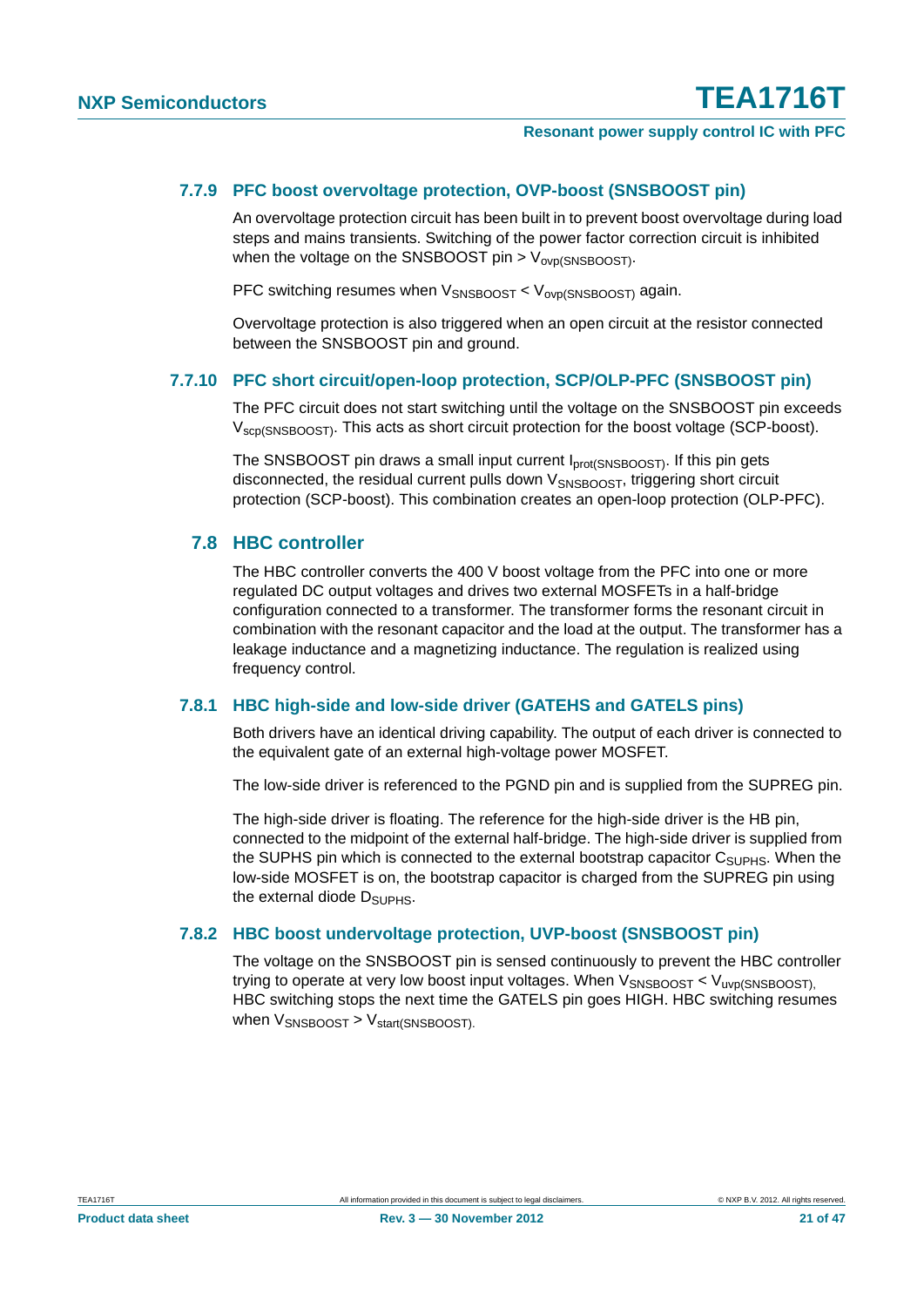#### <span id="page-20-0"></span>**7.7.9 PFC boost overvoltage protection, OVP-boost (SNSBOOST pin)**

An overvoltage protection circuit has been built in to prevent boost overvoltage during load steps and mains transients. Switching of the power factor correction circuit is inhibited when the voltage on the SNSBOOST pin  $>$  V<sub>ovp(SNSBOOST)</sub>.

PFC switching resumes when  $V_{SNSBOOST} < V_{OVD(SNSBOOST)}$  again.

Overvoltage protection is also triggered when an open circuit at the resistor connected between the SNSBOOST pin and ground.

#### <span id="page-20-1"></span>**7.7.10 PFC short circuit/open-loop protection, SCP/OLP-PFC (SNSBOOST pin)**

The PFC circuit does not start switching until the voltage on the SNSBOOST pin exceeds V<sub>SCD</sub>(SNSBOOST). This acts as short circuit protection for the boost voltage (SCP-boost).

The SNSBOOST pin draws a small input current I<sub>prot(SNSBOOST)</sub>. If this pin gets disconnected, the residual current pulls down V<sub>SNSBOOST</sub>, triggering short circuit protection (SCP-boost). This combination creates an open-loop protection (OLP-PFC).

#### <span id="page-20-3"></span>**7.8 HBC controller**

The HBC controller converts the 400 V boost voltage from the PFC into one or more regulated DC output voltages and drives two external MOSFETs in a half-bridge configuration connected to a transformer. The transformer forms the resonant circuit in combination with the resonant capacitor and the load at the output. The transformer has a leakage inductance and a magnetizing inductance. The regulation is realized using frequency control.

#### <span id="page-20-4"></span>**7.8.1 HBC high-side and low-side driver (GATEHS and GATELS pins)**

Both drivers have an identical driving capability. The output of each driver is connected to the equivalent gate of an external high-voltage power MOSFET.

The low-side driver is referenced to the PGND pin and is supplied from the SUPREG pin.

The high-side driver is floating. The reference for the high-side driver is the HB pin, connected to the midpoint of the external half-bridge. The high-side driver is supplied from the SUPHS pin which is connected to the external bootstrap capacitor  $C_{\text{SUPHS}}$ . When the low-side MOSFET is on, the bootstrap capacitor is charged from the SUPREG pin using the external diode  $D_{\text{SUPHS}}$ .

#### <span id="page-20-2"></span>**7.8.2 HBC boost undervoltage protection, UVP-boost (SNSBOOST pin)**

The voltage on the SNSBOOST pin is sensed continuously to prevent the HBC controller trying to operate at very low boost input voltages. When  $V_{\text{SNSBOOST}} < V_{\text{uvp(SNSBOOST)}}$ HBC switching stops the next time the GATELS pin goes HIGH. HBC switching resumes when  $V_{SNSBOOST}$  >  $V_{start(SNSBOOST)}$ .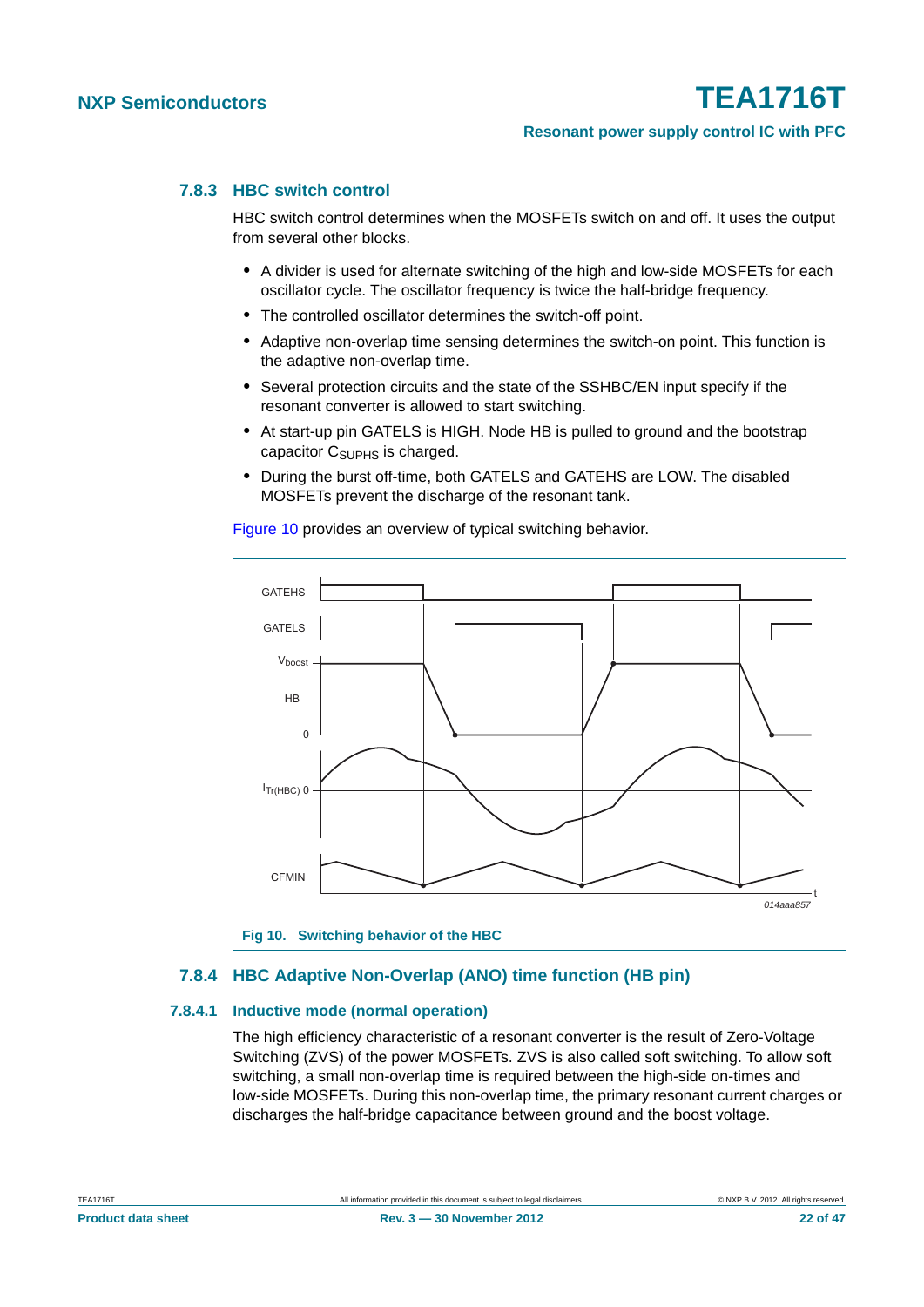#### <span id="page-21-3"></span>**7.8.3 HBC switch control**

HBC switch control determines when the MOSFETs switch on and off. It uses the output from several other blocks.

- **•** A divider is used for alternate switching of the high and low-side MOSFETs for each oscillator cycle. The oscillator frequency is twice the half-bridge frequency.
- **•** The controlled oscillator determines the switch-off point.
- **•** Adaptive non-overlap time sensing determines the switch-on point. This function is the adaptive non-overlap time.
- **•** Several protection circuits and the state of the SSHBC/EN input specify if the resonant converter is allowed to start switching.
- **•** At start-up pin GATELS is HIGH. Node HB is pulled to ground and the bootstrap capacitor  $C_{\text{SUPHS}}$  is charged.
- **•** During the burst off-time, both GATELS and GATEHS are LOW. The disabled MOSFETs prevent the discharge of the resonant tank.

[Figure 10](#page-21-0) provides an overview of typical switching behavior.



#### <span id="page-21-2"></span><span id="page-21-0"></span>**7.8.4 HBC Adaptive Non-Overlap (ANO) time function (HB pin)**

#### <span id="page-21-1"></span>**7.8.4.1 Inductive mode (normal operation)**

The high efficiency characteristic of a resonant converter is the result of Zero-Voltage Switching (ZVS) of the power MOSFETs. ZVS is also called soft switching. To allow soft switching, a small non-overlap time is required between the high-side on-times and low-side MOSFETs. During this non-overlap time, the primary resonant current charges or discharges the half-bridge capacitance between ground and the boost voltage.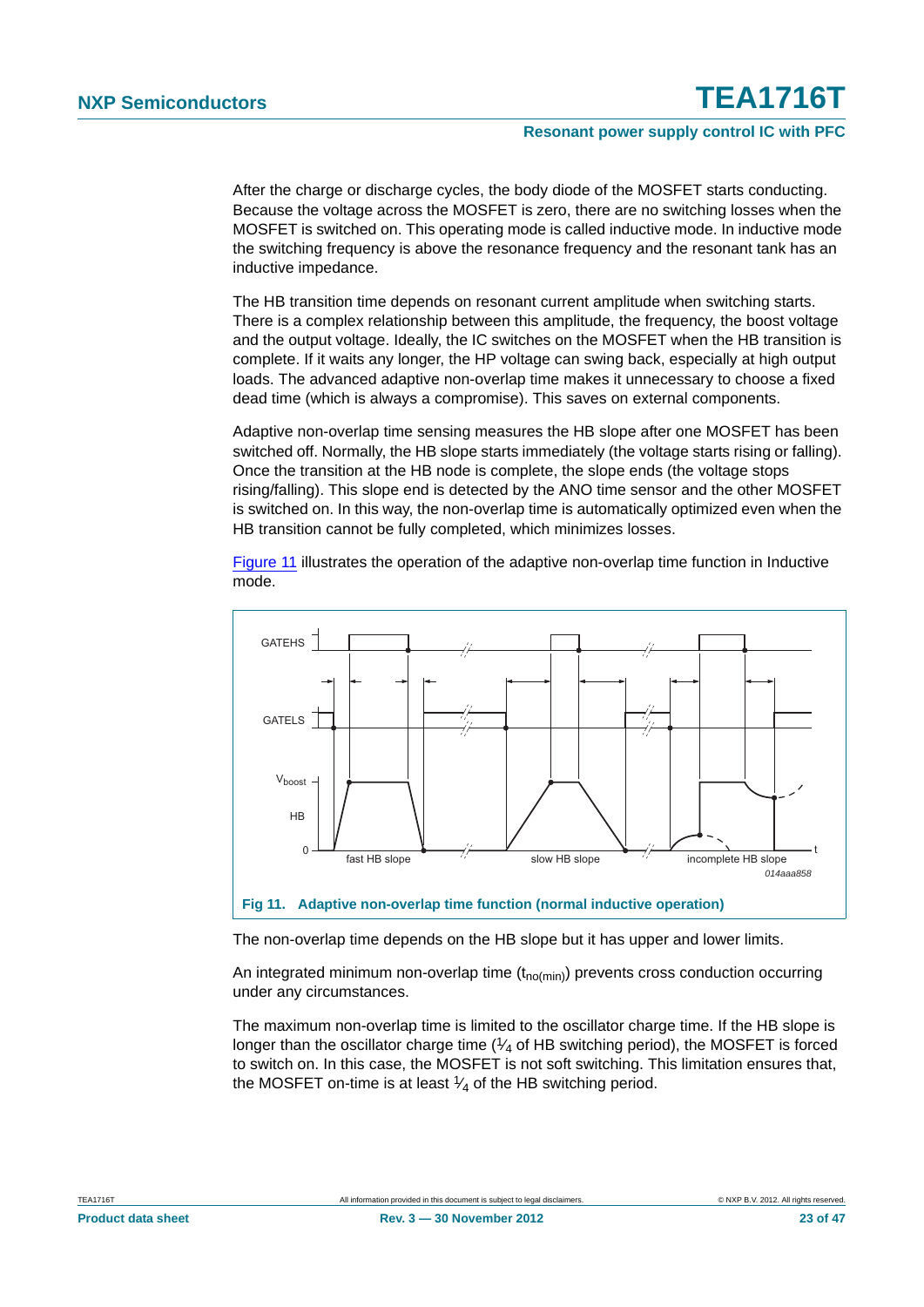After the charge or discharge cycles, the body diode of the MOSFET starts conducting. Because the voltage across the MOSFET is zero, there are no switching losses when the MOSFET is switched on. This operating mode is called inductive mode. In inductive mode the switching frequency is above the resonance frequency and the resonant tank has an inductive impedance.

The HB transition time depends on resonant current amplitude when switching starts. There is a complex relationship between this amplitude, the frequency, the boost voltage and the output voltage. Ideally, the IC switches on the MOSFET when the HB transition is complete. If it waits any longer, the HP voltage can swing back, especially at high output loads. The advanced adaptive non-overlap time makes it unnecessary to choose a fixed dead time (which is always a compromise). This saves on external components.

Adaptive non-overlap time sensing measures the HB slope after one MOSFET has been switched off. Normally, the HB slope starts immediately (the voltage starts rising or falling). Once the transition at the HB node is complete, the slope ends (the voltage stops rising/falling). This slope end is detected by the ANO time sensor and the other MOSFET is switched on. In this way, the non-overlap time is automatically optimized even when the HB transition cannot be fully completed, which minimizes losses.

[Figure 11](#page-22-0) illustrates the operation of the adaptive non-overlap time function in Inductive mode.



<span id="page-22-0"></span>The non-overlap time depends on the HB slope but it has upper and lower limits.

An integrated minimum non-overlap time  $(t_{no(min)})$  prevents cross conduction occurring under any circumstances.

The maximum non-overlap time is limited to the oscillator charge time. If the HB slope is longer than the oscillator charge time  $(1/4)$  of HB switching period), the MOSFET is forced to switch on. In this case, the MOSFET is not soft switching. This limitation ensures that, the MOSFET on-time is at least  $\frac{1}{4}$  of the HB switching period.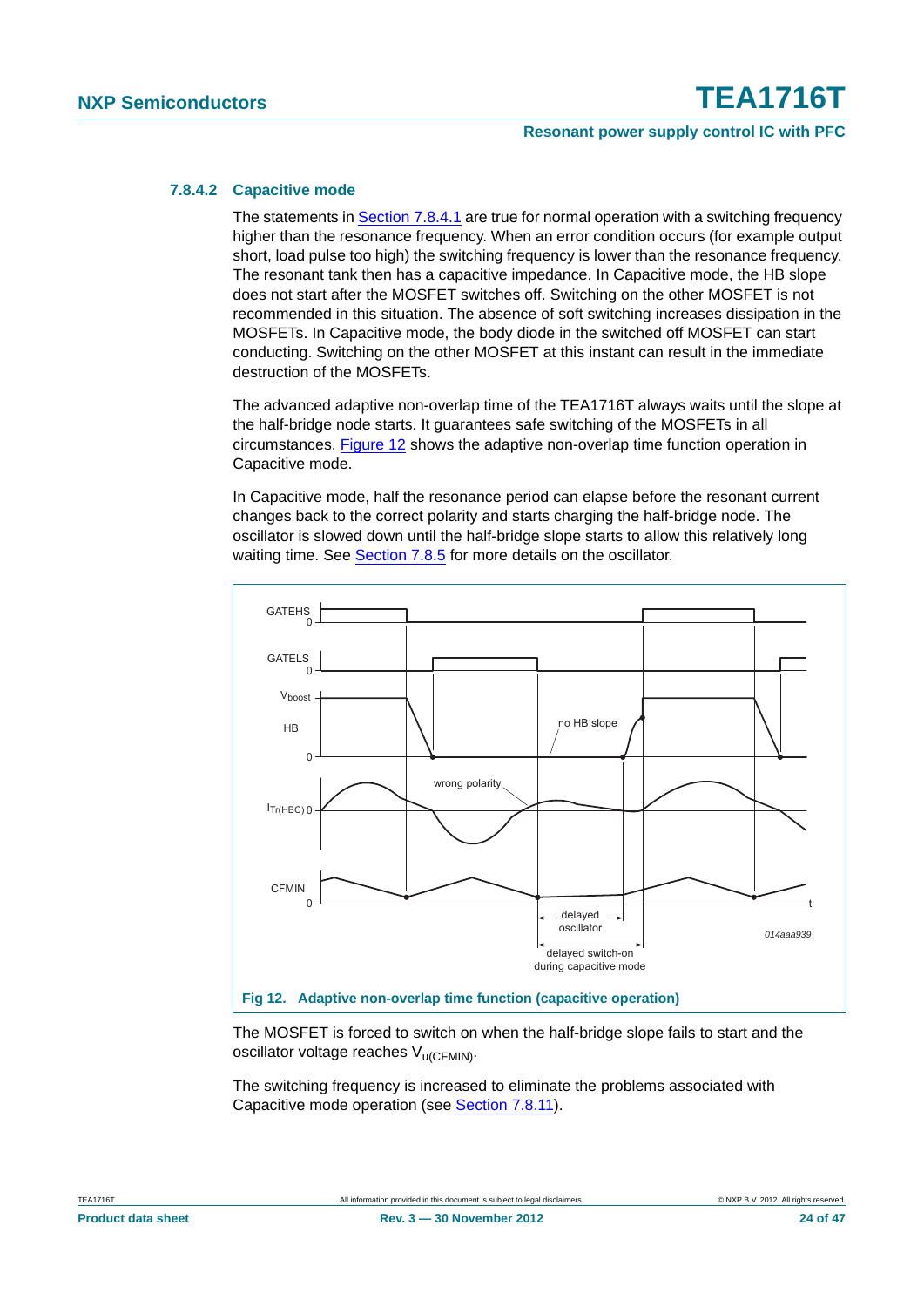#### **Resonant power supply control IC with PFC**

#### <span id="page-23-1"></span>**7.8.4.2 Capacitive mode**

The statements in [Section 7.8.4.1](#page-21-1) are true for normal operation with a switching frequency higher than the resonance frequency. When an error condition occurs (for example output short, load pulse too high) the switching frequency is lower than the resonance frequency. The resonant tank then has a capacitive impedance. In Capacitive mode, the HB slope does not start after the MOSFET switches off. Switching on the other MOSFET is not recommended in this situation. The absence of soft switching increases dissipation in the MOSFETs. In Capacitive mode, the body diode in the switched off MOSFET can start conducting. Switching on the other MOSFET at this instant can result in the immediate destruction of the MOSFETs.

The advanced adaptive non-overlap time of the TEA1716T always waits until the slope at the half-bridge node starts. It guarantees safe switching of the MOSFETs in all circumstances. [Figure 12](#page-23-0) shows the adaptive non-overlap time function operation in Capacitive mode.

In Capacitive mode, half the resonance period can elapse before the resonant current changes back to the correct polarity and starts charging the half-bridge node. The oscillator is slowed down until the half-bridge slope starts to allow this relatively long waiting time. See [Section 7.8.5](#page-24-0) for more details on the oscillator.



<span id="page-23-0"></span>The MOSFET is forced to switch on when the half-bridge slope fails to start and the oscillator voltage reaches V<sub>u</sub>(CFMIN).

The switching frequency is increased to eliminate the problems associated with Capacitive mode operation (see [Section 7.8.11](#page-30-1)).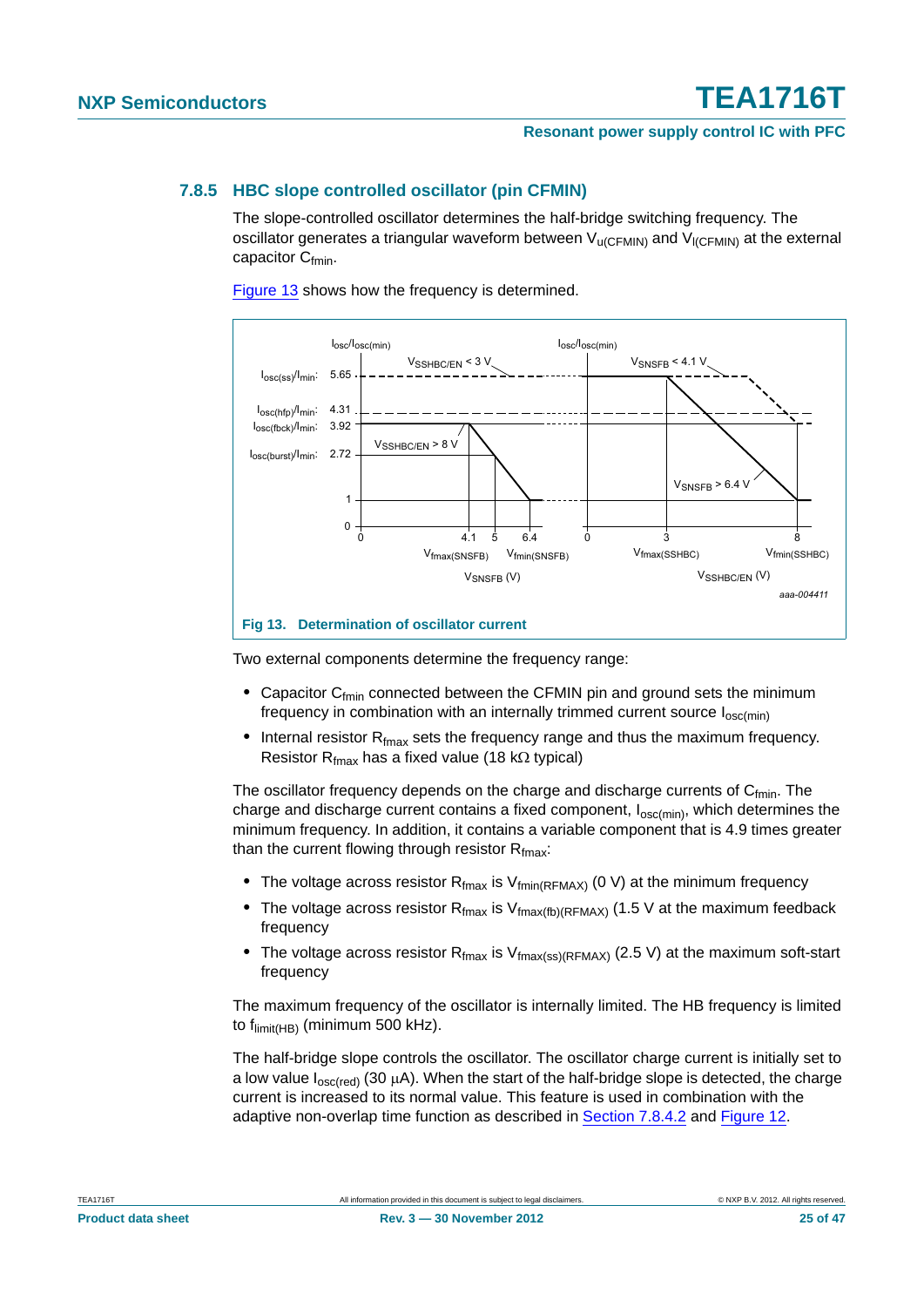#### **Resonant power supply control IC with PFC**

#### <span id="page-24-0"></span>**7.8.5 HBC slope controlled oscillator (pin CFMIN)**

The slope-controlled oscillator determines the half-bridge switching frequency. The oscillator generates a triangular waveform between  $V_{\text{U(CFMIN)}}$  and  $V_{\text{ICFMIN}}$  at the external capacitor  $C_{fmin}$ .

[Figure 13](#page-24-1) shows how the frequency is determined.



<span id="page-24-1"></span>Two external components determine the frequency range:

- Capacitor C<sub>fmin</sub> connected between the CFMIN pin and ground sets the minimum frequency in combination with an internally trimmed current source  $I_{osc(min)}$
- Internal resistor R<sub>fmax</sub> sets the frequency range and thus the maximum frequency. Resistor R $_{\text{fmax}}$  has a fixed value (18 k $\Omega$  typical)

The oscillator frequency depends on the charge and discharge currents of  $C_{fmin}$ . The charge and discharge current contains a fixed component,  $I_{osc(min)}$ , which determines the minimum frequency. In addition, it contains a variable component that is 4.9 times greater than the current flowing through resistor  $R_{\text{fmax}}$ :

- The voltage across resistor  $R_{\text{fmax}}$  is  $V_{\text{fmin}(R_{\text{FMAX}})}$  (0 V) at the minimum frequency
- The voltage across resistor  $R_{\text{fmax}}$  is  $V_{\text{fmax(fb)}(RFMAX)}$  (1.5 V at the maximum feedback frequency
- The voltage across resistor R<sub>fmax</sub> is V<sub>fmax(ss)</sub>(RFMAX) (2.5 V) at the maximum soft-start frequency

The maximum frequency of the oscillator is internally limited. The HB frequency is limited to f<sub>limit(HB)</sub> (minimum 500 kHz).

The half-bridge slope controls the oscillator. The oscillator charge current is initially set to a low value  $I_{\text{osc}(\text{red})}$  (30  $\mu$ A). When the start of the half-bridge slope is detected, the charge current is increased to its normal value. This feature is used in combination with the adaptive non-overlap time function as described in [Section 7.8.4.2](#page-23-1) and [Figure 12.](#page-23-0)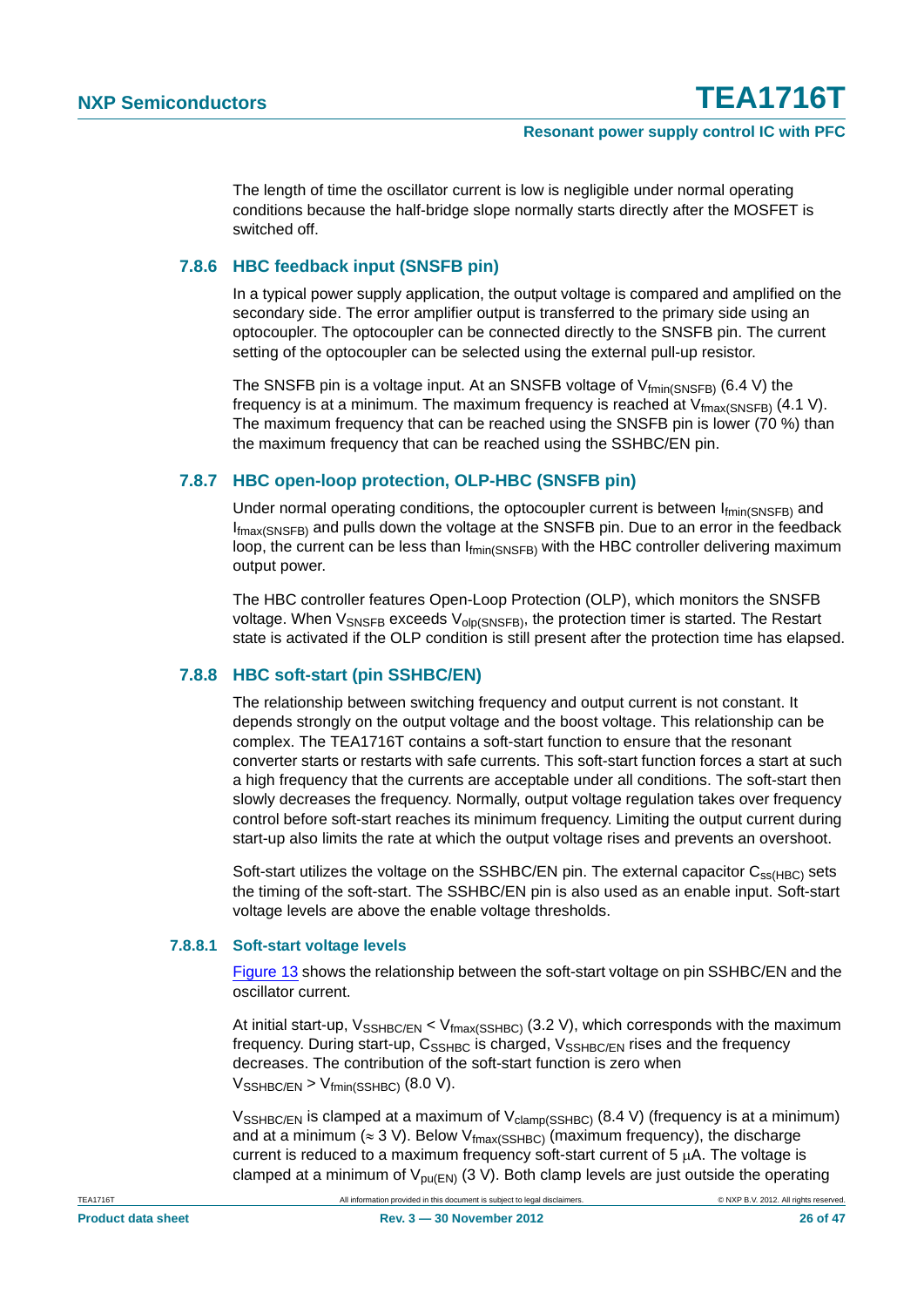The length of time the oscillator current is low is negligible under normal operating conditions because the half-bridge slope normally starts directly after the MOSFET is switched off.

#### <span id="page-25-1"></span>**7.8.6 HBC feedback input (SNSFB pin)**

In a typical power supply application, the output voltage is compared and amplified on the secondary side. The error amplifier output is transferred to the primary side using an optocoupler. The optocoupler can be connected directly to the SNSFB pin. The current setting of the optocoupler can be selected using the external pull-up resistor.

The SNSFB pin is a voltage input. At an SNSFB voltage of  $V_{fmin(SNSFB)}$  (6.4 V) the frequency is at a minimum. The maximum frequency is reached at  $V_{\text{fmax(SNSFB)}}$  (4.1 V). The maximum frequency that can be reached using the SNSFB pin is lower (70 %) than the maximum frequency that can be reached using the SSHBC/EN pin.

#### <span id="page-25-0"></span>**7.8.7 HBC open-loop protection, OLP-HBC (SNSFB pin)**

Under normal operating conditions, the optocoupler current is between  $I_{\text{fmin(SNSFB)}}$  and  $I_{\text{fmax(SNSFR)}}$  and pulls down the voltage at the SNSFB pin. Due to an error in the feedback loop, the current can be less than Ifmin(SNSFB) with the HBC controller delivering maximum output power.

The HBC controller features Open-Loop Protection (OLP), which monitors the SNSFB voltage. When  $V_{\text{SNSFB}}$  exceeds  $V_{\text{olo(SNSFB)}}$ , the protection timer is started. The Restart state is activated if the OLP condition is still present after the protection time has elapsed.

#### <span id="page-25-2"></span>**7.8.8 HBC soft-start (pin SSHBC/EN)**

The relationship between switching frequency and output current is not constant. It depends strongly on the output voltage and the boost voltage. This relationship can be complex. The TEA1716T contains a soft-start function to ensure that the resonant converter starts or restarts with safe currents. This soft-start function forces a start at such a high frequency that the currents are acceptable under all conditions. The soft-start then slowly decreases the frequency. Normally, output voltage regulation takes over frequency control before soft-start reaches its minimum frequency. Limiting the output current during start-up also limits the rate at which the output voltage rises and prevents an overshoot.

Soft-start utilizes the voltage on the SSHBC/EN pin. The external capacitor  $C_{ss(HBC)}$  sets the timing of the soft-start. The SSHBC/EN pin is also used as an enable input. Soft-start voltage levels are above the enable voltage thresholds.

#### <span id="page-25-3"></span>**7.8.8.1 Soft-start voltage levels**

[Figure 13](#page-24-1) shows the relationship between the soft-start voltage on pin SSHBC/EN and the oscillator current.

At initial start-up,  $V_{SSHBC/EN}$  <  $V_{fmax(SSHBC)}$  (3.2 V), which corresponds with the maximum frequency. During start-up,  $C_{SSHBC}$  is charged,  $V_{SSHBC/EN}$  rises and the frequency decreases. The contribution of the soft-start function is zero when  $V_{\text{SSHBC/FN}}$  >  $V_{\text{fmin}(\text{SSHBC})}$  (8.0 V).

 $V_{\text{SSHBCEN}}$  is clamped at a maximum of  $V_{\text{clamp}(\text{SSHBC})}$  (8.4 V) (frequency is at a minimum) and at a minimum ( $\approx$  3 V). Below V<sub>fmax(SSHBC)</sub> (maximum frequency), the discharge current is reduced to a maximum frequency soft-start current of  $5 \mu A$ . The voltage is clamped at a minimum of  $V_{pu(EN)}$  (3 V). Both clamp levels are just outside the operating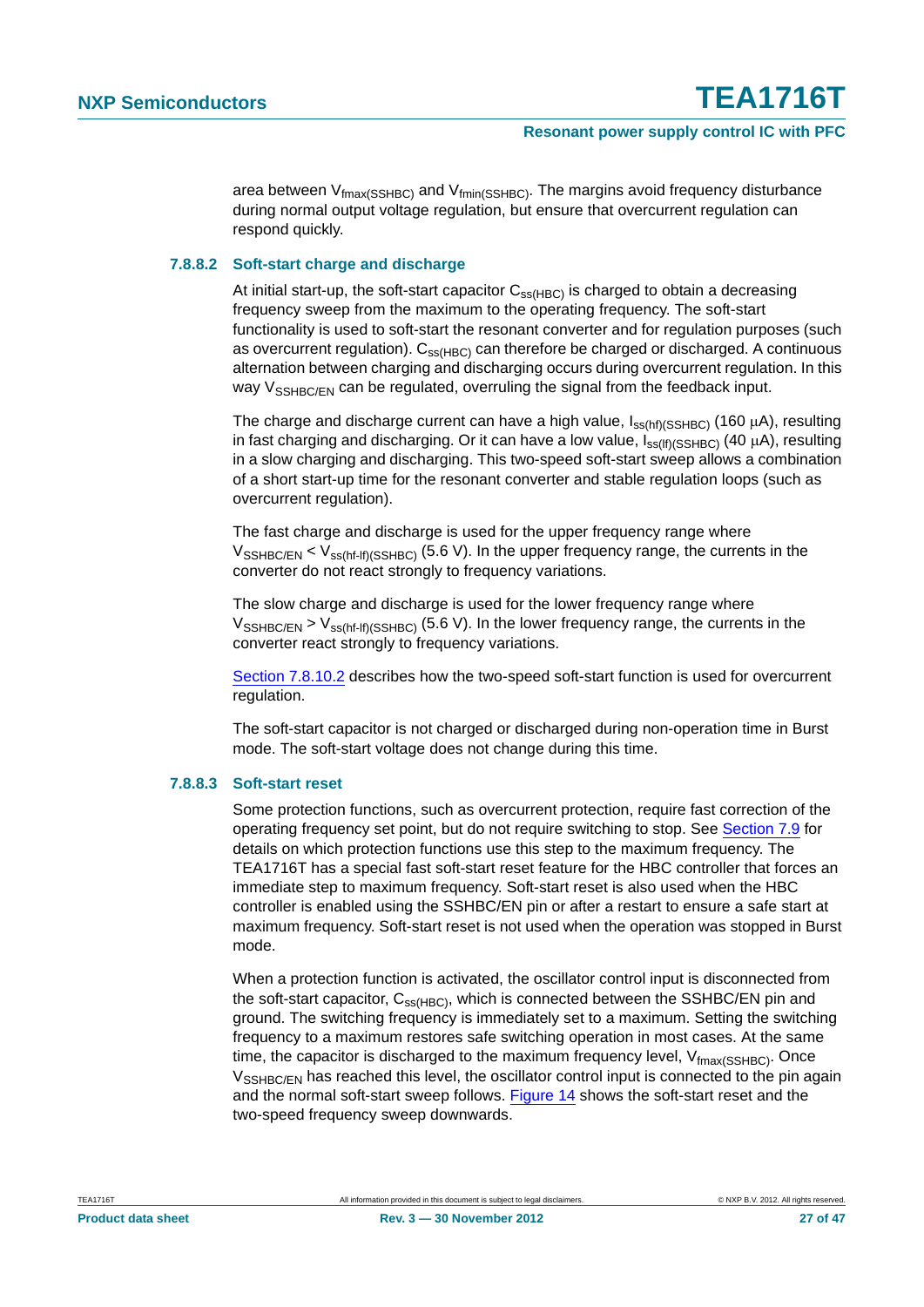area between  $V_{\text{fmax}(\text{SSHBC})}$  and  $V_{\text{fmin}(\text{SSHBC})}$ . The margins avoid frequency disturbance during normal output voltage regulation, but ensure that overcurrent regulation can respond quickly.

#### <span id="page-26-0"></span>**7.8.8.2 Soft-start charge and discharge**

At initial start-up, the soft-start capacitor  $C_{ss(HBC)}$  is charged to obtain a decreasing frequency sweep from the maximum to the operating frequency. The soft-start functionality is used to soft-start the resonant converter and for regulation purposes (such as overcurrent regulation).  $C_{ss(HBC)}$  can therefore be charged or discharged. A continuous alternation between charging and discharging occurs during overcurrent regulation. In this way  $V_{\text{SSHRC/FN}}$  can be regulated, overruling the signal from the feedback input.

The charge and discharge current can have a high value,  $I_{ss(ht)}(SSHBC)$  (160  $\mu$ A), resulting in fast charging and discharging. Or it can have a low value,  $I_{ss(If)(SSHBC)}$  (40 µA), resulting in a slow charging and discharging. This two-speed soft-start sweep allows a combination of a short start-up time for the resonant converter and stable regulation loops (such as overcurrent regulation).

The fast charge and discharge is used for the upper frequency range where  $V_{\text{SSHBCEN}}$  <  $V_{\text{ss(hf-fh/SSHBC)}}$  (5.6 V). In the upper frequency range, the currents in the converter do not react strongly to frequency variations.

The slow charge and discharge is used for the lower frequency range where  $V_{\text{SSHBCEN}}$  >  $V_{\text{ss(hf-f)}(\text{SSHBC})}$  (5.6 V). In the lower frequency range, the currents in the converter react strongly to frequency variations.

[Section 7.8.10.2](#page-28-0) describes how the two-speed soft-start function is used for overcurrent regulation.

The soft-start capacitor is not charged or discharged during non-operation time in Burst mode. The soft-start voltage does not change during this time.

#### <span id="page-26-1"></span>**7.8.8.3 Soft-start reset**

Some protection functions, such as overcurrent protection, require fast correction of the operating frequency set point, but do not require switching to stop. See [Section 7.9](#page-30-0) for details on which protection functions use this step to the maximum frequency. The TEA1716T has a special fast soft-start reset feature for the HBC controller that forces an immediate step to maximum frequency. Soft-start reset is also used when the HBC controller is enabled using the SSHBC/EN pin or after a restart to ensure a safe start at maximum frequency. Soft-start reset is not used when the operation was stopped in Burst mode.

When a protection function is activated, the oscillator control input is disconnected from the soft-start capacitor,  $C_{ss(HBC)}$ , which is connected between the SSHBC/EN pin and ground. The switching frequency is immediately set to a maximum. Setting the switching frequency to a maximum restores safe switching operation in most cases. At the same time, the capacitor is discharged to the maximum frequency level,  $V_{\text{fmax}(\text{SSHBC})}$ . Once V<sub>SSHBC/EN</sub> has reached this level, the oscillator control input is connected to the pin again and the normal soft-start sweep follows. [Figure 14](#page-27-0) shows the soft-start reset and the two-speed frequency sweep downwards.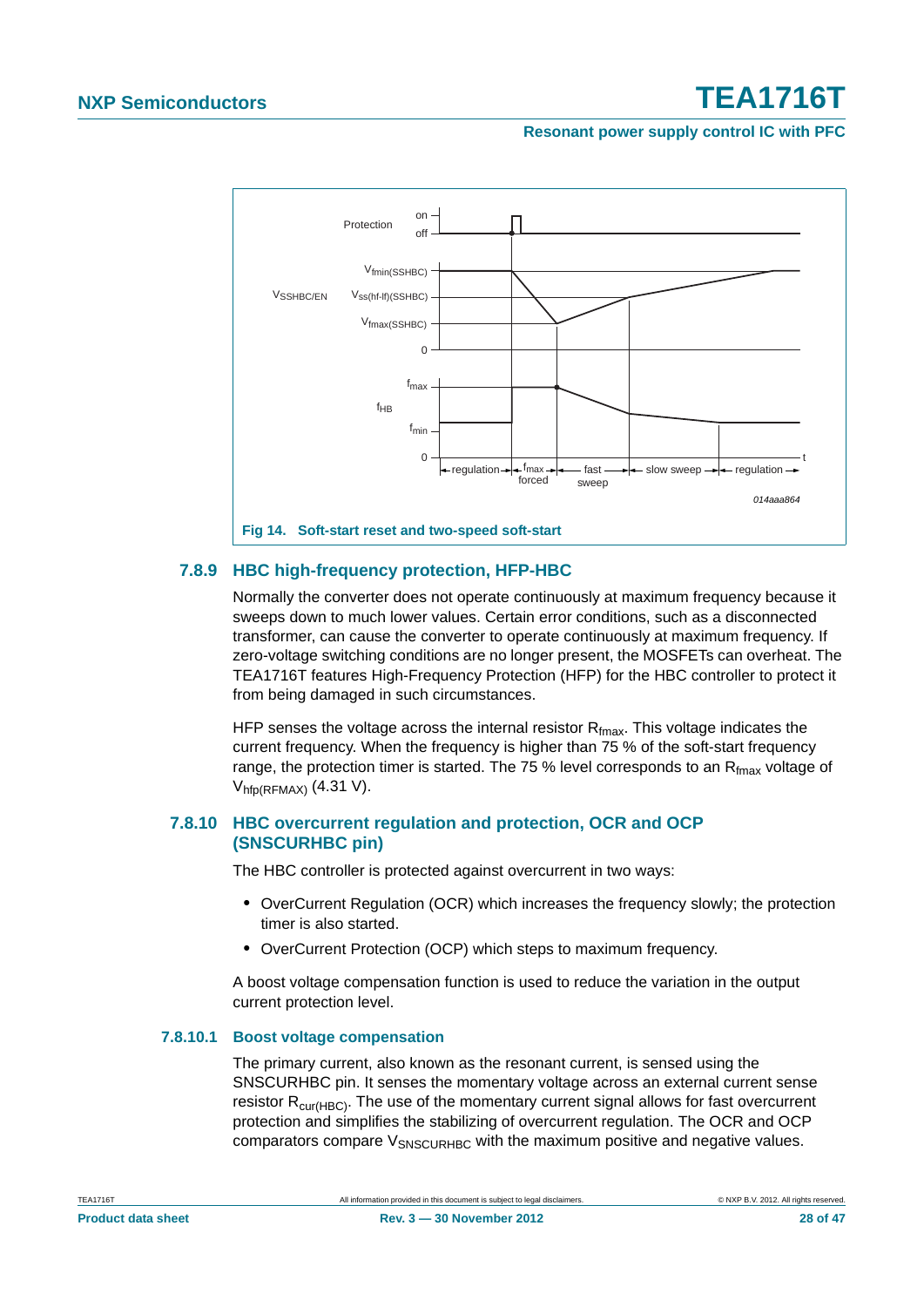#### **Resonant power supply control IC with PFC**



#### <span id="page-27-1"></span>**7.8.9 HBC high-frequency protection, HFP-HBC**

<span id="page-27-0"></span>Normally the converter does not operate continuously at maximum frequency because it sweeps down to much lower values. Certain error conditions, such as a disconnected transformer, can cause the converter to operate continuously at maximum frequency. If zero-voltage switching conditions are no longer present, the MOSFETs can overheat. The TEA1716T features High-Frequency Protection (HFP) for the HBC controller to protect it from being damaged in such circumstances.

HFP senses the voltage across the internal resistor  $R_{fmax}$ . This voltage indicates the current frequency. When the frequency is higher than 75 % of the soft-start frequency range, the protection timer is started. The 75 % level corresponds to an  $R_{\text{fmax}}$  voltage of  $V_{hfD(RFMAX)}$  (4.31 V).

#### <span id="page-27-2"></span>**7.8.10 HBC overcurrent regulation and protection, OCR and OCP (SNSCURHBC pin)**

The HBC controller is protected against overcurrent in two ways:

- **•** OverCurrent Regulation (OCR) which increases the frequency slowly; the protection timer is also started.
- **•** OverCurrent Protection (OCP) which steps to maximum frequency.

A boost voltage compensation function is used to reduce the variation in the output current protection level.

#### <span id="page-27-3"></span>**7.8.10.1 Boost voltage compensation**

The primary current, also known as the resonant current, is sensed using the SNSCURHBC pin. It senses the momentary voltage across an external current sense resistor  $R_{\text{cur(HBC)}}$ . The use of the momentary current signal allows for fast overcurrent protection and simplifies the stabilizing of overcurrent regulation. The OCR and OCP comparators compare  $V_{SNSCIIBHBC}$  with the maximum positive and negative values.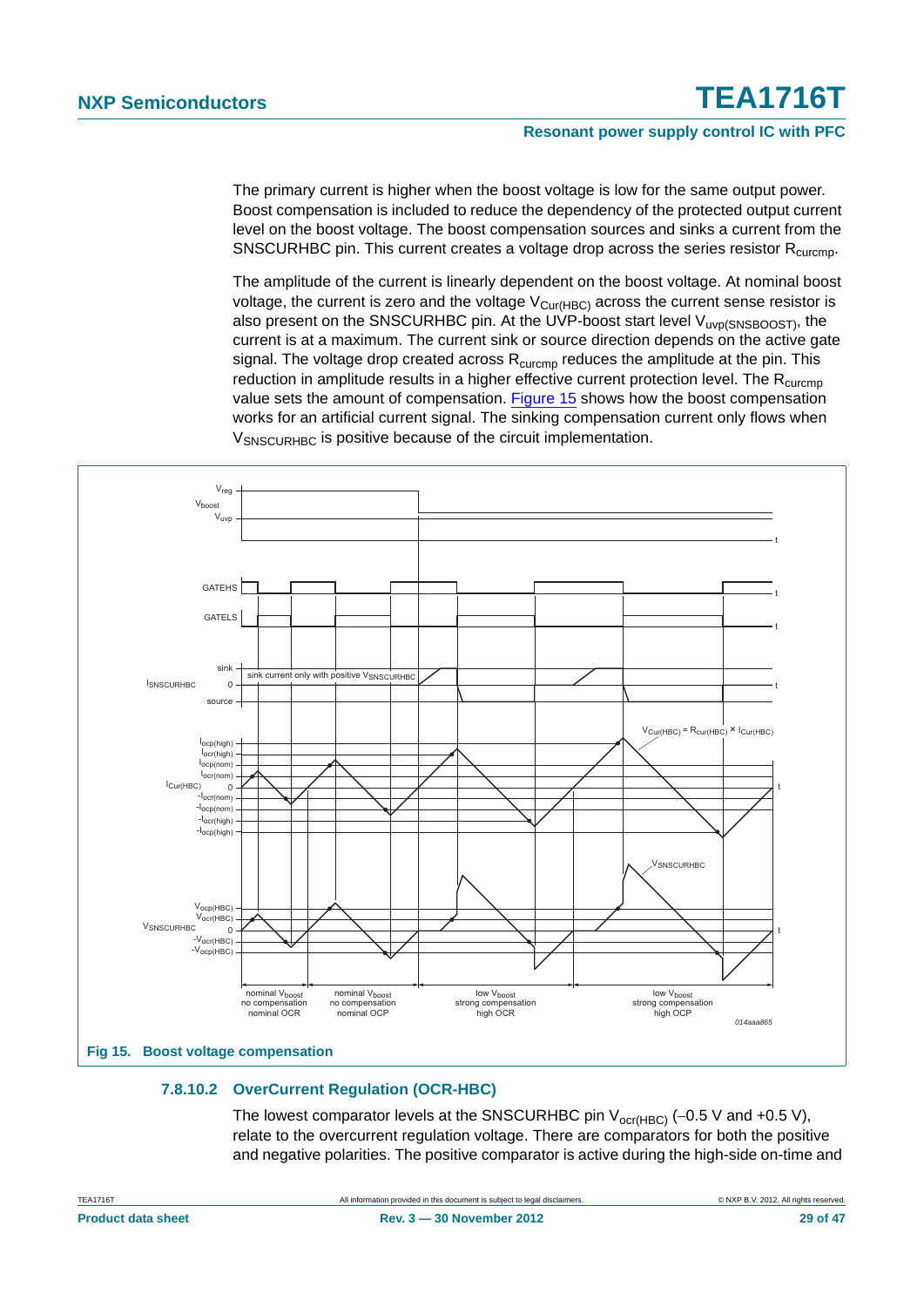#### **Resonant power supply control IC with PFC**

The primary current is higher when the boost voltage is low for the same output power. Boost compensation is included to reduce the dependency of the protected output current level on the boost voltage. The boost compensation sources and sinks a current from the SNSCURHBC pin. This current creates a voltage drop across the series resistor  $R_{\text{curcmo}}$ .

The amplitude of the current is linearly dependent on the boost voltage. At nominal boost voltage, the current is zero and the voltage  $V_{\text{Cur(HBC)}}$  across the current sense resistor is also present on the SNSCURHBC pin. At the UVP-boost start level V<sub>uvp(SNSBOOST)</sub>, the current is at a maximum. The current sink or source direction depends on the active gate signal. The voltage drop created across  $R_{\text{curcmp}}$  reduces the amplitude at the pin. This reduction in amplitude results in a higher effective current protection level. The  $R_{\text{curcmp}}$ value sets the amount of compensation. [Figure 15](#page-28-1) shows how the boost compensation works for an artificial current signal. The sinking compensation current only flows when V<sub>SNSCURHBC</sub> is positive because of the circuit implementation.



#### <span id="page-28-1"></span><span id="page-28-0"></span>**7.8.10.2 OverCurrent Regulation (OCR-HBC)**

The lowest comparator levels at the SNSCURHBC pin  $V_{ocr(HBC)}$  (-0.5 V and +0.5 V), relate to the overcurrent regulation voltage. There are comparators for both the positive and negative polarities. The positive comparator is active during the high-side on-time and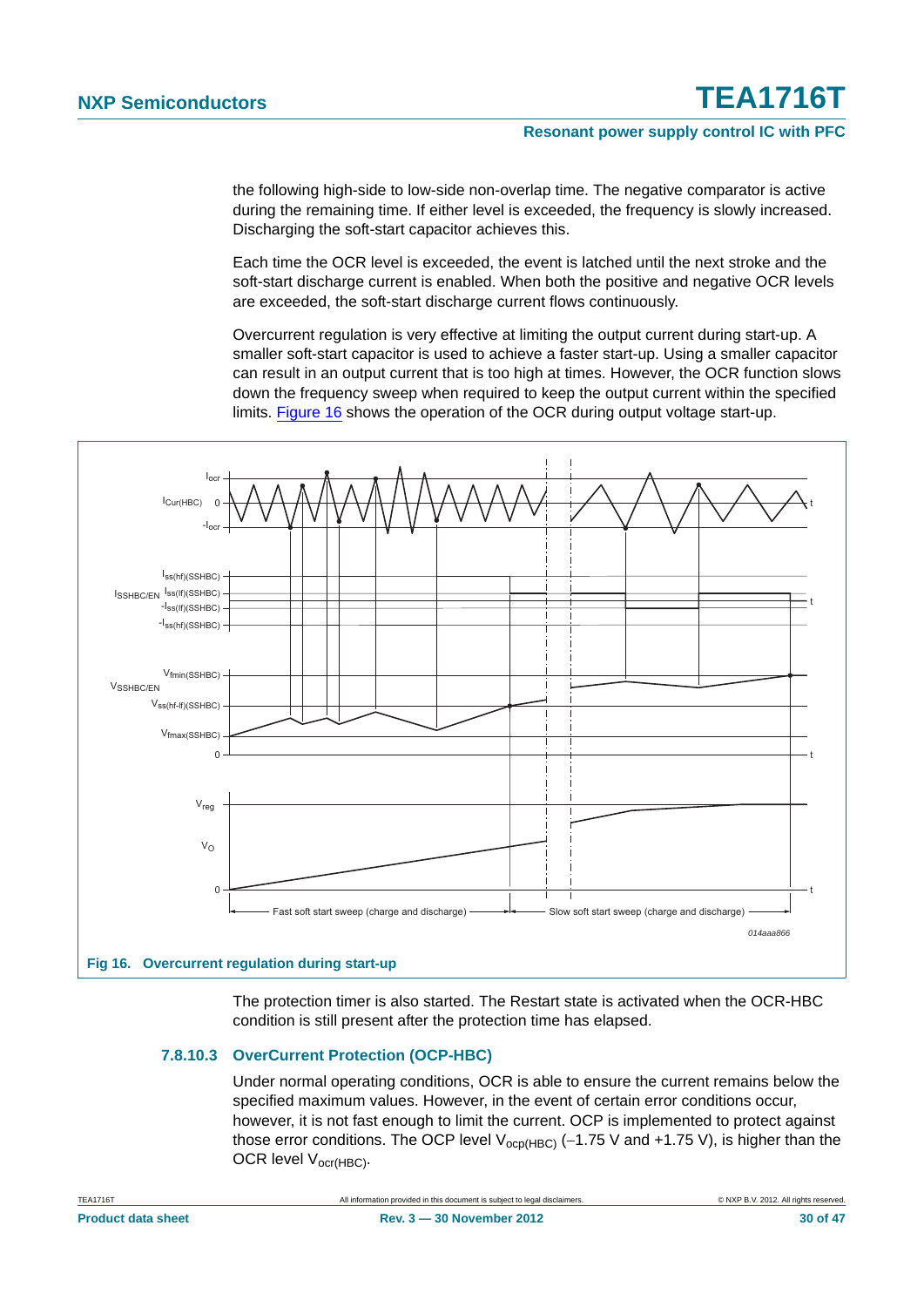the following high-side to low-side non-overlap time. The negative comparator is active during the remaining time. If either level is exceeded, the frequency is slowly increased. Discharging the soft-start capacitor achieves this.

Each time the OCR level is exceeded, the event is latched until the next stroke and the soft-start discharge current is enabled. When both the positive and negative OCR levels are exceeded, the soft-start discharge current flows continuously.

Overcurrent regulation is very effective at limiting the output current during start-up. A smaller soft-start capacitor is used to achieve a faster start-up. Using a smaller capacitor can result in an output current that is too high at times. However, the OCR function slows down the frequency sweep when required to keep the output current within the specified limits. [Figure 16](#page-29-0) shows the operation of the OCR during output voltage start-up.



The protection timer is also started. The Restart state is activated when the OCR-HBC condition is still present after the protection time has elapsed.

#### <span id="page-29-1"></span><span id="page-29-0"></span>**7.8.10.3 OverCurrent Protection (OCP-HBC)**

Under normal operating conditions, OCR is able to ensure the current remains below the specified maximum values. However, in the event of certain error conditions occur, however, it is not fast enough to limit the current. OCP is implemented to protect against those error conditions. The OCP level  $V_{\text{ocp(HBC)}}$  (-1.75 V and +1.75 V), is higher than the OCR level V<sub>ocr(HBC)</sub>.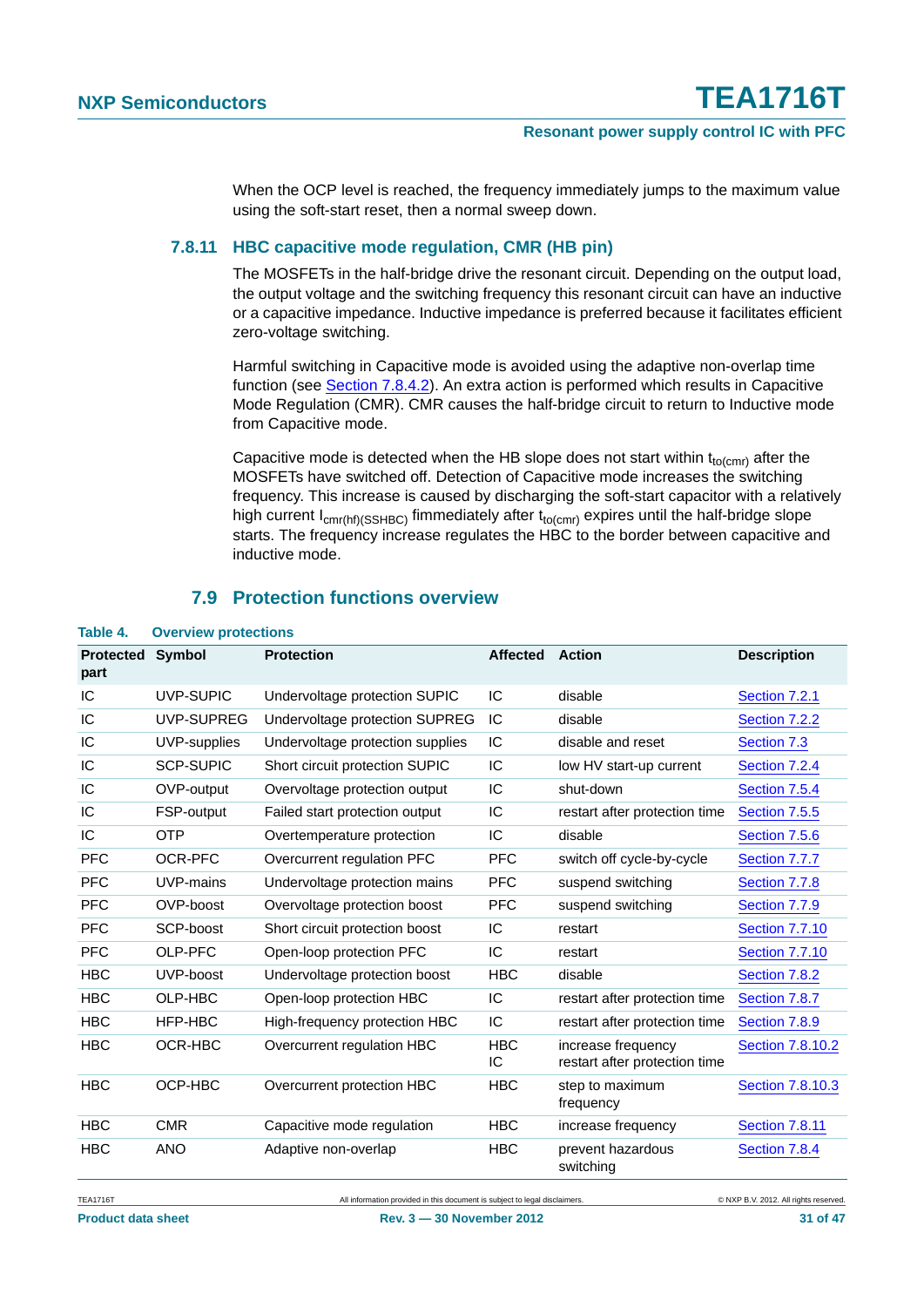When the OCP level is reached, the frequency immediately jumps to the maximum value using the soft-start reset, then a normal sweep down.

#### <span id="page-30-1"></span>**7.8.11 HBC capacitive mode regulation, CMR (HB pin)**

The MOSFETs in the half-bridge drive the resonant circuit. Depending on the output load, the output voltage and the switching frequency this resonant circuit can have an inductive or a capacitive impedance. Inductive impedance is preferred because it facilitates efficient zero-voltage switching.

Harmful switching in Capacitive mode is avoided using the adaptive non-overlap time function (see [Section 7.8.4.2\)](#page-23-1). An extra action is performed which results in Capacitive Mode Regulation (CMR). CMR causes the half-bridge circuit to return to Inductive mode from Capacitive mode.

Capacitive mode is detected when the HB slope does not start within  $t_{\text{to}}$  after the MOSFETs have switched off. Detection of Capacitive mode increases the switching frequency. This increase is caused by discharging the soft-start capacitor with a relatively high current  $I_{cmr(hf)(SSHBC)}$  fimmediately after  $t_{to(cmr)}$  expires until the half-bridge slope starts. The frequency increase regulates the HBC to the border between capacitive and inductive mode.

#### **7.9 Protection functions overview**

| <b>Protected</b><br>part | <b>Symbol</b>    | <b>Protection</b>                | <b>Affected</b>  | <b>Action</b>                                       | <b>Description</b>    |
|--------------------------|------------------|----------------------------------|------------------|-----------------------------------------------------|-----------------------|
| IC                       | <b>UVP-SUPIC</b> | Undervoltage protection SUPIC    | IC               | disable                                             | Section 7.2.1         |
| IC                       | UVP-SUPREG       | Undervoltage protection SUPREG   | IC               | disable                                             | Section 7.2.2         |
| IC                       | UVP-supplies     | Undervoltage protection supplies | IC               | disable and reset                                   | Section 7.3           |
| IC                       | <b>SCP-SUPIC</b> | Short circuit protection SUPIC   | IC               | low HV start-up current                             | Section 7.2.4         |
| IC                       | OVP-output       | Overvoltage protection output    | IC               | shut-down                                           | Section 7.5.4         |
| IC                       | FSP-output       | Failed start protection output   | IC               | restart after protection time                       | Section 7.5.5         |
| IC                       | <b>OTP</b>       | Overtemperature protection       | IC               | disable                                             | Section 7.5.6         |
| <b>PFC</b>               | OCR-PFC          | Overcurrent regulation PFC       | <b>PFC</b>       | switch off cycle-by-cycle                           | Section 7.7.7         |
| <b>PFC</b>               | UVP-mains        | Undervoltage protection mains    | <b>PFC</b>       | suspend switching                                   | Section 7.7.8         |
| <b>PFC</b>               | OVP-boost        | Overvoltage protection boost     | <b>PFC</b>       | suspend switching                                   | Section 7.7.9         |
| <b>PFC</b>               | SCP-boost        | Short circuit protection boost   | IC               | restart                                             | <b>Section 7.7.10</b> |
| <b>PFC</b>               | OLP-PFC          | Open-loop protection PFC         | IC               | restart                                             | <b>Section 7.7.10</b> |
| <b>HBC</b>               | UVP-boost        | Undervoltage protection boost    | <b>HBC</b>       | disable                                             | Section 7.8.2         |
| <b>HBC</b>               | OLP-HBC          | Open-loop protection HBC         | IC               | restart after protection time                       | Section 7.8.7         |
| <b>HBC</b>               | HFP-HBC          | High-frequency protection HBC    | IC               | restart after protection time                       | Section 7.8.9         |
| <b>HBC</b>               | OCR-HBC          | Overcurrent regulation HBC       | <b>HBC</b><br>IС | increase frequency<br>restart after protection time | Section 7.8.10.2      |
| <b>HBC</b>               | OCP-HBC          | Overcurrent protection HBC       | <b>HBC</b>       | step to maximum<br>frequency                        | Section 7.8.10.3      |
| <b>HBC</b>               | <b>CMR</b>       | Capacitive mode regulation       | <b>HBC</b>       | increase frequency                                  | <b>Section 7.8.11</b> |
| <b>HBC</b>               | <b>ANO</b>       | Adaptive non-overlap             | <b>HBC</b>       | prevent hazardous<br>switching                      | Section 7.8.4         |

#### <span id="page-30-0"></span>**Table 4. Overview protections**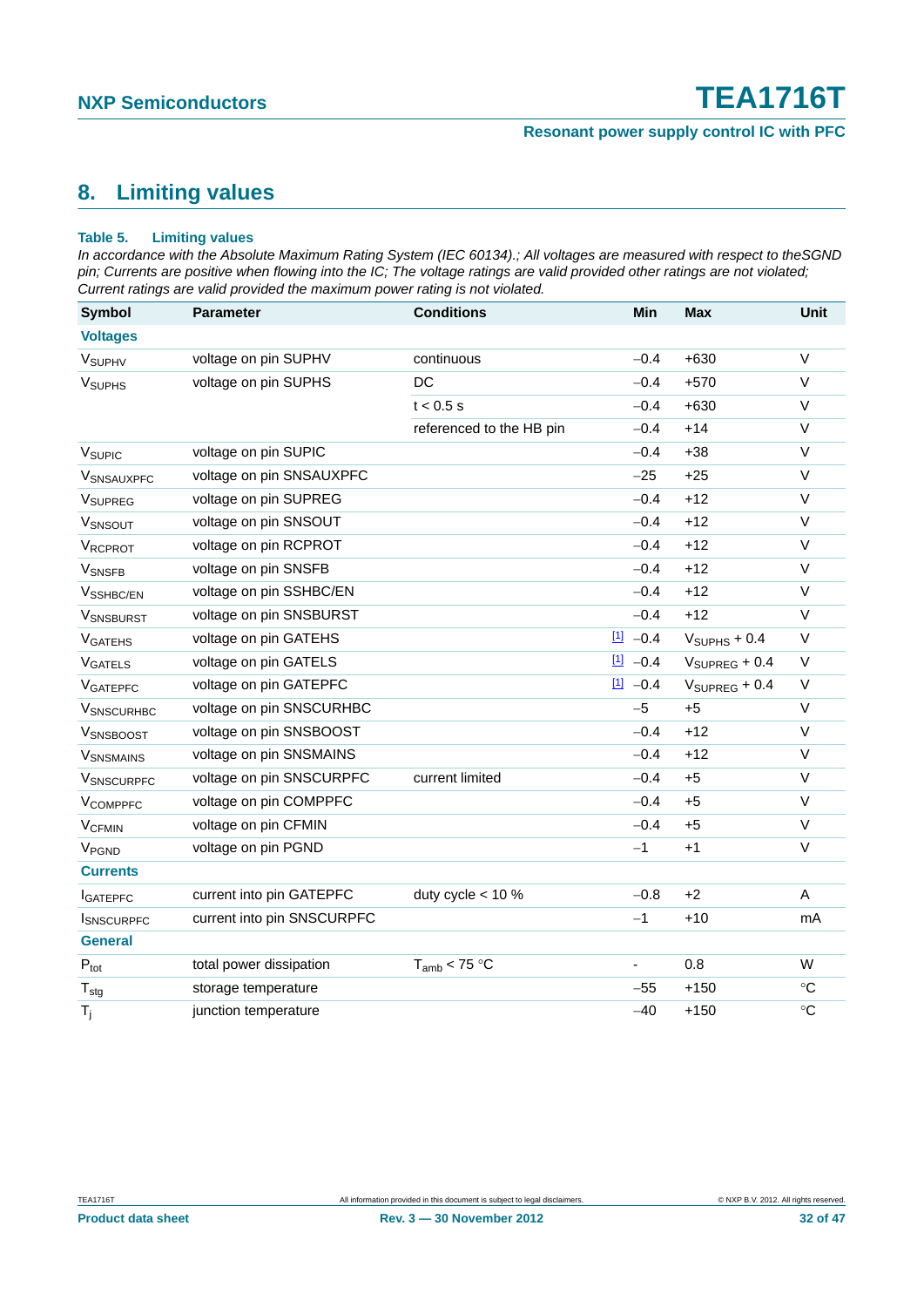### <span id="page-31-0"></span>**8. Limiting values**

#### **Table 5. Limiting values**

*In accordance with the Absolute Maximum Rating System (IEC 60134).; All voltages are measured with respect to theSGND pin; Currents are positive when flowing into the IC; The voltage ratings are valid provided other ratings are not violated; Current ratings are valid provided the maximum power rating is not violated.*

| <b>Symbol</b>               | <b>Parameter</b>           | <b>Conditions</b>        | Min                   | <b>Max</b>                | <b>Unit</b>     |
|-----------------------------|----------------------------|--------------------------|-----------------------|---------------------------|-----------------|
| <b>Voltages</b>             |                            |                          |                       |                           |                 |
| V <sub>SUPHV</sub>          | voltage on pin SUPHV       | continuous               | $-0.4$                | $+630$                    | $\vee$          |
| <b>V<sub>SUPHS</sub></b>    | voltage on pin SUPHS       | DC                       | $-0.4$                | $+570$                    | $\vee$          |
|                             |                            | $t < 0.5$ s              | $-0.4$                | $+630$                    | $\vee$          |
|                             |                            | referenced to the HB pin | $-0.4$                | $+14$                     | $\vee$          |
| V <sub>SUPIC</sub>          | voltage on pin SUPIC       |                          | $-0.4$                | $+38$                     | $\vee$          |
| <b>VSNSAUXPFC</b>           | voltage on pin SNSAUXPFC   |                          | $-25$                 | $+25$                     | $\vee$          |
| VSUPREG                     | voltage on pin SUPREG      |                          | $-0.4$                | $+12$                     | $\vee$          |
| VSNSOUT                     | voltage on pin SNSOUT      |                          | $-0.4$                | $+12$                     | $\vee$          |
| VRCPROT                     | voltage on pin RCPROT      |                          | $-0.4$                | $+12$                     | $\vee$          |
| <b>V</b> SNSFB              | voltage on pin SNSFB       |                          | $-0.4$                | $+12$                     | $\vee$          |
| V <sub>SSHBC/EN</sub>       | voltage on pin SSHBC/EN    |                          | $-0.4$                | $+12$                     | V               |
| <b>VSNSBURST</b>            | voltage on pin SNSBURST    |                          | $-0.4$                | $+12$                     | $\vee$          |
| <b>VGATEHS</b>              | voltage on pin GATEHS      |                          | $11 - 0.4$            | $VSUPHS + 0.4$            | $\vee$          |
| <b>VGATELS</b>              | voltage on pin GATELS      |                          | $\boxed{1}$<br>$-0.4$ | $V_{\text{SUPREG}} + 0.4$ | $\vee$          |
| <b>VGATEPFC</b>             | voltage on pin GATEPFC     |                          | $\boxed{1}$<br>$-0.4$ | $V_{\text{SUPREG}} + 0.4$ | $\vee$          |
| <b>V</b> SNSCURHBC          | voltage on pin SNSCURHBC   |                          | $-5$                  | $+5$                      | $\sf V$         |
| VSNSBOOST                   | voltage on pin SNSBOOST    |                          | $-0.4$                | $+12$                     | $\vee$          |
| <b>V</b> SNSMAINS           | voltage on pin SNSMAINS    |                          | $-0.4$                | $+12$                     | V               |
| <b>VSNSCURPFC</b>           | voltage on pin SNSCURPFC   | current limited          | $-0.4$                | $+5$                      | $\vee$          |
| VCOMPPFC                    | voltage on pin COMPPFC     |                          | $-0.4$                | $+5$                      | $\vee$          |
| <b>V<sub>CFMIN</sub></b>    | voltage on pin CFMIN       |                          | $-0.4$                | $+5$                      | V               |
| V <sub>PGND</sub>           | voltage on pin PGND        |                          | $-1$                  | $+1$                      | $\vee$          |
| <b>Currents</b>             |                            |                          |                       |                           |                 |
| <b>I</b> GATEPFC            | current into pin GATEPFC   | duty cycle $<$ 10 %      | $-0.8$                | $+2$                      | $\mathsf{A}$    |
| <b>I</b> SNSCURPFC          | current into pin SNSCURPFC |                          | $-1$                  | $+10$                     | mA              |
| <b>General</b>              |                            |                          |                       |                           |                 |
| $\mathsf{P}_{\mathsf{tot}}$ | total power dissipation    | $T_{amb}$ < 75 °C        |                       | 0.8                       | W               |
| $T_{\text{stg}}$            | storage temperature        |                          | $-55$                 | $+150$                    | $\rm ^{\circ}C$ |
| $T_i$                       | junction temperature       |                          | $-40$                 | $+150$                    | $\circ$ C       |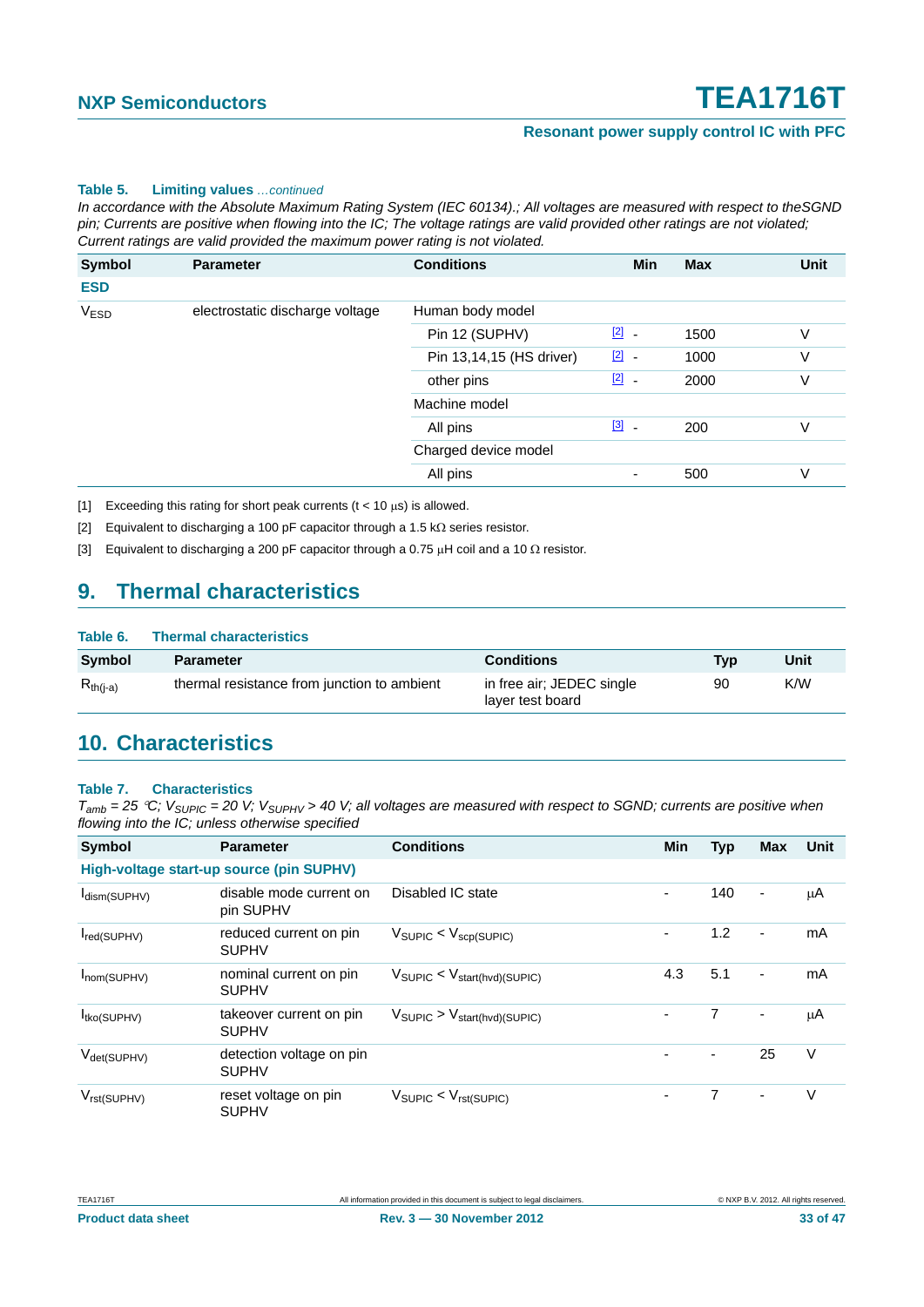#### **Table 5. Limiting values** *…continued*

*In accordance with the Absolute Maximum Rating System (IEC 60134).; All voltages are measured with respect to theSGND pin; Currents are positive when flowing into the IC; The voltage ratings are valid provided other ratings are not violated; Current ratings are valid provided the maximum power rating is not violated.*

| Symbol      | <b>Parameter</b>                | <b>Conditions</b>        | Min                                     | <b>Max</b> | <b>Unit</b> |
|-------------|---------------------------------|--------------------------|-----------------------------------------|------------|-------------|
| <b>ESD</b>  |                                 |                          |                                         |            |             |
| <b>VESD</b> | electrostatic discharge voltage | Human body model         |                                         |            |             |
|             |                                 | Pin 12 (SUPHV)           | $\boxed{2}$<br>$\overline{\phantom{a}}$ | 1500       | V           |
|             |                                 | Pin 13,14,15 (HS driver) | $\boxed{2}$<br>$\sim$                   | 1000       | V           |
|             |                                 | other pins               | $\boxed{2}$<br>$\overline{\phantom{a}}$ | 2000       | V           |
|             |                                 | Machine model            |                                         |            |             |
|             |                                 | All pins                 | $\boxed{3}$<br>$\overline{\phantom{a}}$ | 200        | V           |
|             |                                 | Charged device model     |                                         |            |             |
|             |                                 | All pins                 | ۰                                       | 500        | V           |

<span id="page-32-0"></span>[1] Exceeding this rating for short peak currents ( $t < 10 \mu s$ ) is allowed.

<span id="page-32-1"></span>[2] Equivalent to discharging a 100 pF capacitor through a 1.5 k $\Omega$  series resistor.

<span id="page-32-2"></span>[3] Equivalent to discharging a 200 pF capacitor through a 0.75  $\mu$ H coil and a 10  $\Omega$  resistor.

### <span id="page-32-3"></span>**9. Thermal characteristics**

| Table 6.      | <b>Thermal characteristics</b>              |                                               |     |      |
|---------------|---------------------------------------------|-----------------------------------------------|-----|------|
| <b>Symbol</b> | <b>Parameter</b>                            | <b>Conditions</b>                             | Tvp | Unit |
| $R_{th(i-a)}$ | thermal resistance from junction to ambient | in free air; JEDEC single<br>layer test board | 90  | K/W  |

### <span id="page-32-4"></span>**10. Characteristics**

#### **Table 7. Characteristics**

| Symbol                         | <b>Parameter</b>                         | <b>Conditions</b>                                 | <b>Min</b> | <b>Typ</b>     | <b>Max</b>               | Unit |
|--------------------------------|------------------------------------------|---------------------------------------------------|------------|----------------|--------------------------|------|
|                                | High-voltage start-up source (pin SUPHV) |                                                   |            |                |                          |      |
| I <sub>dism(SUPHV)</sub>       | disable mode current on<br>pin SUPHV     | Disabled IC state                                 | ٠          | 140            | $\overline{\phantom{a}}$ | μA   |
| red(SUPHV)                     | reduced current on pin<br><b>SUPHV</b>   | $V_{\text{SUPIC}} < V_{\text{scp(SUPIC)}}$        | ۰          | 1.2            | $\overline{\phantom{a}}$ | mA   |
| Inom(SUPHV)                    | nominal current on pin<br><b>SUPHV</b>   | $V_{\text{SUPIC}} < V_{\text{start(hvd)(SUPIC)}}$ | 4.3        | 5.1            | $\overline{\phantom{a}}$ | mA   |
| I <sub>tko</sub> (SUPHV)       | takeover current on pin<br><b>SUPHV</b>  | $V_{\text{SUPIC}} > V_{\text{start(hvd)(SUPIC)}}$ |            | $\overline{7}$ | $\overline{\phantom{a}}$ | μA   |
| $V_{\text{det}(\text{SUPHV})}$ | detection voltage on pin<br><b>SUPHV</b> |                                                   |            |                | 25                       | V    |
| $V_{rst(SUPHV)}$               | reset voltage on pin<br><b>SUPHV</b>     | $V_{\text{SUPIC}} < V_{\text{rst(SUPIC)}}$        | ۰          | 7              | $\overline{\phantom{a}}$ | V    |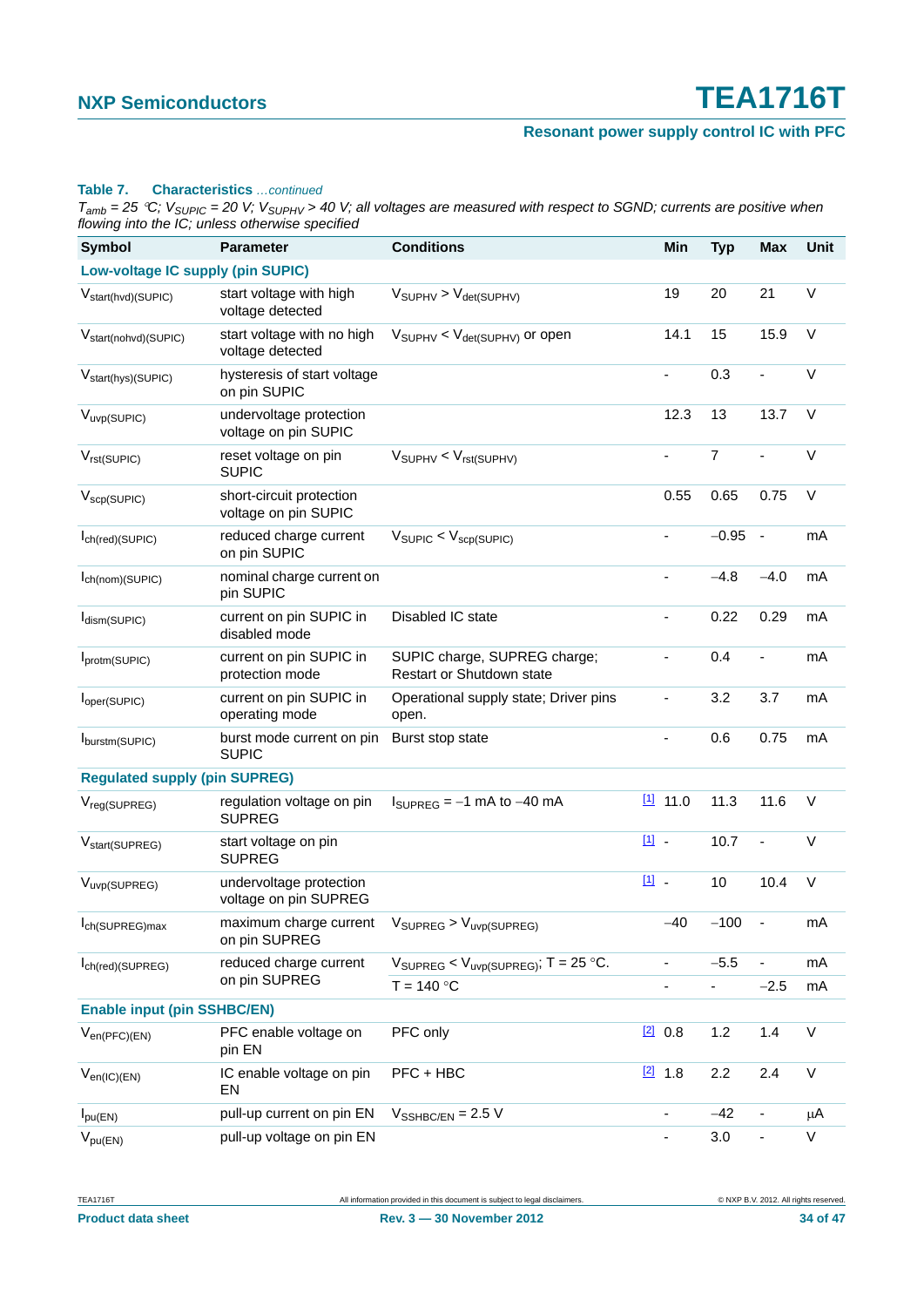### **Resonant power supply control IC with PFC**

#### **Table 7. Characteristics** *…continued*

| <b>Symbol</b>                        | <b>Parameter</b>                                 | <b>Conditions</b>                                                         |       | Min                          | <b>Typ</b>                         | Max                      | <b>Unit</b>  |
|--------------------------------------|--------------------------------------------------|---------------------------------------------------------------------------|-------|------------------------------|------------------------------------|--------------------------|--------------|
| Low-voltage IC supply (pin SUPIC)    |                                                  |                                                                           |       |                              |                                    |                          |              |
| V <sub>start(hvd)</sub> (SUPIC)      | start voltage with high<br>voltage detected      | $V_{\text{SUPHV}} > V_{\text{det(SUPHV)}}$                                |       | 19                           | 20                                 | 21                       | V            |
| V <sub>start(nohvd)</sub> (SUPIC)    | start voltage with no high<br>voltage detected   | $V_{SUPHV}$ < $V_{det(SUPHV)}$ or open                                    |       | 14.1                         | 15                                 | 15.9                     | $\vee$       |
| V <sub>start(hys)</sub> (SUPIC)      | hysteresis of start voltage<br>on pin SUPIC      |                                                                           |       | $\blacksquare$               | 0.3                                | $\overline{\phantom{a}}$ | V            |
| V <sub>uvp</sub> (SUPIC)             | undervoltage protection<br>voltage on pin SUPIC  |                                                                           |       | 12.3                         | 13                                 | 13.7                     | $\vee$       |
| $V_{rst(SUPIC)}$                     | reset voltage on pin<br><b>SUPIC</b>             | $V_{SUPHV} < V_{rst(SUPHV)}$                                              |       | ÷,                           | $\overline{7}$                     |                          | $\mathsf V$  |
| $V_{\text{scp}(\text{SUPIC})}$       | short-circuit protection<br>voltage on pin SUPIC |                                                                           |       | 0.55                         | 0.65                               | 0.75                     | V            |
| Ich(red)(SUPIC)                      | reduced charge current<br>on pin SUPIC           | $V_{\text{SUPIC}} < V_{\text{scp(SUPIC)}}$                                |       | $\blacksquare$               | $-0.95$                            | $\blacksquare$           | mA           |
| $I_{ch(nom)(SUPIC)}$                 | nominal charge current on<br>pin SUPIC           |                                                                           |       |                              | $-4.8$                             | $-4.0$                   | mA           |
| $I_{\text{dism}(\text{SUPIC})}$      | current on pin SUPIC in<br>disabled mode         | Disabled IC state                                                         |       | $\qquad \qquad \blacksquare$ | 0.22                               | 0.29                     | mA           |
| Iprotm(SUPIC)                        | current on pin SUPIC in<br>protection mode       | SUPIC charge, SUPREG charge;<br>Restart or Shutdown state                 |       | ÷,                           | 0.4                                | $\overline{\phantom{0}}$ | mA           |
| l <sub>oper</sub> (SUPIC)            | current on pin SUPIC in<br>operating mode        | Operational supply state; Driver pins<br>open.                            |       |                              | 3.2                                | 3.7                      | mA           |
| burstm(SUPIC)                        | burst mode current on pin<br><b>SUPIC</b>        | Burst stop state                                                          |       | $\blacksquare$               | 0.6                                | 0.75                     | mA           |
| <b>Regulated supply (pin SUPREG)</b> |                                                  |                                                                           |       |                              |                                    |                          |              |
| V <sub>reg(SUPREG)</sub>             | regulation voltage on pin<br><b>SUPREG</b>       | $I_{\text{SUPREG}} = -1$ mA to $-40$ mA                                   |       | $11$ 11.0                    | 11.3                               | 11.6                     | $\vee$       |
| V <sub>start</sub> (SUPREG)          | start voltage on pin<br><b>SUPREG</b>            |                                                                           | [1] - |                              | 10.7                               | $\overline{\phantom{a}}$ | V            |
| V <sub>uvp</sub> (SUPREG)            | undervoltage protection<br>voltage on pin SUPREG |                                                                           | 凹.    |                              | 10                                 | 10.4                     | $\vee$       |
| I <sub>ch</sub> (SUPREG)max          | maximum charge current<br>on pin SUPREG          | $V_{\text{SUPREG}} > V_{\text{uvp(SUPREG)}}$                              |       | $-40$                        | $-100$                             |                          | mA           |
| $I_{ch (red)(\text{SUPREG})}$        | reduced charge current<br>on pin SUPREG          | $V_{\text{SUPREG}} < V_{\text{uvp(SUPREG)}}$ ; T = 25 °C.<br>$T = 140 °C$ |       | ۰<br>-                       | $-5.5$<br>$\overline{\phantom{a}}$ | -<br>$-2.5$              | mA<br>mA     |
| <b>Enable input (pin SSHBC/EN)</b>   |                                                  |                                                                           |       |                              |                                    |                          |              |
| $V_{en(PFC)(EN)}$                    | PFC enable voltage on<br>pin EN                  | PFC only                                                                  |       | 20.8                         | 1.2                                | 1.4                      | $\mathsf{V}$ |
| $V_{en(IC)(EN)}$                     | IC enable voltage on pin<br>EN                   | PFC + HBC                                                                 |       | $[2]$ 1.8                    | 2.2                                | 2.4                      | V            |
| $I_{\text{pu(EN)}}$                  | pull-up current on pin EN                        | $V_{\text{SSHBC/EN}} = 2.5 \text{ V}$                                     |       | $\frac{1}{2}$                | $-42$                              | $\frac{1}{2}$            | μA           |
| $V_{pu(EN)}$                         | pull-up voltage on pin EN                        |                                                                           |       | $\qquad \qquad \blacksquare$ | 3.0                                | $\overline{\phantom{a}}$ | V            |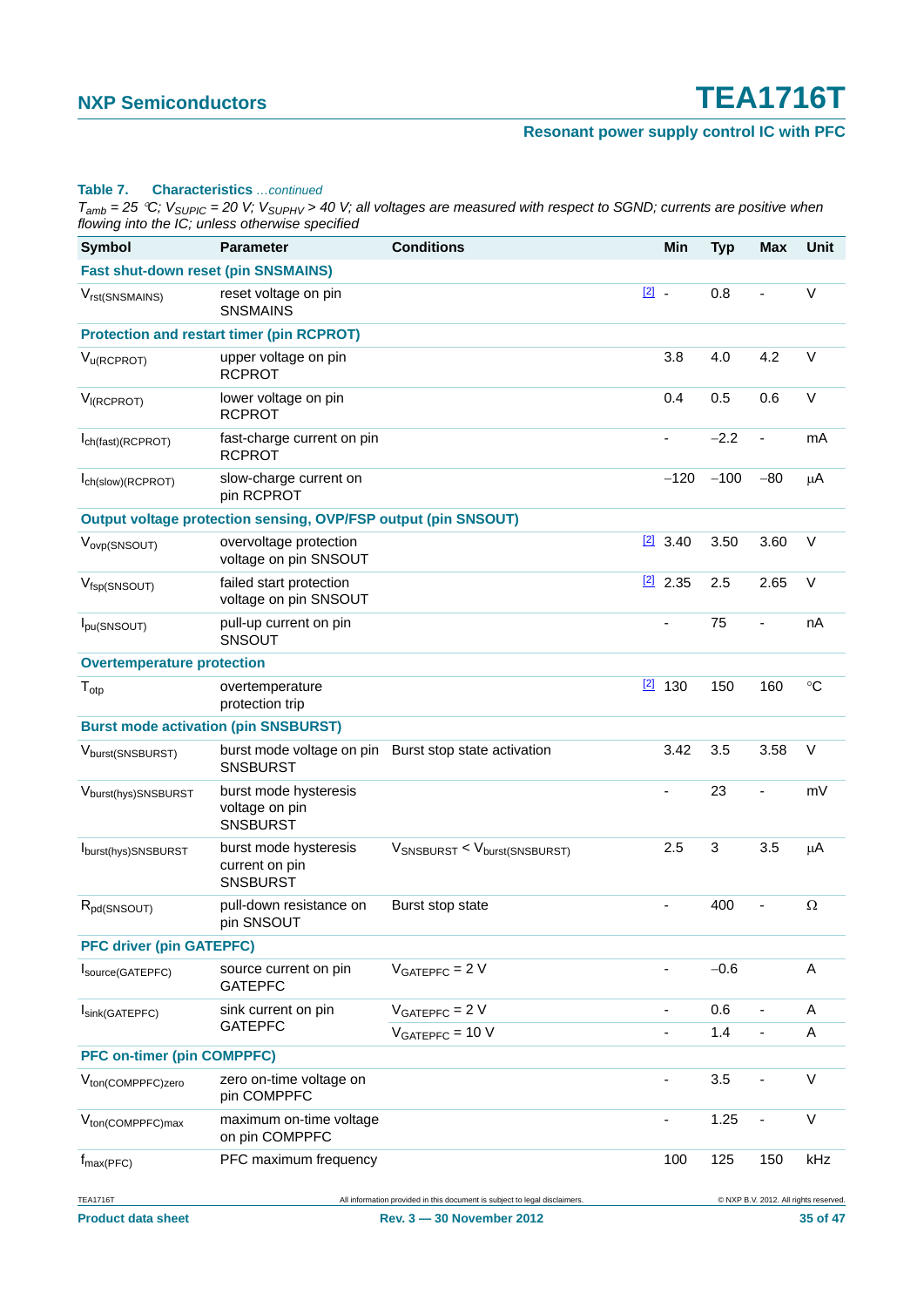### **Resonant power supply control IC with PFC**

#### **Table 7. Characteristics** *…continued*

| <b>Symbol</b>                                | <b>Parameter</b>                                               | <b>Conditions</b>                                                                                       |               | <b>Min</b>                   | <b>Typ</b> | <b>Max</b>                   | Unit                                              |
|----------------------------------------------|----------------------------------------------------------------|---------------------------------------------------------------------------------------------------------|---------------|------------------------------|------------|------------------------------|---------------------------------------------------|
| <b>Fast shut-down reset (pin SNSMAINS)</b>   |                                                                |                                                                                                         |               |                              |            |                              |                                                   |
| V <sub>rst(SNSMAINS)</sub>                   | reset voltage on pin<br><b>SNSMAINS</b>                        |                                                                                                         | $\boxed{2}$ . |                              | 0.8        |                              | $\vee$                                            |
|                                              | <b>Protection and restart timer (pin RCPROT)</b>               |                                                                                                         |               |                              |            |                              |                                                   |
| $V_{\text{U}(RCPROT)}$                       | upper voltage on pin<br><b>RCPROT</b>                          |                                                                                                         |               | 3.8                          | 4.0        | 4.2                          | $\vee$                                            |
| V <sub>I(RCPROT)</sub>                       | lower voltage on pin<br><b>RCPROT</b>                          |                                                                                                         |               | 0.4                          | 0.5        | 0.6                          | $\vee$                                            |
| I <sub>ch</sub> (fast)(RCPROT)               | fast-charge current on pin<br><b>RCPROT</b>                    |                                                                                                         |               | $\frac{1}{2}$                | $-2.2$     | $\overline{a}$               | mA                                                |
| Ich(slow)(RCPROT)                            | slow-charge current on<br>pin RCPROT                           |                                                                                                         |               | $-120$                       | $-100$     | $-80$                        | μA                                                |
|                                              | Output voltage protection sensing, OVP/FSP output (pin SNSOUT) |                                                                                                         |               |                              |            |                              |                                                   |
| V <sub>ovp</sub> (SNSOUT)                    | overvoltage protection<br>voltage on pin SNSOUT                |                                                                                                         |               | $[2]$ 3.40                   | 3.50       | 3.60                         | $\vee$                                            |
| $V_{\text{fsp}(\text{SNSOUT})}$              | failed start protection<br>voltage on pin SNSOUT               |                                                                                                         |               | $[2]$ 2.35                   | 2.5        | 2.65                         | $\vee$                                            |
| I <sub>pu</sub> (SNSOUT)                     | pull-up current on pin<br>SNSOUT                               |                                                                                                         |               | ä,                           | 75         | $\qquad \qquad \blacksquare$ | nA                                                |
| <b>Overtemperature protection</b>            |                                                                |                                                                                                         |               |                              |            |                              |                                                   |
| $T_{otp}$                                    | overtemperature<br>protection trip                             |                                                                                                         |               | $[2]$ 130                    | 150        | 160                          | $\circ$ C                                         |
| <b>Burst mode activation (pin SNSBURST)</b>  |                                                                |                                                                                                         |               |                              |            |                              |                                                   |
| Vburst(SNSBURST)                             | <b>SNSBURST</b>                                                | burst mode voltage on pin Burst stop state activation                                                   |               | 3.42                         | 3.5        | 3.58                         | $\vee$                                            |
| Vburst(hys)SNSBURST                          | burst mode hysteresis<br>voltage on pin<br><b>SNSBURST</b>     |                                                                                                         |               | ä,                           | 23         |                              | mV                                                |
| Iburst(hys)SNSBURST                          | burst mode hysteresis<br>current on pin<br><b>SNSBURST</b>     | VSNSBURST < Vburst(SNSBURST)                                                                            |               | 2.5                          | 3          | 3.5                          | μA                                                |
| $R_{pd(SNSOUT)}$                             | pull-down resistance on<br>pin SNSOUT                          | Burst stop state                                                                                        |               | -                            | 400        | ٠                            | $\Omega$                                          |
| <b>PFC driver (pin GATEPFC)</b>              |                                                                |                                                                                                         |               |                              |            |                              |                                                   |
| Isource(GATEPFC)                             | source current on pin<br><b>GATEPFC</b>                        | $VGATEPFC = 2 V$                                                                                        |               | $\qquad \qquad \blacksquare$ | $-0.6$     |                              | Α                                                 |
| Isink(GATEPFC)                               | sink current on pin<br><b>GATEPFC</b>                          | $VGATEPFC = 2 V$<br>$VGATEPFC = 10 V$                                                                   |               | $\overline{\phantom{a}}$     | 0.6<br>1.4 | $\blacksquare$               | Α<br>A                                            |
| <b>PFC on-timer (pin COMPPFC)</b>            |                                                                |                                                                                                         |               |                              |            |                              |                                                   |
| V <sub>ton</sub> (COMPPFC)zero               | zero on-time voltage on<br>pin COMPPFC                         |                                                                                                         |               |                              | 3.5        |                              | $\vee$                                            |
| V <sub>ton</sub> (COMPPFC)max                | maximum on-time voltage<br>on pin COMPPFC                      |                                                                                                         |               | $\qquad \qquad \blacksquare$ | 1.25       |                              | V                                                 |
| $f_{\text{max(PFC)}}$                        | PFC maximum frequency                                          |                                                                                                         |               | 100                          | 125        | 150                          | kHz                                               |
| <b>TEA1716T</b><br><b>Product data sheet</b> |                                                                | All information provided in this document is subject to legal disclaimers.<br>Rev. 3 - 30 November 2012 |               |                              |            |                              | @ NXP B.V. 2012. All rights reserved.<br>35 of 47 |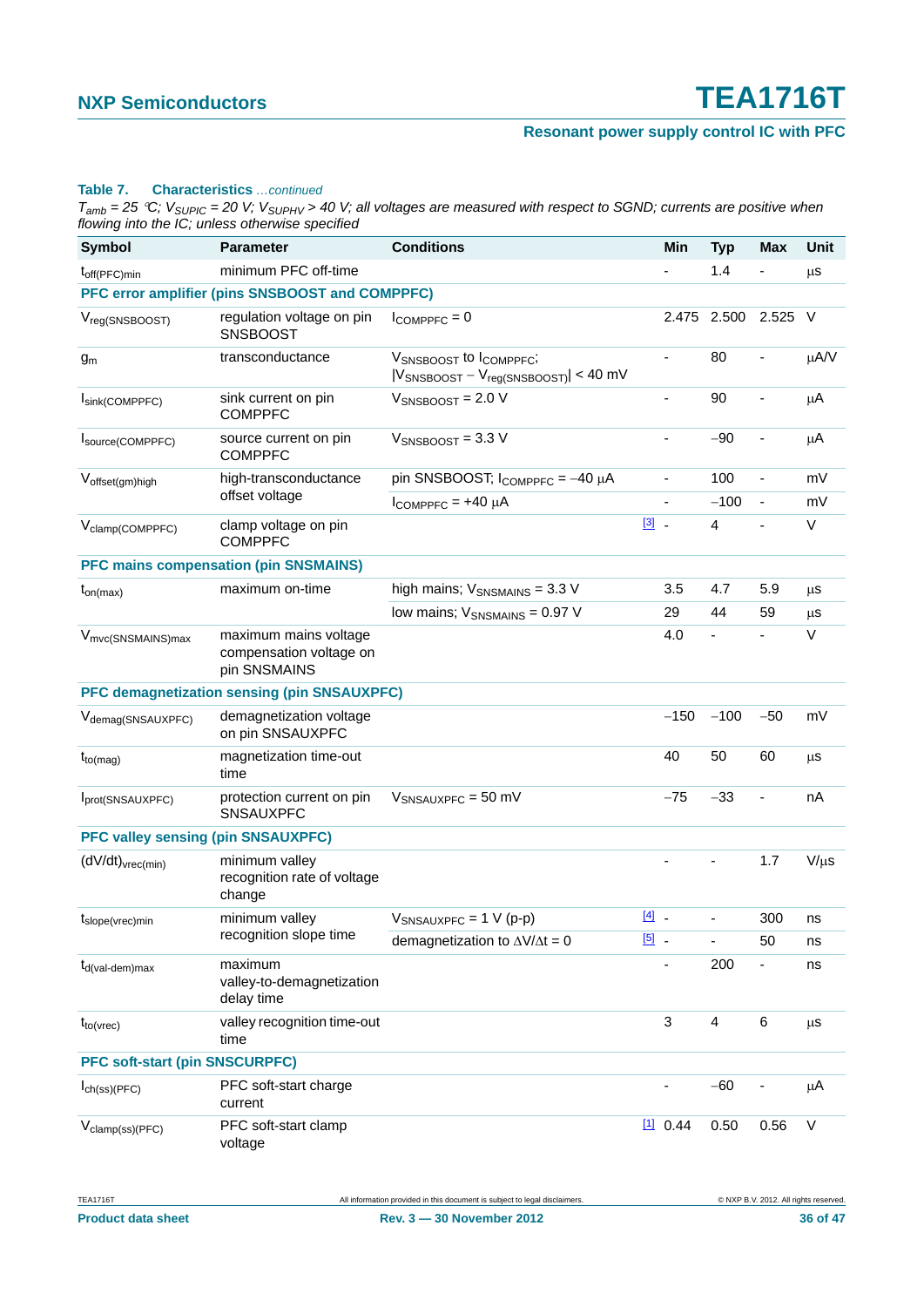#### **Resonant power supply control IC with PFC**

#### **Table 7. Characteristics** *…continued*

| <b>Symbol</b>                             | <b>Parameter</b>                                                 | <b>Conditions</b>                                                      |               | Min                      | <b>Typ</b>     | <b>Max</b>               | Unit      |
|-------------------------------------------|------------------------------------------------------------------|------------------------------------------------------------------------|---------------|--------------------------|----------------|--------------------------|-----------|
| $t_{off(PFC)min}$                         | minimum PFC off-time                                             |                                                                        |               | $\blacksquare$           | 1.4            |                          | $\mu$ s   |
|                                           | PFC error amplifier (pins SNSBOOST and COMPPFC)                  |                                                                        |               |                          |                |                          |           |
| $V_{reg(SNSBOOST)}$                       | regulation voltage on pin<br><b>SNSBOOST</b>                     | $I_{COMPPEC} = 0$                                                      |               | 2.475                    | 2.500          | 2.525                    | $\vee$    |
| $g_m$                                     | transconductance                                                 | VSNSBOOST to ICOMPPFC;<br>$ V_{SNSBOOST} - V_{reg(SNSBOOST)}  < 40$ mV |               | $\overline{\phantom{a}}$ | 80             | $\blacksquare$           | μA/V      |
| Isink(COMPPFC)                            | sink current on pin<br><b>COMPPFC</b>                            | $V_{SNSBOOST} = 2.0 V$                                                 |               | $\blacksquare$           | 90             | $\blacksquare$           | $\mu$ A   |
| Isource(COMPPFC)                          | source current on pin<br><b>COMPPFC</b>                          | $V_{SNSBOOST} = 3.3 V$                                                 |               | $\blacksquare$           | $-90$          | L,                       | μA        |
| Voffset(gm)high                           | high-transconductance                                            | pin SNSBOOST; $I_{COMPPFC} = -40 \mu A$                                |               | $\overline{\phantom{a}}$ | 100            | $\blacksquare$           | mV        |
|                                           | offset voltage                                                   | $I_{COMPPFC} = +40 \mu A$                                              |               |                          | $-100$         | $\overline{\phantom{a}}$ | mV        |
| V <sub>clamp</sub> (COMPPFC)              | clamp voltage on pin<br><b>COMPPFC</b>                           |                                                                        | $\boxed{3}$ . |                          | $\overline{4}$ | $\blacksquare$           | V         |
|                                           | <b>PFC mains compensation (pin SNSMAINS)</b>                     |                                                                        |               |                          |                |                          |           |
| $t_{on(max)}$                             | maximum on-time                                                  | high mains; $V_{SNSMAINS}$ = 3.3 V                                     |               | 3.5                      | 4.7            | 5.9                      | μs        |
|                                           |                                                                  | low mains; $V_{\text{SNSMAINS}} = 0.97$ V                              |               | 29                       | 44             | 59                       | $\mu$ s   |
| V <sub>mvc(SNSMAINS)max</sub>             | maximum mains voltage<br>compensation voltage on<br>pin SNSMAINS |                                                                        |               | 4.0                      |                |                          | $\vee$    |
|                                           | PFC demagnetization sensing (pin SNSAUXPFC)                      |                                                                        |               |                          |                |                          |           |
| V <sub>demag</sub> (SNSAUXPFC)            | demagnetization voltage<br>on pin SNSAUXPFC                      |                                                                        |               | $-150$                   | $-100$         | $-50$                    | mV        |
| $t_{to (mag)}$                            | magnetization time-out<br>time                                   |                                                                        |               | 40                       | 50             | 60                       | μs        |
| Iprot(SNSAUXPFC)                          | protection current on pin<br><b>SNSAUXPFC</b>                    | $V_{SNSAUXPFC} = 50$ mV                                                |               | $-75$                    | $-33$          | $\blacksquare$           | nA        |
| <b>PFC valley sensing (pin SNSAUXPFC)</b> |                                                                  |                                                                        |               |                          |                |                          |           |
| $(dV/dt)_{\text{vrec}(min)}$              | minimum valley<br>recognition rate of voltage<br>change          |                                                                        |               |                          |                | 1.7                      | $V/\mu s$ |
| $t_{slope(tree)}$ min                     | minimum valley                                                   | $V_{SNSAUXPFC} = 1 V (p-p)$                                            | $[4]$ .       |                          | $\blacksquare$ | 300                      | ns        |
|                                           | recognition slope time                                           | demagnetization to $\Delta V/\Delta t = 0$                             | $\boxed{5}$ . |                          |                | 50                       | ns        |
| $t_{d(val\text{-}dem)max}$                | maximum<br>valley-to-demagnetization<br>delay time               |                                                                        |               | $\overline{\phantom{a}}$ | 200            | Ξ.                       | ns        |
| $t_{to(vrec)}$                            | valley recognition time-out<br>time                              |                                                                        |               | $\mathbf{3}$             | $\overline{4}$ | $\,6$                    | μs        |
| <b>PFC soft-start (pin SNSCURPFC)</b>     |                                                                  |                                                                        |               |                          |                |                          |           |
| $I_{ch(ss)(PFC)}$                         | PFC soft-start charge<br>current                                 |                                                                        |               | $\overline{\phantom{a}}$ | $-60$          |                          | $\mu$ A   |
| V <sub>clamp</sub> (ss)(PFC)              | PFC soft-start clamp<br>voltage                                  |                                                                        |               | $11$ 0.44                | 0.50           | 0.56                     | $\sf V$   |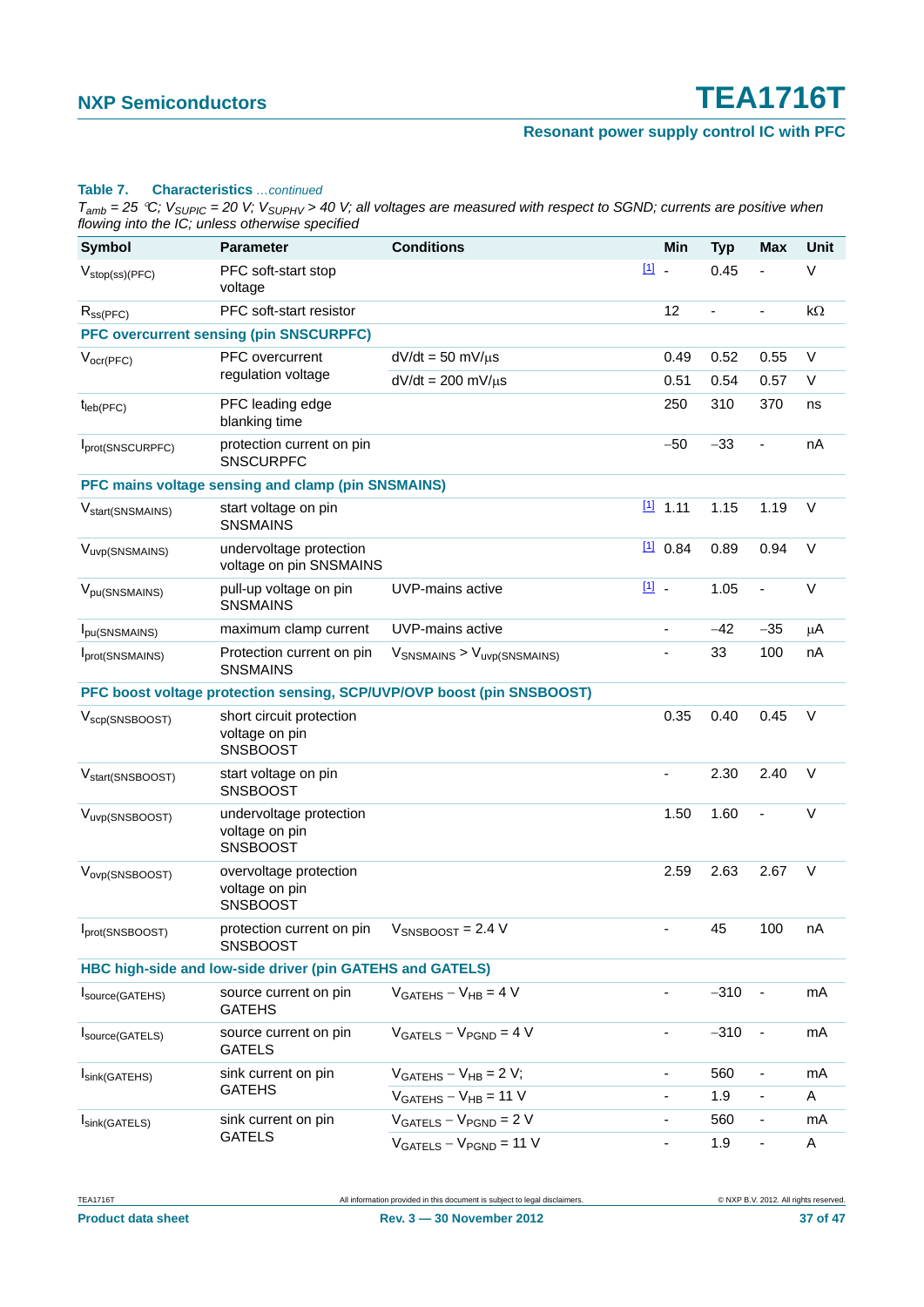### **Resonant power supply control IC with PFC**

#### **Table 7. Characteristics** *…continued*

| <b>Symbol</b>                     | <b>Parameter</b>                                                    | <b>Conditions</b>                                                      |        | Min                      | <b>Typ</b>               | <b>Max</b>               | Unit      |
|-----------------------------------|---------------------------------------------------------------------|------------------------------------------------------------------------|--------|--------------------------|--------------------------|--------------------------|-----------|
| $V_{stop(ss)(PFC)}$               | PFC soft-start stop<br>voltage                                      |                                                                        | [1] -  |                          | 0.45                     | ÷,                       | $\vee$    |
| $R_{SS(PFC)}$                     | PFC soft-start resistor                                             |                                                                        |        | 12                       | $\overline{\phantom{0}}$ | $\frac{1}{2}$            | $k\Omega$ |
|                                   | <b>PFC overcurrent sensing (pin SNSCURPFC)</b>                      |                                                                        |        |                          |                          |                          |           |
| $V_{ocr(PFC)}$                    | PFC overcurrent                                                     | $dV/dt = 50$ mV/ $\mu$ s                                               |        | 0.49                     | 0.52                     | 0.55                     | $\vee$    |
|                                   | regulation voltage                                                  | $dV/dt = 200$ mV/ $\mu$ s                                              |        | 0.51                     | 0.54                     | 0.57                     | V         |
| $t_{\text{leb(PFC)}}$             | PFC leading edge<br>blanking time                                   |                                                                        |        | 250                      | 310                      | 370                      | ns        |
| Iprot(SNSCURPFC)                  | protection current on pin<br><b>SNSCURPFC</b>                       |                                                                        |        | $-50$                    | $-33$                    |                          | nA        |
|                                   | PFC mains voltage sensing and clamp (pin SNSMAINS)                  |                                                                        |        |                          |                          |                          |           |
| V <sub>start</sub> (SNSMAINS)     | start voltage on pin<br><b>SNSMAINS</b>                             |                                                                        |        | $11$ 1.11                | 1.15                     | 1.19                     | $\vee$    |
| V <sub>uvp</sub> (SNSMAINS)       | undervoltage protection<br>voltage on pin SNSMAINS                  |                                                                        |        | $11$ 0.84                | 0.89                     | 0.94                     | V         |
| V <sub>pu</sub> (SNSMAINS)        | pull-up voltage on pin<br><b>SNSMAINS</b>                           | UVP-mains active                                                       | $11 -$ |                          | 1.05                     | ÷,                       | $\vee$    |
| Ipu(SNSMAINS)                     | maximum clamp current                                               | UVP-mains active                                                       |        | $\overline{a}$           | $-42$                    | $-35$                    | $\mu$ A   |
| Iprot(SNSMAINS)                   | Protection current on pin<br><b>SNSMAINS</b>                        | $V_{SNSMAINS}$ > $V_{uvp(SNSMAINS)}$                                   |        | $\overline{\phantom{a}}$ | 33                       | 100                      | nA        |
|                                   |                                                                     | PFC boost voltage protection sensing, SCP/UVP/OVP boost (pin SNSBOOST) |        |                          |                          |                          |           |
| $V_{\text{scp}(\text{SNSBOOST})}$ | short circuit protection<br>voltage on pin<br><b>SNSBOOST</b>       |                                                                        |        | 0.35                     | 0.40                     | 0.45                     | V         |
| V <sub>start</sub> (SNSBOOST)     | start voltage on pin<br><b>SNSBOOST</b>                             |                                                                        |        | $\blacksquare$           | 2.30                     | 2.40                     | $\vee$    |
| V <sub>uvp</sub> (SNSBOOST)       | undervoltage protection<br>voltage on pin<br><b>SNSBOOST</b>        |                                                                        |        | 1.50                     | 1.60                     |                          | $\vee$    |
| V <sub>ovp</sub> (SNSBOOST)       | overvoltage protection<br>voltage on pin<br><b>SNSBOOST</b>         |                                                                        |        | 2.59                     | 2.63                     | 2.67                     | $\vee$    |
| Iprot(SNSBOOST)                   | protection current on pin $V_{SNSBOOST} = 2.4 V$<br><b>SNSBOOST</b> |                                                                        |        |                          | 45                       | 100                      | nA        |
|                                   | HBC high-side and low-side driver (pin GATEHS and GATELS)           |                                                                        |        |                          |                          |                          |           |
| Isource(GATEHS)                   | source current on pin<br><b>GATEHS</b>                              | $VGATEHS - VHB = 4 V$                                                  |        | Ξ.                       | $-310$                   |                          | mA        |
| Source(GATELS)                    | source current on pin<br><b>GATELS</b>                              | $V_{GATELS} - V_{PGND} = 4 V$                                          |        |                          | $-310$                   |                          | mA        |
| Isink(GATEHS)                     | sink current on pin<br><b>GATEHS</b>                                | $VGATEHS - VHB = 2 V;$                                                 |        | $\overline{\phantom{a}}$ | 560                      | $\blacksquare$           | mA        |
|                                   |                                                                     | $VGATEHS - VHB = 11 V$                                                 |        | -                        | 1.9                      | $\overline{\phantom{0}}$ | A         |
| Isink(GATELS)                     | sink current on pin<br><b>GATELS</b>                                | $VGATELS - VPGND = 2 V$                                                |        | -                        | 560                      | $\overline{\phantom{0}}$ | mA        |
|                                   |                                                                     | $VGATELS - VPGND = 11 V$                                               |        | $\overline{\phantom{a}}$ | 1.9                      | $\overline{\phantom{0}}$ | A         |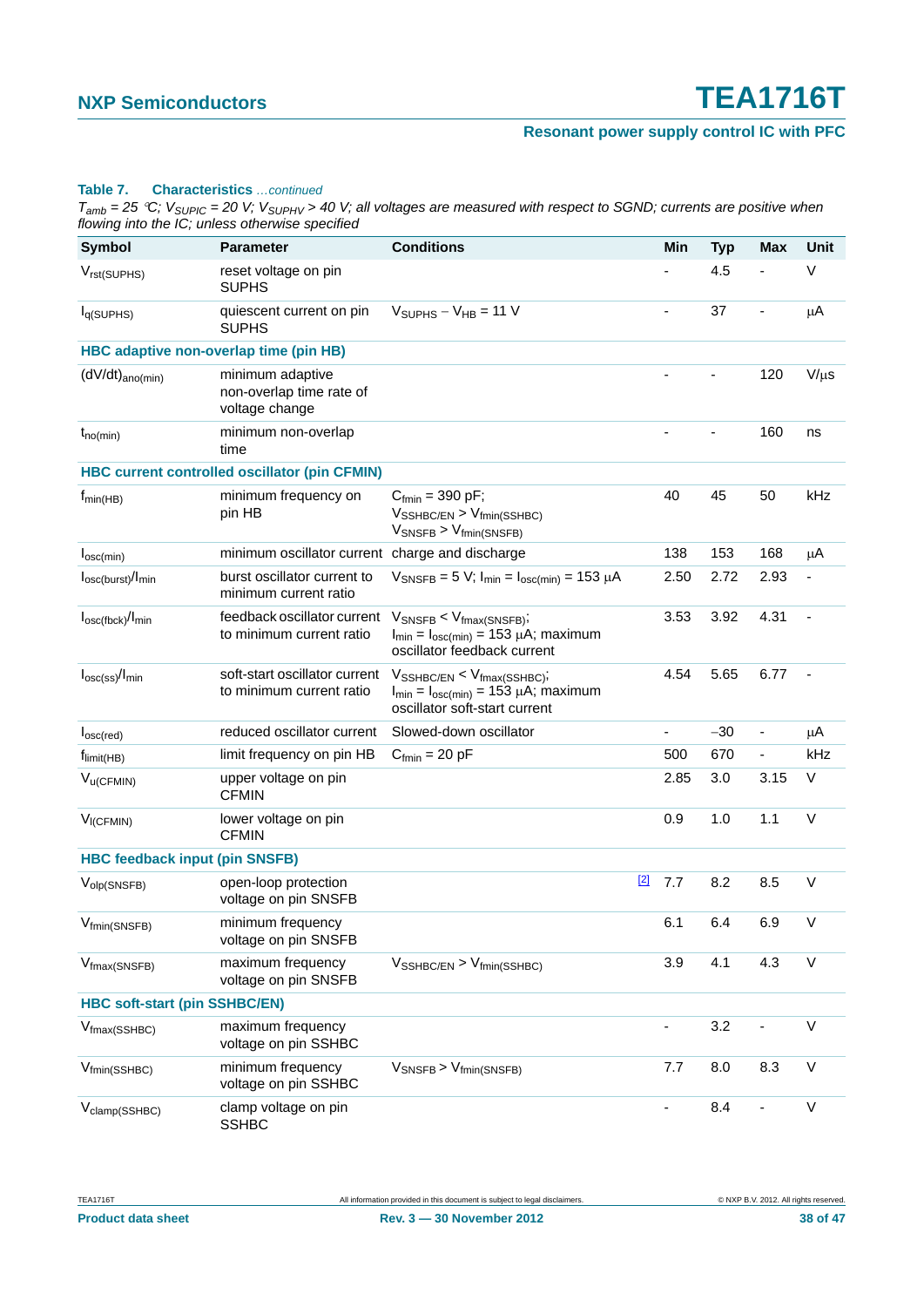#### **Table 7. Characteristics** *…continued*

| Symbol                                 | <b>Parameter</b>                                               | <b>Conditions</b>                                                                                                                         |       | Min                          | <b>Typ</b> | <b>Max</b>                   | <b>Unit</b> |
|----------------------------------------|----------------------------------------------------------------|-------------------------------------------------------------------------------------------------------------------------------------------|-------|------------------------------|------------|------------------------------|-------------|
| $V_{rst(SUPHS)}$                       | reset voltage on pin<br><b>SUPHS</b>                           |                                                                                                                                           |       | ä,                           | 4.5        |                              | V           |
| I <sub>q(SUPHS)</sub>                  | quiescent current on pin<br><b>SUPHS</b>                       | $V_{\text{SUPHS}} - V_{\text{HB}} = 11 \text{ V}$                                                                                         |       | $\overline{\phantom{a}}$     | 37         | ÷,                           | μA          |
|                                        | HBC adaptive non-overlap time (pin HB)                         |                                                                                                                                           |       |                              |            |                              |             |
| $(dV/dt)_{ano(min)}$                   | minimum adaptive<br>non-overlap time rate of<br>voltage change |                                                                                                                                           |       |                              |            | 120                          | $V/\mu s$   |
| $t_{no(min)}$                          | minimum non-overlap<br>time                                    |                                                                                                                                           |       |                              |            | 160                          | ns          |
|                                        | <b>HBC current controlled oscillator (pin CFMIN)</b>           |                                                                                                                                           |       |                              |            |                              |             |
| $f_{min(HB)}$                          | minimum frequency on<br>pin HB                                 | $C_{fmin} = 390 \text{ pF}$ ;<br>$V_{\text{SSHBC/EN}}$ > $V_{\text{fmin}(\text{SSHBC})}$<br>$V_{\text{SNSFB}}$ > $V_{\text{fmin(SNSFB)}}$ |       | 40                           | 45         | 50                           | kHz         |
| $I_{\text{osc}(min)}$                  | minimum oscillator current charge and discharge                |                                                                                                                                           |       | 138                          | 153        | 168                          | μA          |
| $I_{\text{osc(burst)}}/I_{\text{min}}$ | burst oscillator current to<br>minimum current ratio           | $V_{\text{SNSFB}} = 5 V$ ; $I_{\text{min}} = I_{\text{osc(min)}} = 153 \mu A$                                                             |       | 2.50                         | 2.72       | 2.93                         |             |
| $I_{\text{osc(fbck)}}/I_{\text{min}}$  | feedback oscillator current<br>to minimum current ratio        | $V_{\text{SNSFB}} < V_{\text{fmax(SNSFB)}}$<br>$I_{min} = I_{osc(min)} = 153 \mu A$ ; maximum<br>oscillator feedback current              |       | 3.53                         | 3.92       | 4.31                         |             |
| $I_{\text{osc(ss)}}/I_{\text{min}}$    | soft-start oscillator current<br>to minimum current ratio      | $V_{\text{SSHBC/EN}} < V_{\text{fmax}(\text{SSHBC})};$<br>$I_{min} = I_{osc(min)} = 153 \mu A$ ; maximum<br>oscillator soft-start current |       | 4.54                         | 5.65       | 6.77                         |             |
| I <sub>osc</sub> (red)                 | reduced oscillator current                                     | Slowed-down oscillator                                                                                                                    |       | $\frac{1}{2}$                | $-30$      | $\qquad \qquad \blacksquare$ | μA          |
| $f_{limit(HB)}$                        | limit frequency on pin HB                                      | $C_{fmin} = 20$ pF                                                                                                                        |       | 500                          | 670        | $\overline{\phantom{a}}$     | kHz         |
| $V_{u(CFMIN)}$                         | upper voltage on pin<br><b>CFMIN</b>                           |                                                                                                                                           |       | 2.85                         | 3.0        | 3.15                         | V           |
| $V_{I(CFMIN)}$                         | lower voltage on pin<br><b>CFMIN</b>                           |                                                                                                                                           |       | 0.9                          | 1.0        | 1.1                          | $\vee$      |
| <b>HBC feedback input (pin SNSFB)</b>  |                                                                |                                                                                                                                           |       |                              |            |                              |             |
| $V_{\text{olp(SNSFB)}}$                | open-loop protection<br>voltage on pin SNSFB                   |                                                                                                                                           | $[2]$ | 7.7                          | 8.2        | 8.5                          | $\vee$      |
| V <sub>fmin</sub> (SNSFB)              | minimum frequency<br>voltage on pin SNSFB                      |                                                                                                                                           |       | 6.1                          | 6.4        | 6.9                          | V           |
| $V_{\text{fmax(SNSFB)}}$               | maximum frequency<br>voltage on pin SNSFB                      | $V_{\text{SSHBC/EN}} > V_{\text{fmin}(\text{SSHBC})}$                                                                                     |       | 3.9                          | 4.1        | 4.3                          | $\vee$      |
| <b>HBC soft-start (pin SSHBC/EN)</b>   |                                                                |                                                                                                                                           |       |                              |            |                              |             |
| $V_{\text{fmax}(\text{SSHBC})}$        | maximum frequency<br>voltage on pin SSHBC                      |                                                                                                                                           |       | $\qquad \qquad \blacksquare$ | 3.2        |                              | V           |
| $V_{fmin(SSHBC)}$                      | minimum frequency<br>voltage on pin SSHBC                      | $V_{\text{SNSFB}}$ > $V_{\text{fmin(SNSFB)}}$                                                                                             |       | 7.7                          | 8.0        | 8.3                          | $\vee$      |
| V <sub>clamp</sub> (SSHBC)             | clamp voltage on pin<br><b>SSHBC</b>                           |                                                                                                                                           |       |                              | 8.4        |                              | $\vee$      |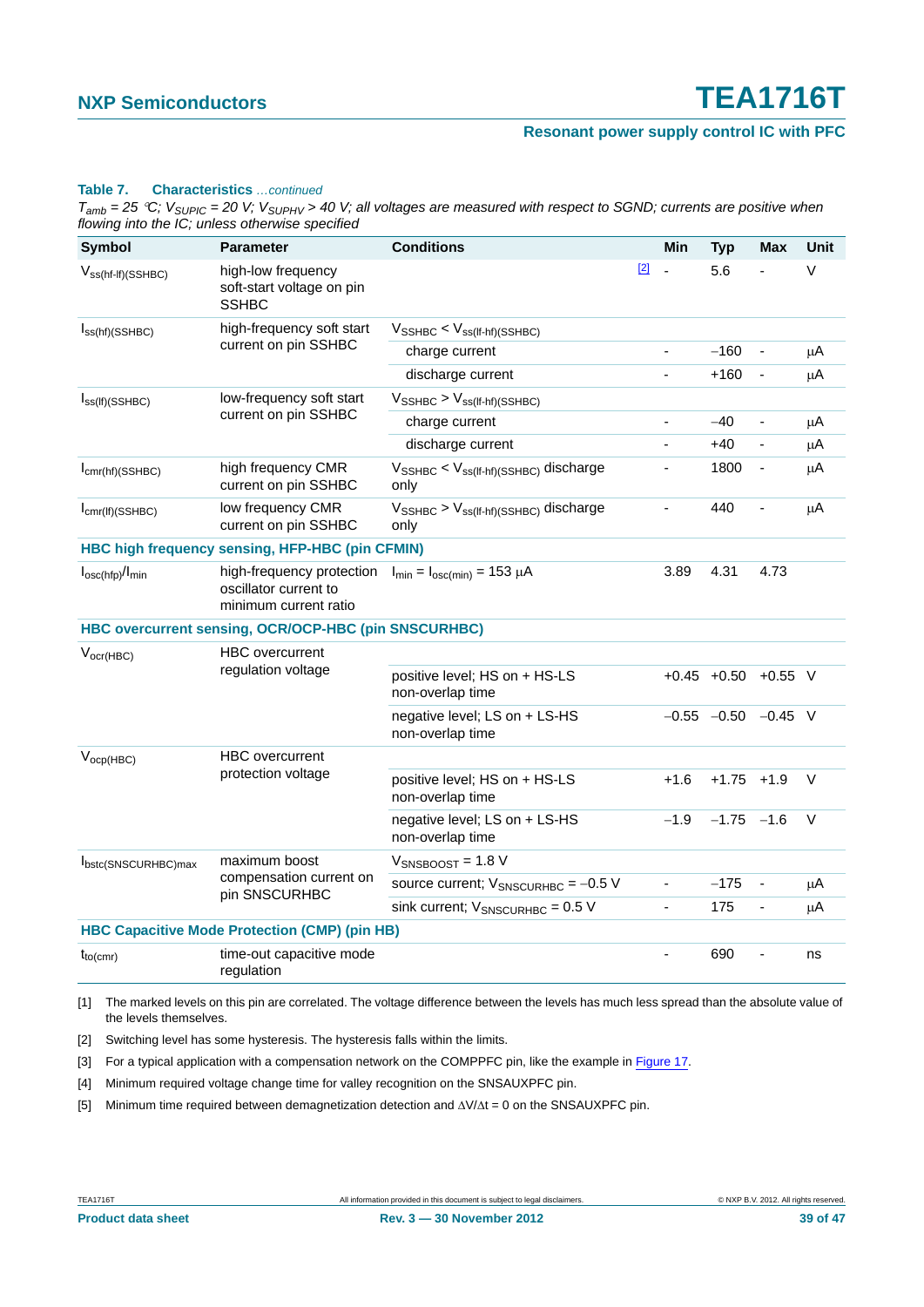#### **Table 7. Characteristics** *…continued*

*Tamb = 25 C; VSUPIC = 20 V; VSUPHV > 40 V; all voltages are measured with respect to SGND; currents are positive when flowing into the IC; unless otherwise specified*

| <b>Symbol</b>                        | <b>Parameter</b>                                                            | <b>Conditions</b>                                                  |       | Min            | <b>Typ</b>                | Max            | Unit    |
|--------------------------------------|-----------------------------------------------------------------------------|--------------------------------------------------------------------|-------|----------------|---------------------------|----------------|---------|
| $V_{ss(ht-lf)(SSHBC)}$               | high-low frequency<br>soft-start voltage on pin<br><b>SSHBC</b>             |                                                                    | $[2]$ | ÷,             | 5.6                       |                | $\vee$  |
| $I_{SS(hf)(SSHBC)}$                  | high-frequency soft start                                                   | $V_{\text{SSHBC}} < V_{\text{ss(lf-hf)(SSHBC)}}$                   |       |                |                           |                |         |
|                                      | current on pin SSHBC                                                        | charge current                                                     |       |                | $-160$                    |                | $\mu$ A |
|                                      |                                                                             | discharge current                                                  |       | $\overline{a}$ | $+160$                    | $\blacksquare$ | μA      |
| $I_{SS(If)(SSHBC)}$                  | low-frequency soft start                                                    | $V_{\text{SSHBC}}$ > $V_{\text{ss(lf-hf)(SSHBC)}}$                 |       |                |                           |                |         |
|                                      | current on pin SSHBC                                                        | charge current                                                     |       | ÷,             | $-40$                     | $\overline{a}$ | $\mu$ A |
|                                      |                                                                             | discharge current                                                  |       | ä,             | $+40$                     | $\blacksquare$ | μA      |
| $I_{cmr(hf)(SSHBC)}$                 | high frequency CMR<br>current on pin SSHBC                                  | $V_{\text{SSHBC}} < V_{\text{ss(lf-hf)(SSHBC)}}$ discharge<br>only |       | -              | 1800                      | $\blacksquare$ | $\mu$ A |
| $I_{cmr(If)(SSHBC)}$                 | low frequency CMR<br>current on pin SSHBC                                   | $V_{\text{SSHBC}} > V_{\text{ss(lf-hf)(SSHBC)}}$ discharge<br>only |       | $\blacksquare$ | 440                       | $\blacksquare$ | μA      |
|                                      | HBC high frequency sensing, HFP-HBC (pin CFMIN)                             |                                                                    |       |                |                           |                |         |
| $I_{\text{osc(hfp)}}/I_{\text{min}}$ | high-frequency protection<br>oscillator current to<br>minimum current ratio | $I_{\text{min}} = I_{\text{osc(min)}} = 153 \mu A$                 |       | 3.89           | 4.31                      | 4.73           |         |
|                                      | HBC overcurrent sensing, OCR/OCP-HBC (pin SNSCURHBC)                        |                                                                    |       |                |                           |                |         |
| $V_{\text{ocr(HBC)}}$                | <b>HBC</b> overcurrent<br>regulation voltage                                |                                                                    |       |                |                           |                |         |
|                                      |                                                                             | positive level; HS on + HS-LS<br>non-overlap time                  |       |                | $+0.45$ $+0.50$           | $+0.55$ V      |         |
|                                      |                                                                             | negative level; LS on + LS-HS<br>non-overlap time                  |       |                | $-0.55$ $-0.50$ $-0.45$ V |                |         |
| $V_{ocp(HBC)}$                       | <b>HBC</b> overcurrent<br>protection voltage                                |                                                                    |       |                |                           |                |         |
|                                      |                                                                             | positive level; HS on + HS-LS<br>non-overlap time                  |       | $+1.6$         | $+1.75$                   | $+1.9$         | $\vee$  |
|                                      |                                                                             | negative level; LS on + LS-HS<br>non-overlap time                  |       | $-1.9$         | $-1.75$                   | $-1.6$         | $\vee$  |
| Ibstc(SNSCURHBC)max                  | maximum boost                                                               | $V_{SNSBOOST}$ = 1.8 V                                             |       |                |                           |                |         |
|                                      | compensation current on<br>pin SNSCURHBC                                    | source current; $V_{SNSCURHBC} = -0.5 V$                           |       | ÷,             | $-175$                    | $\blacksquare$ | $\mu$ A |
|                                      |                                                                             | sink current; $V_{SNSCURHBC} = 0.5 V$                              |       | $\blacksquare$ | 175                       | $\blacksquare$ | μA      |
|                                      | <b>HBC Capacitive Mode Protection (CMP) (pin HB)</b>                        |                                                                    |       |                |                           |                |         |
| $t_{to(cmr)}$                        | time-out capacitive mode<br>regulation                                      |                                                                    |       | ÷,             | 690                       | L,             | ns      |

<span id="page-38-0"></span>[1] The marked levels on this pin are correlated. The voltage difference between the levels has much less spread than the absolute value of the levels themselves.

<span id="page-38-1"></span>[2] Switching level has some hysteresis. The hysteresis falls within the limits.

<span id="page-38-2"></span>[3] For a typical application with a compensation network on the COMPPFC pin, like the example in [Figure 17.](#page-39-0)

<span id="page-38-3"></span>[4] Minimum required voltage change time for valley recognition on the SNSAUXPFC pin.

<span id="page-38-4"></span>[5] Minimum time required between demagnetization detection and  $\Delta V/\Delta t = 0$  on the SNSAUXPFC pin.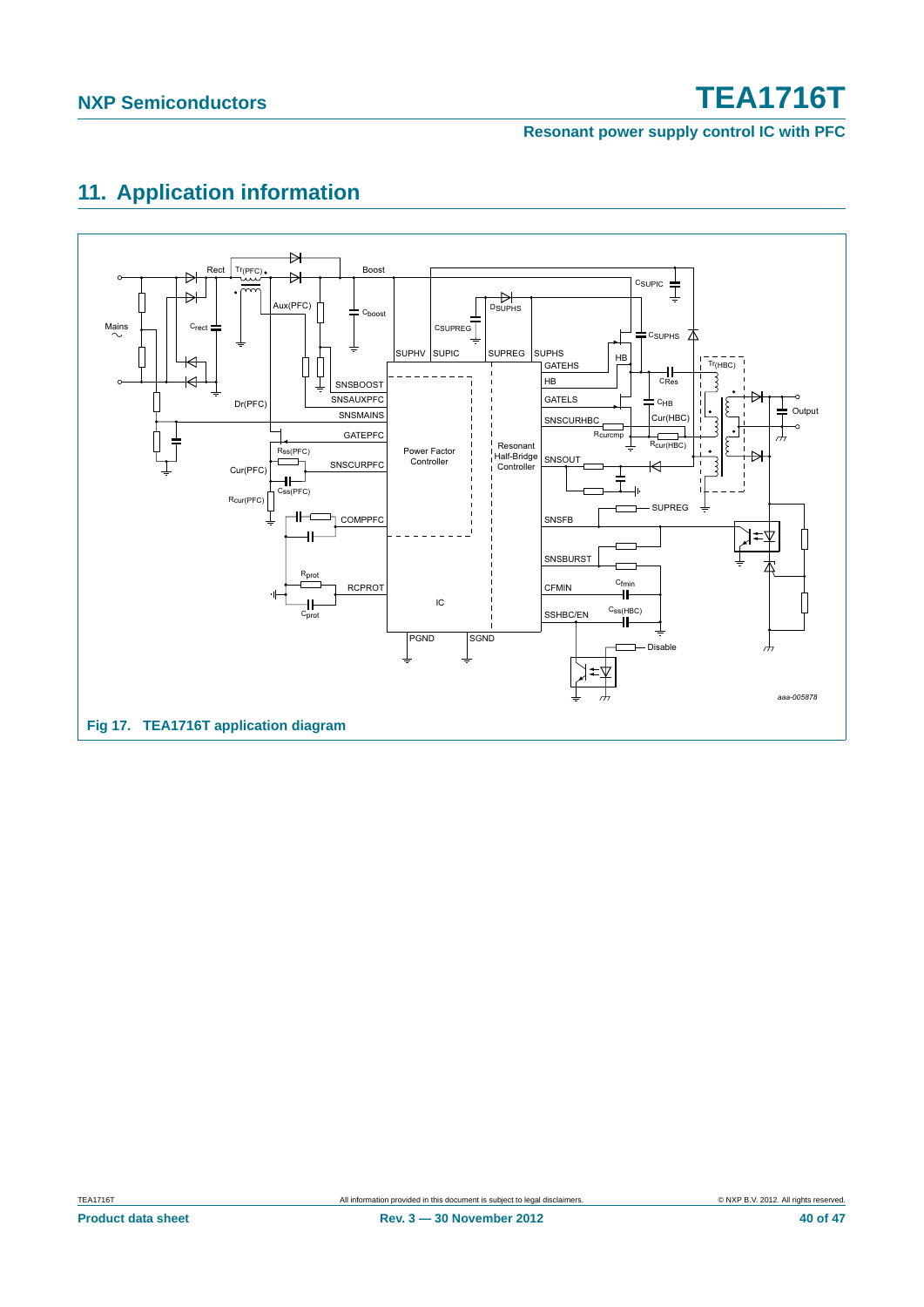**Resonant power supply control IC with PFC**

## <span id="page-39-1"></span>**11. Application information**

<span id="page-39-0"></span>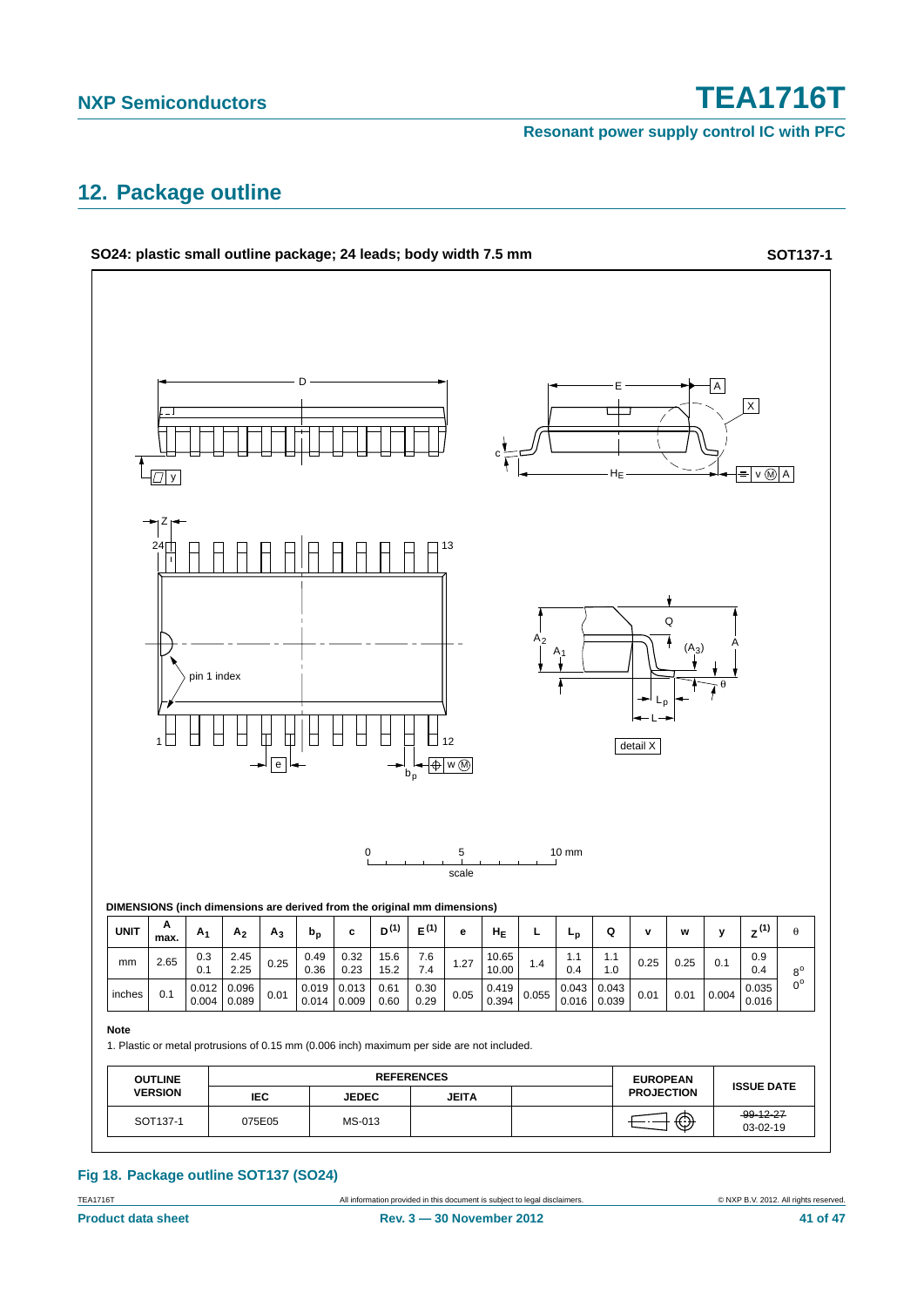**Resonant power supply control IC with PFC**

### <span id="page-40-0"></span>**12. Package outline**



#### **Fig 18. Package outline SOT137 (SO24)**

TEA1716T **All information provided in this document** is subject to legal disclaimers. **COMPRET CONTANT CONTANT CONTANT CONTANT CONTANT CONTANT CONTANT CONTANT CONTANT CONTANT CONTANT CONTANT CONTANT CONTANT ALL ALL RIGHTS**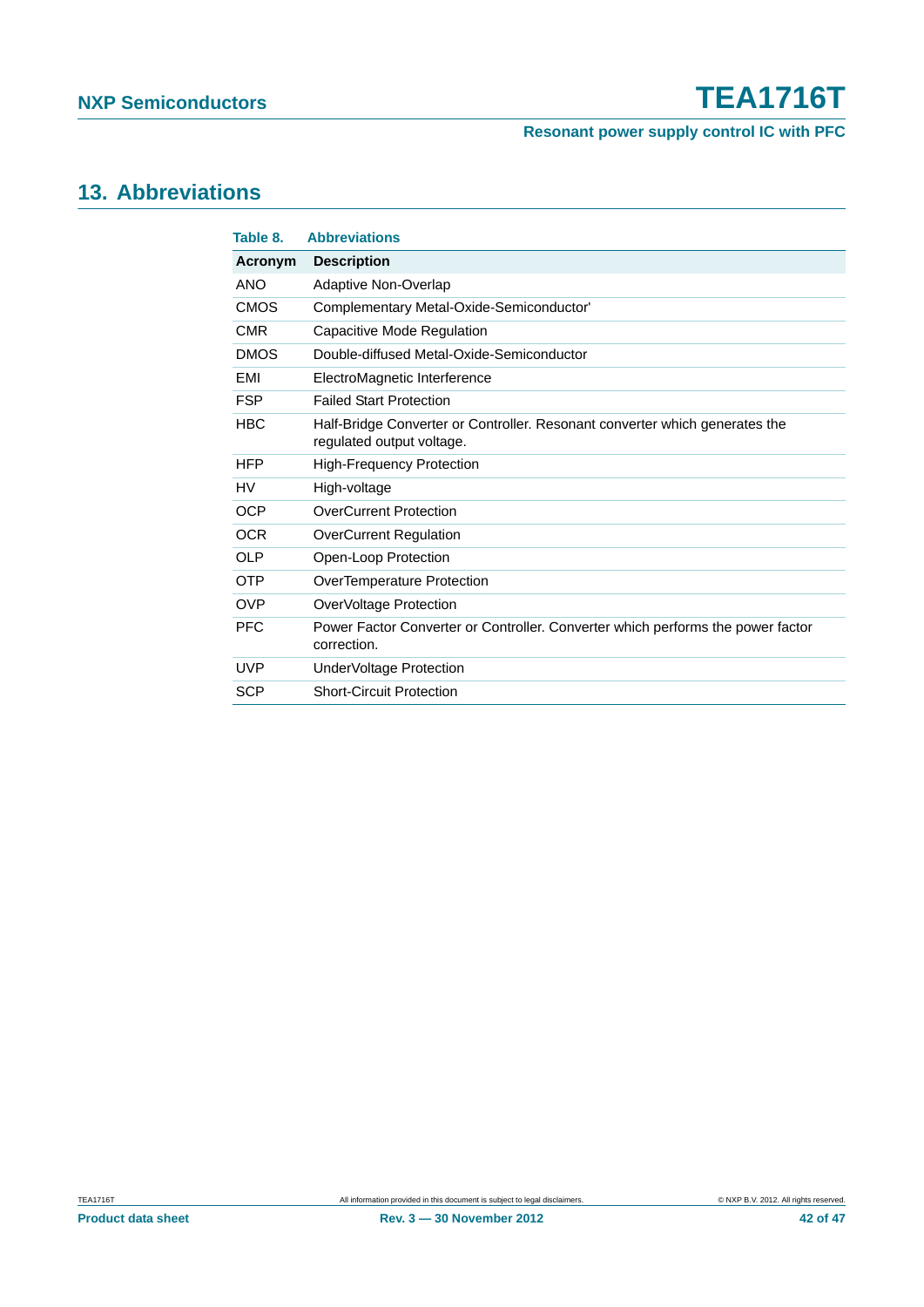**Resonant power supply control IC with PFC**

### <span id="page-41-1"></span>**13. Abbreviations**

<span id="page-41-0"></span>

| Table 8.    | <b>Abbreviations</b>                                                                                     |
|-------------|----------------------------------------------------------------------------------------------------------|
| Acronym     | <b>Description</b>                                                                                       |
| ANO         | Adaptive Non-Overlap                                                                                     |
| <b>CMOS</b> | Complementary Metal-Oxide-Semiconductor'                                                                 |
| <b>CMR</b>  | Capacitive Mode Regulation                                                                               |
| <b>DMOS</b> | Double-diffused Metal-Oxide-Semiconductor                                                                |
| <b>EMI</b>  | ElectroMagnetic Interference                                                                             |
| <b>FSP</b>  | <b>Failed Start Protection</b>                                                                           |
| <b>HBC</b>  | Half-Bridge Converter or Controller. Resonant converter which generates the<br>regulated output voltage. |
| <b>HFP</b>  | <b>High-Frequency Protection</b>                                                                         |
| HV          | High-voltage                                                                                             |
| <b>OCP</b>  | <b>OverCurrent Protection</b>                                                                            |
| <b>OCR</b>  | <b>OverCurrent Regulation</b>                                                                            |
| <b>OLP</b>  | Open-Loop Protection                                                                                     |
| <b>OTP</b>  | OverTemperature Protection                                                                               |
| <b>OVP</b>  | OverVoltage Protection                                                                                   |
| <b>PFC</b>  | Power Factor Converter or Controller. Converter which performs the power factor<br>correction.           |
| <b>UVP</b>  | UnderVoltage Protection                                                                                  |
| <b>SCP</b>  | <b>Short-Circuit Protection</b>                                                                          |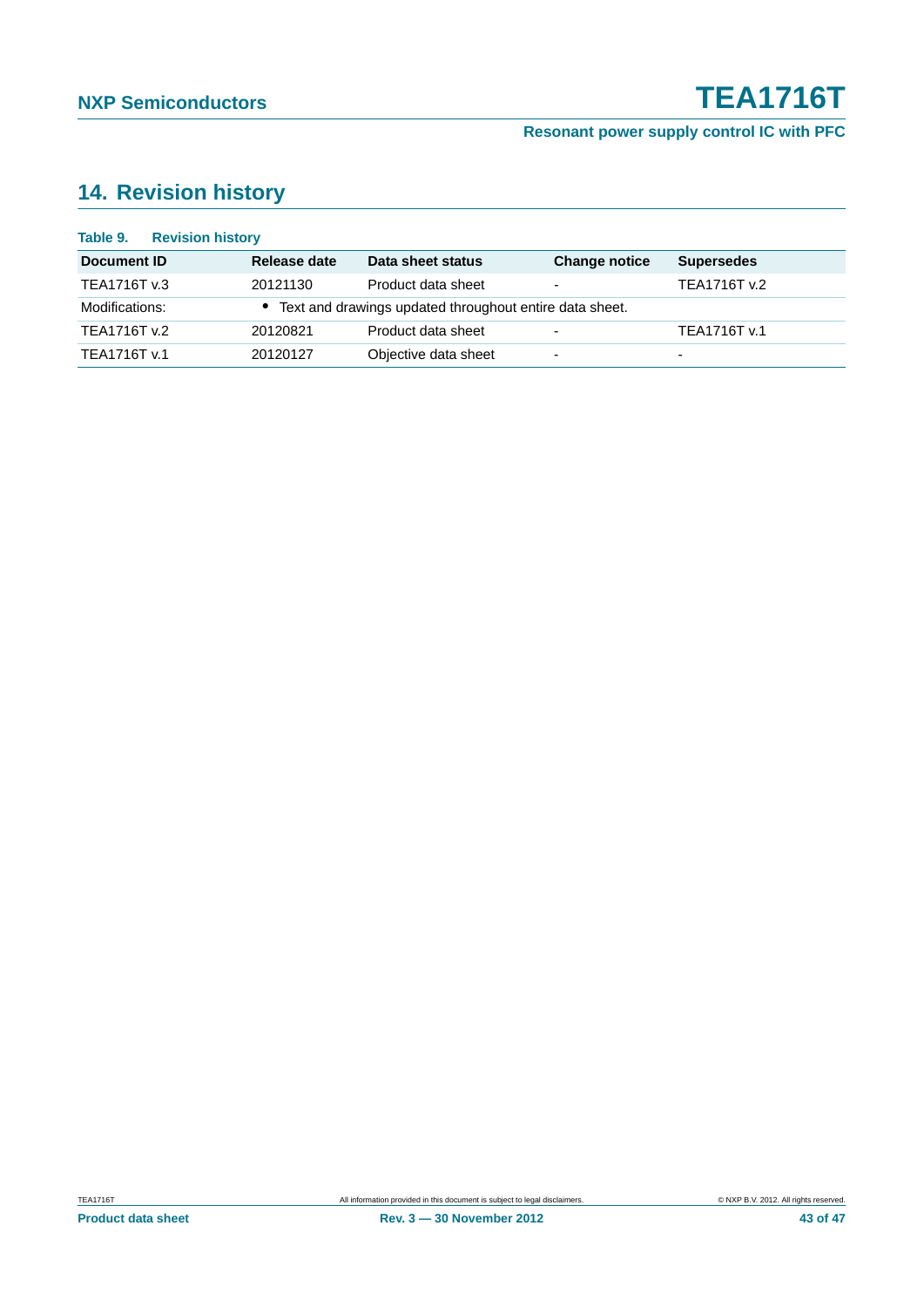## <span id="page-42-0"></span>**14. Revision history**

| Table 9.       | <b>Revision history</b> |              |                                                           |                          |                          |
|----------------|-------------------------|--------------|-----------------------------------------------------------|--------------------------|--------------------------|
| Document ID    |                         | Release date | Data sheet status                                         | <b>Change notice</b>     | <b>Supersedes</b>        |
| TEA1716T v.3   |                         | 20121130     | Product data sheet                                        | $\overline{\phantom{0}}$ | TEA1716T v.2             |
| Modifications: |                         |              | • Text and drawings updated throughout entire data sheet. |                          |                          |
| TEA1716T v.2   |                         | 20120821     | Product data sheet                                        | $\overline{\phantom{a}}$ | TEA1716T v.1             |
| TEA1716T v.1   |                         | 20120127     | Objective data sheet                                      | ۰                        | $\overline{\phantom{0}}$ |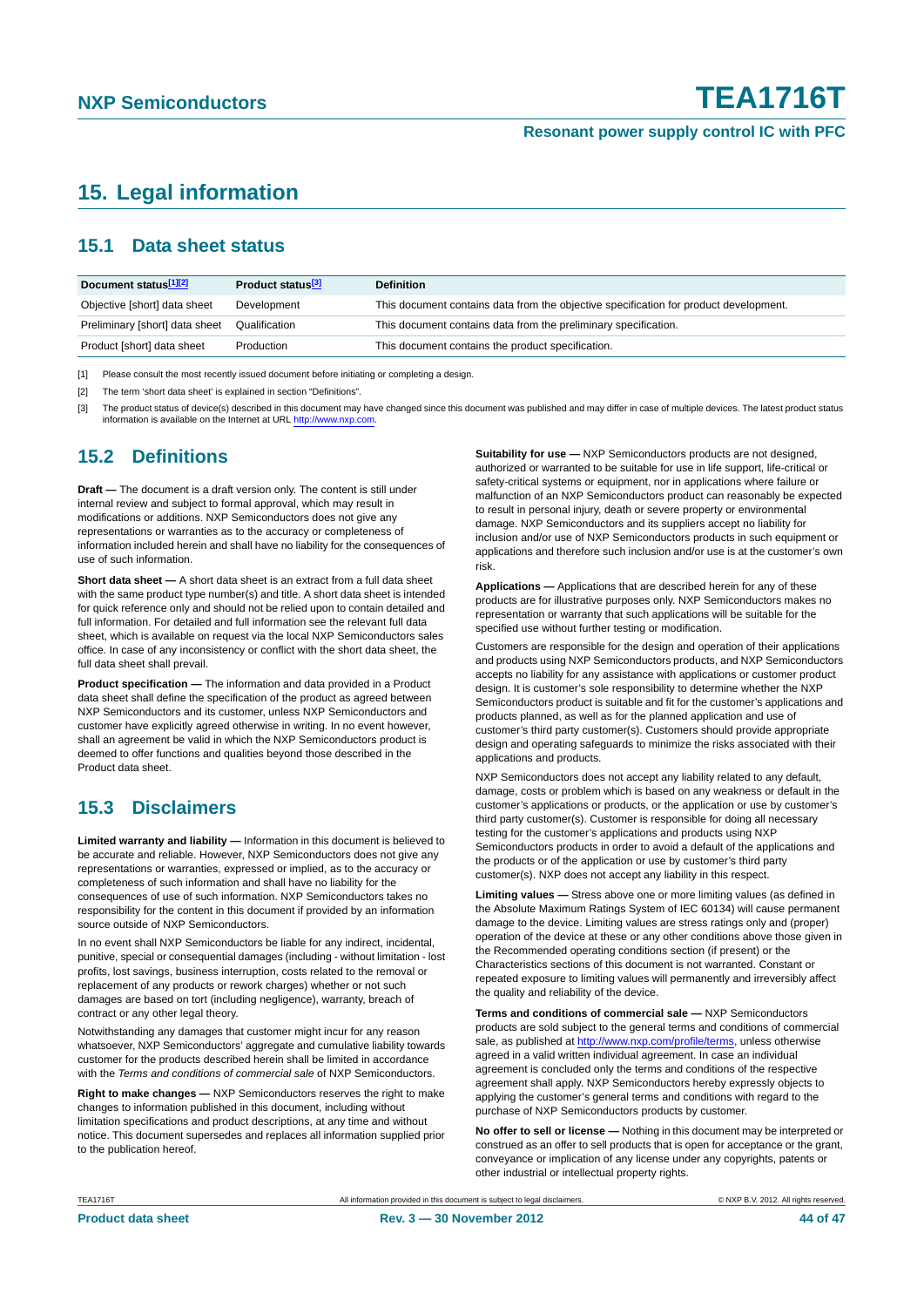### <span id="page-43-0"></span>**15. Legal information**

#### <span id="page-43-1"></span>**15.1 Data sheet status**

| Document status[1][2]          | Product status <sup>[3]</sup> | <b>Definition</b>                                                                     |
|--------------------------------|-------------------------------|---------------------------------------------------------------------------------------|
| Objective [short] data sheet   | Development                   | This document contains data from the objective specification for product development. |
| Preliminary [short] data sheet | Qualification                 | This document contains data from the preliminary specification.                       |
| Product [short] data sheet     | Production                    | This document contains the product specification.                                     |

[1] Please consult the most recently issued document before initiating or completing a design.

[2] The term 'short data sheet' is explained in section "Definitions".

[3] The product status of device(s) described in this document may have changed since this document was published and may differ in case of multiple devices. The latest product status<br>information is available on the Intern

#### <span id="page-43-2"></span>**15.2 Definitions**

**Draft —** The document is a draft version only. The content is still under internal review and subject to formal approval, which may result in modifications or additions. NXP Semiconductors does not give any representations or warranties as to the accuracy or completeness of information included herein and shall have no liability for the consequences of use of such information.

**Short data sheet —** A short data sheet is an extract from a full data sheet with the same product type number(s) and title. A short data sheet is intended for quick reference only and should not be relied upon to contain detailed and full information. For detailed and full information see the relevant full data sheet, which is available on request via the local NXP Semiconductors sales office. In case of any inconsistency or conflict with the short data sheet, the full data sheet shall prevail.

**Product specification —** The information and data provided in a Product data sheet shall define the specification of the product as agreed between NXP Semiconductors and its customer, unless NXP Semiconductors and customer have explicitly agreed otherwise in writing. In no event however, shall an agreement be valid in which the NXP Semiconductors product is deemed to offer functions and qualities beyond those described in the Product data sheet.

### <span id="page-43-3"></span>**15.3 Disclaimers**

**Limited warranty and liability —** Information in this document is believed to be accurate and reliable. However, NXP Semiconductors does not give any representations or warranties, expressed or implied, as to the accuracy or completeness of such information and shall have no liability for the consequences of use of such information. NXP Semiconductors takes no responsibility for the content in this document if provided by an information source outside of NXP Semiconductors.

In no event shall NXP Semiconductors be liable for any indirect, incidental, punitive, special or consequential damages (including - without limitation - lost profits, lost savings, business interruption, costs related to the removal or replacement of any products or rework charges) whether or not such damages are based on tort (including negligence), warranty, breach of contract or any other legal theory.

Notwithstanding any damages that customer might incur for any reason whatsoever, NXP Semiconductors' aggregate and cumulative liability towards customer for the products described herein shall be limited in accordance with the *Terms and conditions of commercial sale* of NXP Semiconductors.

**Right to make changes —** NXP Semiconductors reserves the right to make changes to information published in this document, including without limitation specifications and product descriptions, at any time and without notice. This document supersedes and replaces all information supplied prior to the publication hereof.

**Suitability for use —** NXP Semiconductors products are not designed, authorized or warranted to be suitable for use in life support, life-critical or safety-critical systems or equipment, nor in applications where failure or malfunction of an NXP Semiconductors product can reasonably be expected to result in personal injury, death or severe property or environmental damage. NXP Semiconductors and its suppliers accept no liability for inclusion and/or use of NXP Semiconductors products in such equipment or applications and therefore such inclusion and/or use is at the customer's own risk.

**Applications —** Applications that are described herein for any of these products are for illustrative purposes only. NXP Semiconductors makes no representation or warranty that such applications will be suitable for the specified use without further testing or modification.

Customers are responsible for the design and operation of their applications and products using NXP Semiconductors products, and NXP Semiconductors accepts no liability for any assistance with applications or customer product design. It is customer's sole responsibility to determine whether the NXP Semiconductors product is suitable and fit for the customer's applications and products planned, as well as for the planned application and use of customer's third party customer(s). Customers should provide appropriate design and operating safeguards to minimize the risks associated with their applications and products.

NXP Semiconductors does not accept any liability related to any default. damage, costs or problem which is based on any weakness or default in the customer's applications or products, or the application or use by customer's third party customer(s). Customer is responsible for doing all necessary testing for the customer's applications and products using NXP Semiconductors products in order to avoid a default of the applications and the products or of the application or use by customer's third party customer(s). NXP does not accept any liability in this respect.

**Limiting values —** Stress above one or more limiting values (as defined in the Absolute Maximum Ratings System of IEC 60134) will cause permanent damage to the device. Limiting values are stress ratings only and (proper) operation of the device at these or any other conditions above those given in the Recommended operating conditions section (if present) or the Characteristics sections of this document is not warranted. Constant or repeated exposure to limiting values will permanently and irreversibly affect the quality and reliability of the device.

**Terms and conditions of commercial sale —** NXP Semiconductors products are sold subject to the general terms and conditions of commercial sale, as published at<http://www.nxp.com/profile/terms>, unless otherwise agreed in a valid written individual agreement. In case an individual agreement is concluded only the terms and conditions of the respective agreement shall apply. NXP Semiconductors hereby expressly objects to applying the customer's general terms and conditions with regard to the purchase of NXP Semiconductors products by customer.

**No offer to sell or license —** Nothing in this document may be interpreted or construed as an offer to sell products that is open for acceptance or the grant, conveyance or implication of any license under any copyrights, patents or other industrial or intellectual property rights.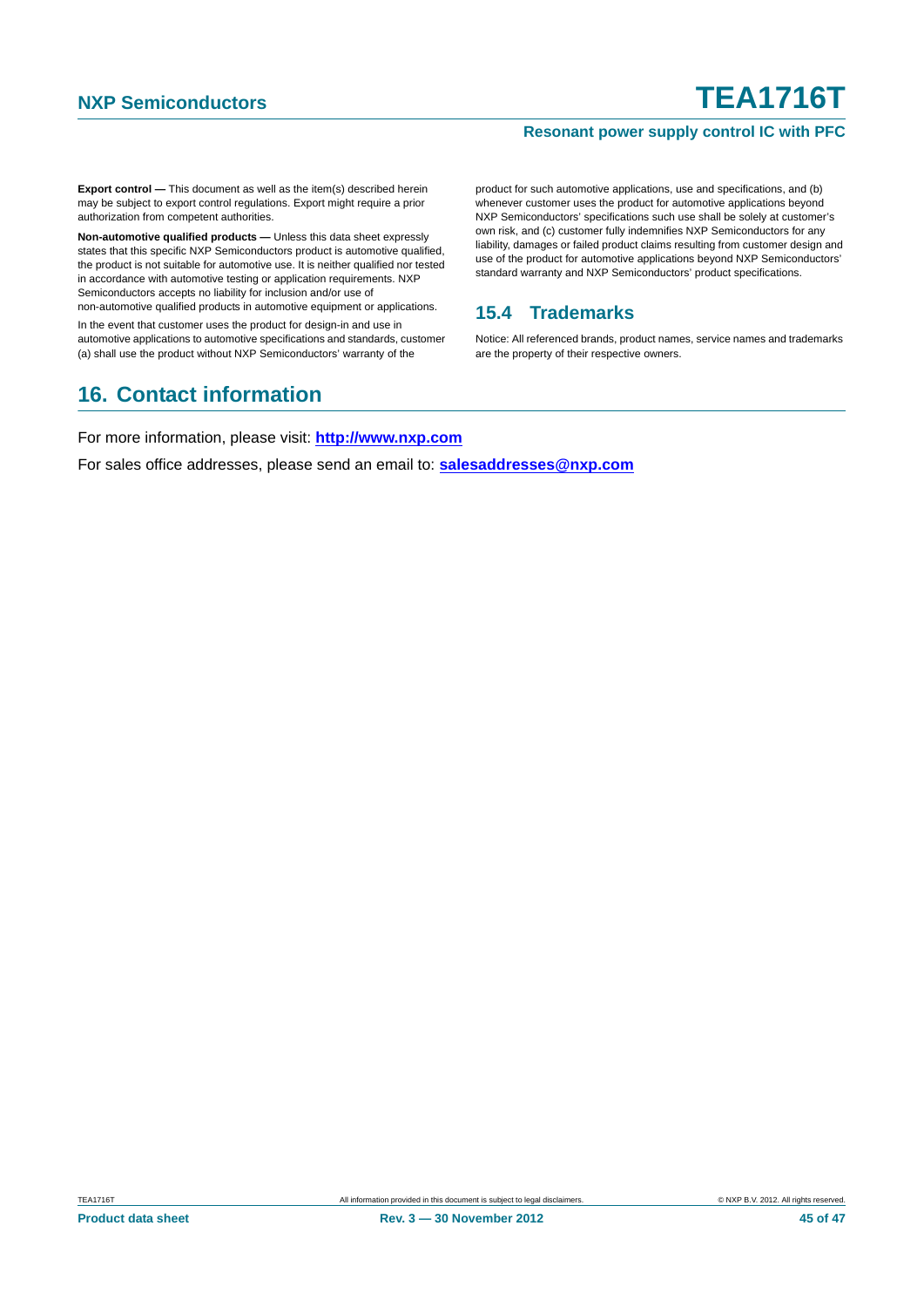#### **Resonant power supply control IC with PFC**

**Export control —** This document as well as the item(s) described herein may be subject to export control regulations. Export might require a prior authorization from competent authorities.

**Non-automotive qualified products —** Unless this data sheet expressly states that this specific NXP Semiconductors product is automotive qualified, the product is not suitable for automotive use. It is neither qualified nor tested in accordance with automotive testing or application requirements. NXP Semiconductors accepts no liability for inclusion and/or use of non-automotive qualified products in automotive equipment or applications.

In the event that customer uses the product for design-in and use in automotive applications to automotive specifications and standards, customer (a) shall use the product without NXP Semiconductors' warranty of the

### <span id="page-44-1"></span>**16. Contact information**

product for such automotive applications, use and specifications, and (b) whenever customer uses the product for automotive applications beyond NXP Semiconductors' specifications such use shall be solely at customer's own risk, and (c) customer fully indemnifies NXP Semiconductors for any liability, damages or failed product claims resulting from customer design and use of the product for automotive applications beyond NXP Semiconductors' standard warranty and NXP Semiconductors' product specifications.

### <span id="page-44-0"></span>**15.4 Trademarks**

Notice: All referenced brands, product names, service names and trademarks are the property of their respective owners.

For more information, please visit: **http://www.nxp.com**

For sales office addresses, please send an email to: **salesaddresses@nxp.com**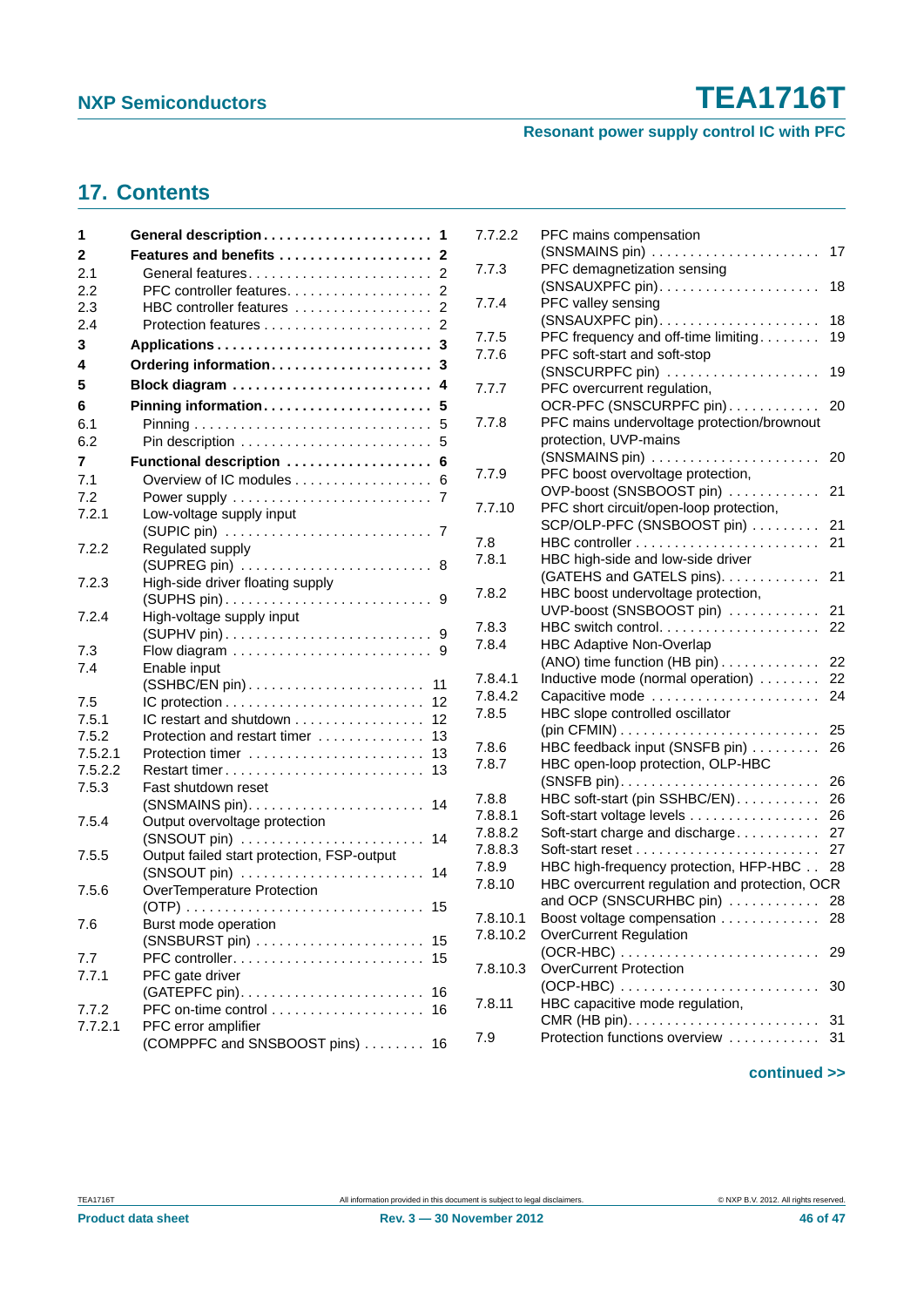### **Resonant power supply control IC with PFC**

### <span id="page-45-0"></span>**17. Contents**

| 1       |                                            |
|---------|--------------------------------------------|
| 2       | Features and benefits  2                   |
| 2.1     |                                            |
| 2.2     | PFC controller features.<br>2              |
| 2.3     | HBC controller features<br>$\overline{2}$  |
| 2.4     | 2                                          |
| 3       | 3                                          |
| 4       | Ordering information<br>3                  |
| 5       | Block diagram<br>4                         |
| 6       | Pinning information 5                      |
| 6.1     | 5                                          |
| 6.2     | 5                                          |
| 7       | Functional description  6                  |
| 7.1     | Overview of IC modules<br>6                |
| 7.2     |                                            |
| 7.2.1   | Low-voltage supply input                   |
|         |                                            |
| 7.2.2   | Regulated supply                           |
|         |                                            |
| 7.2.3   | High-side driver floating supply           |
|         | 9                                          |
| 7.2.4   | High-voltage supply input                  |
|         |                                            |
| 7.3     |                                            |
| 7.4     | Enable input                               |
|         | (SSHBC/EN pin)<br>11                       |
| 7.5     | 12                                         |
| 7.5.1   | IC restart and shutdown<br>12              |
| 7.5.2   | Protection and restart timer<br>13         |
| 7.5.2.1 | Protection timer<br>13                     |
| 7.5.2.2 | Restart timer<br>13                        |
| 7.5.3   | Fast shutdown reset                        |
|         | 14                                         |
| 7.5.4   | Output overvoltage protection              |
|         | 14                                         |
| 7.5.5   | Output failed start protection, FSP-output |
|         | $(SNSOUT pin)$<br>14                       |
| 7.5.6   | OverTemperature Protection                 |
| 7.6     | Burst mode operation                       |
|         | 15                                         |
| 7.7     | 15                                         |
| 7.7.1   | PFC gate driver                            |
|         | 16                                         |
| 7.7.2   | PFC on-time control<br>16                  |
| 7.7.2.1 | PFC error amplifier                        |
|         | (COMPPFC and SNSBOOST pins)<br>16          |
|         |                                            |

| 7.7.2.2  | PFC mains compensation                         |          |
|----------|------------------------------------------------|----------|
|          | (SNSMAINS pin)                                 | 17       |
| 7.7.3    | PFC demagnetization sensing                    |          |
|          | (SNSAUXPFC pin)                                | 18       |
| 7.7.4    | PFC valley sensing                             |          |
|          | (SNSAUXPFC pin)                                | 18       |
| 7.7.5    | PFC frequency and off-time limiting            | 19       |
| 7.7.6    | PFC soft-start and soft-stop                   |          |
| 7.7.7    | (SNSCURPFC pin)                                | 19       |
|          | PFC overcurrent regulation,                    |          |
|          | OCR-PFC (SNSCURPFC pin)                        | 20       |
| 7.7.8    | PFC mains undervoltage protection/brownout     |          |
|          | protection, UVP-mains                          |          |
|          | (SNSMAINS pin)                                 | 20       |
| 7.7.9    | PFC boost overvoltage protection,              |          |
|          | OVP-boost (SNSBOOST pin)                       | 21       |
| 7.7.10   | PFC short circuit/open-loop protection,        |          |
|          | SCP/OLP-PFC (SNSBOOST pin)                     | 21<br>21 |
| 7.8      |                                                |          |
| 7.8.1    | HBC high-side and low-side driver              |          |
|          | (GATEHS and GATELS pins).                      | 21       |
| 7.8.2    | HBC boost undervoltage protection,             |          |
|          | UVP-boost (SNSBOOST pin)                       | 21       |
| 7.8.3    |                                                | 22       |
| 7.8.4    | <b>HBC Adaptive Non-Overlap</b>                | 22       |
|          | (ANO) time function (HB pin)                   |          |
| 7.8.4.1  | Inductive mode (normal operation)              | 22       |
| 7.8.4.2  | Capacitive mode                                | 24       |
| 7.8.5    | HBC slope controlled oscillator                |          |
|          |                                                | 25       |
| 7.8.6    | HBC feedback input (SNSFB pin)                 | 26       |
| 7.8.7    | HBC open-loop protection, OLP-HBC              |          |
|          |                                                | 26       |
| 7.8.8    | HBC soft-start (pin SSHBC/EN).                 | 26       |
| 7.8.8.1  | Soft-start voltage levels                      | 26       |
| 7.8.8.2  | Soft-start charge and discharge                | 27       |
| 7.8.8.3  |                                                | 27       |
| 7.8.9    | HBC high-frequency protection, HFP-HBC         | 28       |
| 7.8.10   | HBC overcurrent regulation and protection, OCR |          |
|          | and OCP (SNSCURHBC pin)                        | 28       |
| 7.8.10.1 | Boost voltage compensation                     | 28       |
| 7.8.10.2 | <b>OverCurrent Regulation</b>                  |          |
|          |                                                | 29       |
| 7.8.10.3 | <b>OverCurrent Protection</b>                  |          |
|          |                                                | 30       |
| 7.8.11   | HBC capacitive mode regulation,                |          |
| 7.9      | Protection functions overview                  | 31<br>31 |
|          |                                                |          |
|          |                                                |          |

#### **continued >>**